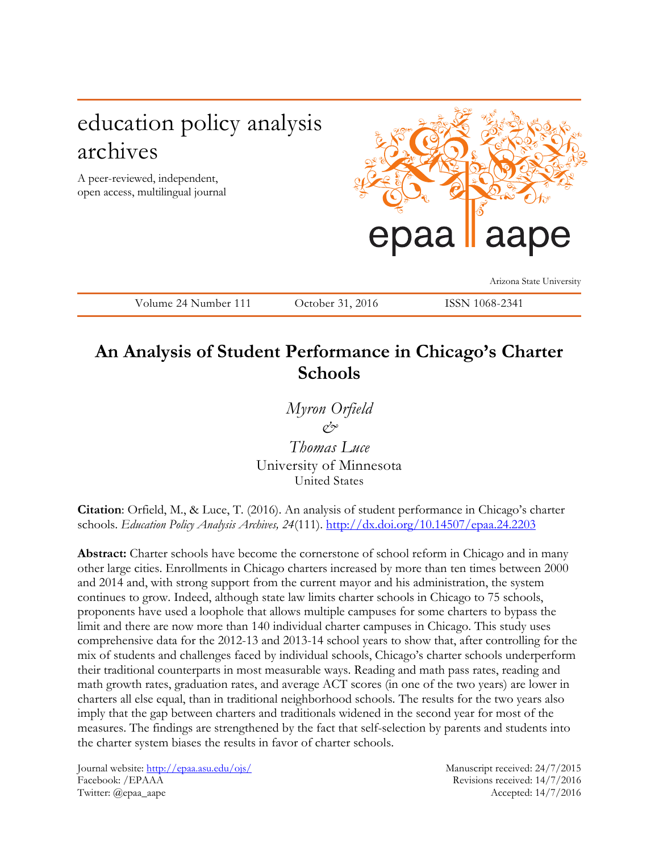# education policy analysis archives

A peer-reviewed, independent, open access, multilingual journal



Arizona State University

Volume 24 Number 111 October 31, 2016 ISSN 1068-2341

## **An Analysis of Student Performance in Chicago's Charter Schools**

*Myron Orfield &*

*Thomas Luce* University of Minnesota United States

**Citation**: Orfield, M., & Luce, T. (2016). An analysis of student performance in Chicago's charter schools. *Education Policy Analysis Archives, 24*(111). <http://dx.doi.org/10.14507/epaa.24.2203>

**Abstract:** Charter schools have become the cornerstone of school reform in Chicago and in many other large cities. Enrollments in Chicago charters increased by more than ten times between 2000 and 2014 and, with strong support from the current mayor and his administration, the system continues to grow. Indeed, although state law limits charter schools in Chicago to 75 schools, proponents have used a loophole that allows multiple campuses for some charters to bypass the limit and there are now more than 140 individual charter campuses in Chicago. This study uses comprehensive data for the 2012-13 and 2013-14 school years to show that, after controlling for the mix of students and challenges faced by individual schools, Chicago's charter schools underperform their traditional counterparts in most measurable ways. Reading and math pass rates, reading and math growth rates, graduation rates, and average ACT scores (in one of the two years) are lower in charters all else equal, than in traditional neighborhood schools. The results for the two years also imply that the gap between charters and traditionals widened in the second year for most of the measures. The findings are strengthened by the fact that self-selection by parents and students into the charter system biases the results in favor of charter schools.

Journal website:<http://epaa.asu.edu/ojs/> Manuscript received: 24/7/2015 Facebook: /EPAAA Revisions received: 14/7/2016 Twitter: @epaa\_aape Accepted: 14/7/2016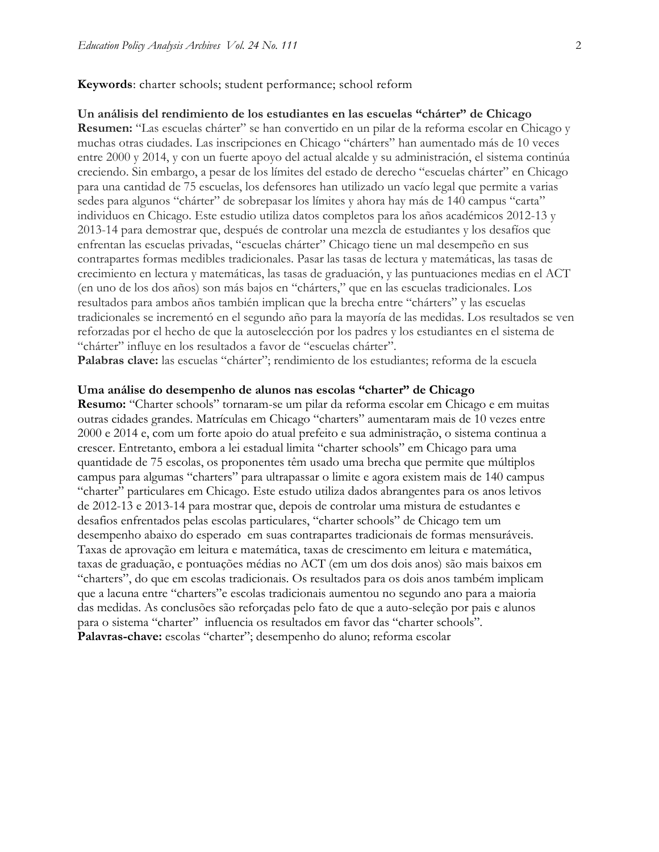#### **Keywords**: charter schools; student performance; school reform

### **Un análisis del rendimiento de los estudiantes en las escuelas "chárter" de Chicago**

**Resumen:** "Las escuelas chárter" se han convertido en un pilar de la reforma escolar en Chicago y muchas otras ciudades. Las inscripciones en Chicago "chárters" han aumentado más de 10 veces entre 2000 y 2014, y con un fuerte apoyo del actual alcalde y su administración, el sistema continúa creciendo. Sin embargo, a pesar de los límites del estado de derecho "escuelas chárter" en Chicago para una cantidad de 75 escuelas, los defensores han utilizado un vacío legal que permite a varias sedes para algunos "chárter" de sobrepasar los límites y ahora hay más de 140 campus "carta" individuos en Chicago. Este estudio utiliza datos completos para los años académicos 2012-13 y 2013-14 para demostrar que, después de controlar una mezcla de estudiantes y los desafíos que enfrentan las escuelas privadas, "escuelas chárter" Chicago tiene un mal desempeño en sus contrapartes formas medibles tradicionales. Pasar las tasas de lectura y matemáticas, las tasas de crecimiento en lectura y matemáticas, las tasas de graduación, y las puntuaciones medias en el ACT (en uno de los dos años) son más bajos en "chárters," que en las escuelas tradicionales. Los resultados para ambos años también implican que la brecha entre "chárters" y las escuelas tradicionales se incrementó en el segundo año para la mayoría de las medidas. Los resultados se ven reforzadas por el hecho de que la autoselección por los padres y los estudiantes en el sistema de "chárter" influye en los resultados a favor de "escuelas chárter".

**Palabras clave:** las escuelas "chárter"; rendimiento de los estudiantes; reforma de la escuela

### **Uma análise do desempenho de alunos nas escolas "charter" de Chicago**

**Resumo:** "Charter schools" tornaram-se um pilar da reforma escolar em Chicago e em muitas outras cidades grandes. Matrículas em Chicago "charters" aumentaram mais de 10 vezes entre 2000 e 2014 e, com um forte apoio do atual prefeito e sua administração, o sistema continua a crescer. Entretanto, embora a lei estadual limita "charter schools" em Chicago para uma quantidade de 75 escolas, os proponentes têm usado uma brecha que permite que múltiplos campus para algumas "charters" para ultrapassar o limite e agora existem mais de 140 campus "charter" particulares em Chicago. Este estudo utiliza dados abrangentes para os anos letivos de 2012-13 e 2013-14 para mostrar que, depois de controlar uma mistura de estudantes e desafios enfrentados pelas escolas particulares, "charter schools" de Chicago tem um desempenho abaixo do esperado em suas contrapartes tradicionais de formas mensuráveis. Taxas de aprovação em leitura e matemática, taxas de crescimento em leitura e matemática, taxas de graduação, e pontuações médias no ACT (em um dos dois anos) são mais baixos em "charters", do que em escolas tradicionais. Os resultados para os dois anos também implicam que a lacuna entre "charters"e escolas tradicionais aumentou no segundo ano para a maioria das medidas. As conclusões são reforçadas pelo fato de que a auto-seleção por pais e alunos para o sistema "charter" influencia os resultados em favor das "charter schools". Palavras-chave: escolas "charter"; desempenho do aluno; reforma escolar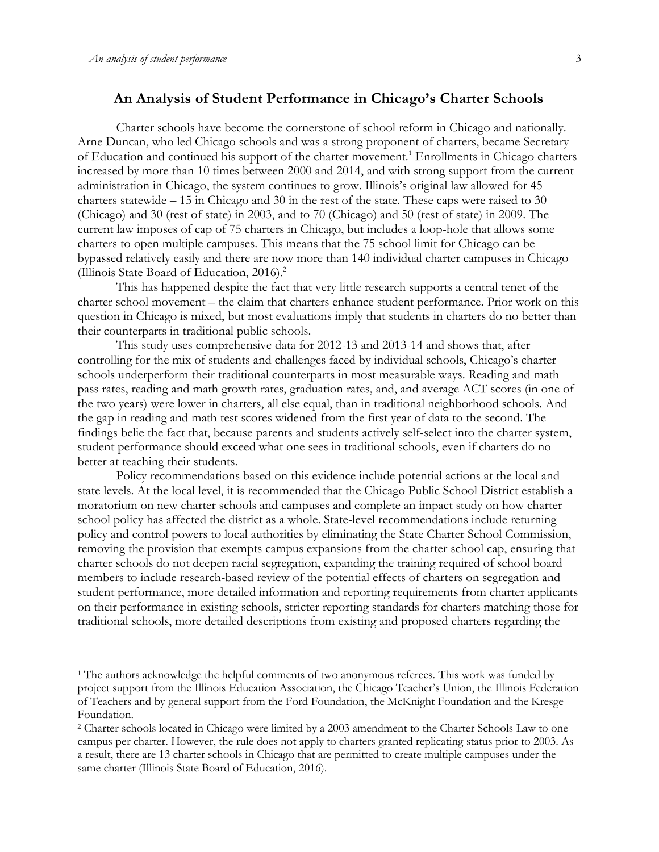### **An Analysis of Student Performance in Chicago's Charter Schools**

Charter schools have become the cornerstone of school reform in Chicago and nationally. Arne Duncan, who led Chicago schools and was a strong proponent of charters, became Secretary of Education and continued his support of the charter movement.<sup>1</sup> Enrollments in Chicago charters increased by more than 10 times between 2000 and 2014, and with strong support from the current administration in Chicago, the system continues to grow. Illinois's original law allowed for 45 charters statewide – 15 in Chicago and 30 in the rest of the state. These caps were raised to 30 (Chicago) and 30 (rest of state) in 2003, and to 70 (Chicago) and 50 (rest of state) in 2009. The current law imposes of cap of 75 charters in Chicago, but includes a loop-hole that allows some charters to open multiple campuses. This means that the 75 school limit for Chicago can be bypassed relatively easily and there are now more than 140 individual charter campuses in Chicago (Illinois State Board of Education, 2016). 2

This has happened despite the fact that very little research supports a central tenet of the charter school movement – the claim that charters enhance student performance. Prior work on this question in Chicago is mixed, but most evaluations imply that students in charters do no better than their counterparts in traditional public schools.

This study uses comprehensive data for 2012-13 and 2013-14 and shows that, after controlling for the mix of students and challenges faced by individual schools, Chicago's charter schools underperform their traditional counterparts in most measurable ways. Reading and math pass rates, reading and math growth rates, graduation rates, and, and average ACT scores (in one of the two years) were lower in charters, all else equal, than in traditional neighborhood schools. And the gap in reading and math test scores widened from the first year of data to the second. The findings belie the fact that, because parents and students actively self-select into the charter system, student performance should exceed what one sees in traditional schools, even if charters do no better at teaching their students.

Policy recommendations based on this evidence include potential actions at the local and state levels. At the local level, it is recommended that the Chicago Public School District establish a moratorium on new charter schools and campuses and complete an impact study on how charter school policy has affected the district as a whole. State-level recommendations include returning policy and control powers to local authorities by eliminating the State Charter School Commission, removing the provision that exempts campus expansions from the charter school cap, ensuring that charter schools do not deepen racial segregation, expanding the training required of school board members to include research-based review of the potential effects of charters on segregation and student performance, more detailed information and reporting requirements from charter applicants on their performance in existing schools, stricter reporting standards for charters matching those for traditional schools, more detailed descriptions from existing and proposed charters regarding the

<sup>&</sup>lt;sup>1</sup> The authors acknowledge the helpful comments of two anonymous referees. This work was funded by project support from the Illinois Education Association, the Chicago Teacher's Union, the Illinois Federation of Teachers and by general support from the Ford Foundation, the McKnight Foundation and the Kresge Foundation.

<sup>2</sup> Charter schools located in Chicago were limited by a 2003 amendment to the Charter Schools Law to one campus per charter. However, the rule does not apply to charters granted replicating status prior to 2003. As a result, there are 13 charter schools in Chicago that are permitted to create multiple campuses under the same charter (Illinois State Board of Education, 2016).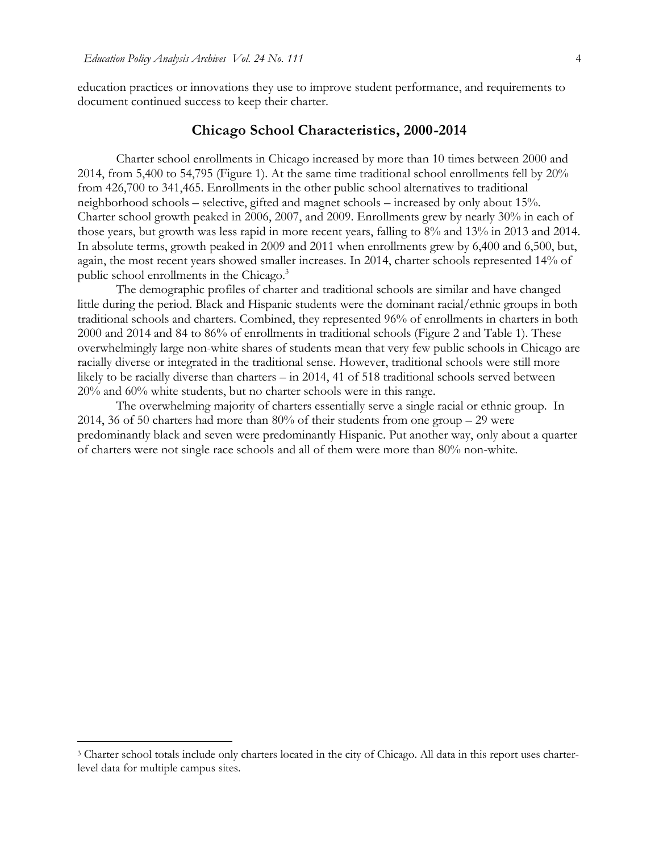education practices or innovations they use to improve student performance, and requirements to document continued success to keep their charter.

### **Chicago School Characteristics, 2000-2014**

Charter school enrollments in Chicago increased by more than 10 times between 2000 and 2014, from 5,400 to 54,795 (Figure 1). At the same time traditional school enrollments fell by 20% from 426,700 to 341,465. Enrollments in the other public school alternatives to traditional neighborhood schools – selective, gifted and magnet schools – increased by only about 15%. Charter school growth peaked in 2006, 2007, and 2009. Enrollments grew by nearly 30% in each of those years, but growth was less rapid in more recent years, falling to 8% and 13% in 2013 and 2014. In absolute terms, growth peaked in 2009 and 2011 when enrollments grew by 6,400 and 6,500, but, again, the most recent years showed smaller increases. In 2014, charter schools represented 14% of public school enrollments in the Chicago.<sup>3</sup>

The demographic profiles of charter and traditional schools are similar and have changed little during the period. Black and Hispanic students were the dominant racial/ethnic groups in both traditional schools and charters. Combined, they represented 96% of enrollments in charters in both 2000 and 2014 and 84 to 86% of enrollments in traditional schools (Figure 2 and Table 1). These overwhelmingly large non-white shares of students mean that very few public schools in Chicago are racially diverse or integrated in the traditional sense. However, traditional schools were still more likely to be racially diverse than charters – in 2014, 41 of 518 traditional schools served between 20% and 60% white students, but no charter schools were in this range.

The overwhelming majority of charters essentially serve a single racial or ethnic group. In 2014, 36 of 50 charters had more than 80% of their students from one group – 29 were predominantly black and seven were predominantly Hispanic. Put another way, only about a quarter of charters were not single race schools and all of them were more than 80% non-white.

<sup>3</sup> Charter school totals include only charters located in the city of Chicago. All data in this report uses charterlevel data for multiple campus sites.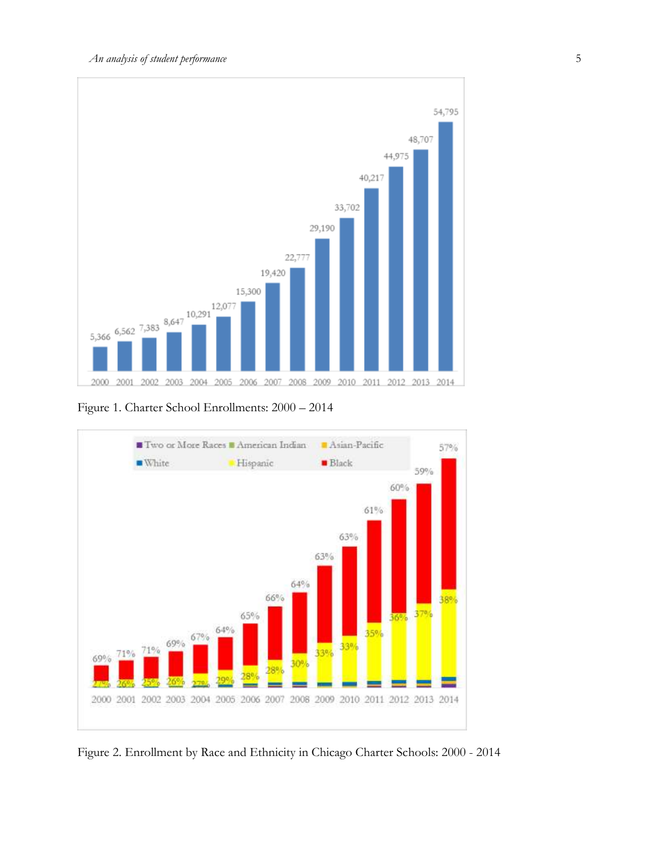

Figure 1. Charter School Enrollments: 2000 – 2014



Figure 2. Enrollment by Race and Ethnicity in Chicago Charter Schools: 2000 - 2014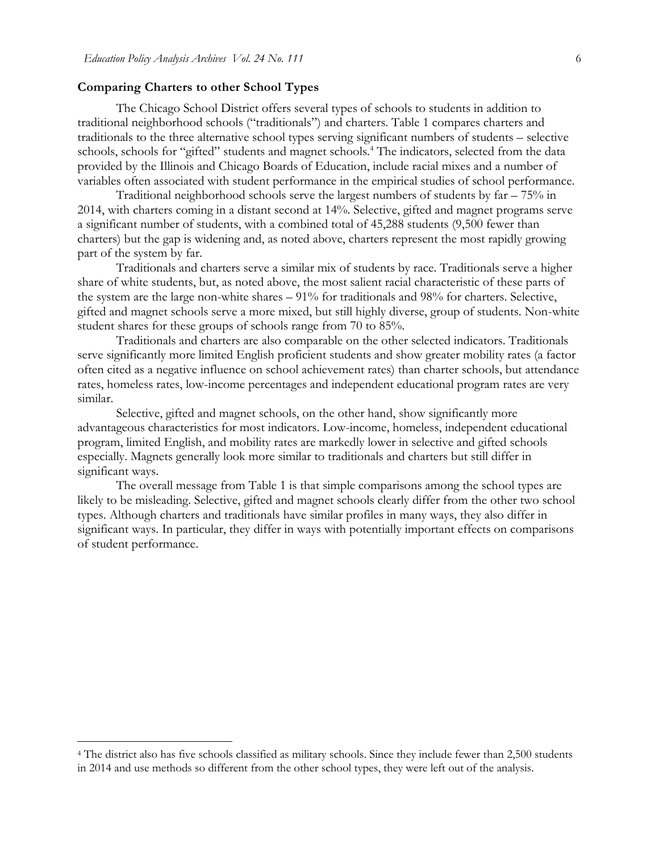#### **Comparing Charters to other School Types**

 $\overline{a}$ 

The Chicago School District offers several types of schools to students in addition to traditional neighborhood schools ("traditionals") and charters. Table 1 compares charters and traditionals to the three alternative school types serving significant numbers of students – selective schools, schools for "gifted" students and magnet schools.<sup>4</sup> The indicators, selected from the data provided by the Illinois and Chicago Boards of Education, include racial mixes and a number of variables often associated with student performance in the empirical studies of school performance.

Traditional neighborhood schools serve the largest numbers of students by far – 75% in 2014, with charters coming in a distant second at 14%. Selective, gifted and magnet programs serve a significant number of students, with a combined total of 45,288 students (9,500 fewer than charters) but the gap is widening and, as noted above, charters represent the most rapidly growing part of the system by far.

Traditionals and charters serve a similar mix of students by race. Traditionals serve a higher share of white students, but, as noted above, the most salient racial characteristic of these parts of the system are the large non-white shares – 91% for traditionals and 98% for charters. Selective, gifted and magnet schools serve a more mixed, but still highly diverse, group of students. Non-white student shares for these groups of schools range from 70 to 85%.

Traditionals and charters are also comparable on the other selected indicators. Traditionals serve significantly more limited English proficient students and show greater mobility rates (a factor often cited as a negative influence on school achievement rates) than charter schools, but attendance rates, homeless rates, low-income percentages and independent educational program rates are very similar.

Selective, gifted and magnet schools, on the other hand, show significantly more advantageous characteristics for most indicators. Low-income, homeless, independent educational program, limited English, and mobility rates are markedly lower in selective and gifted schools especially. Magnets generally look more similar to traditionals and charters but still differ in significant ways.

The overall message from Table 1 is that simple comparisons among the school types are likely to be misleading. Selective, gifted and magnet schools clearly differ from the other two school types. Although charters and traditionals have similar profiles in many ways, they also differ in significant ways. In particular, they differ in ways with potentially important effects on comparisons of student performance.

<sup>4</sup> The district also has five schools classified as military schools. Since they include fewer than 2,500 students in 2014 and use methods so different from the other school types, they were left out of the analysis.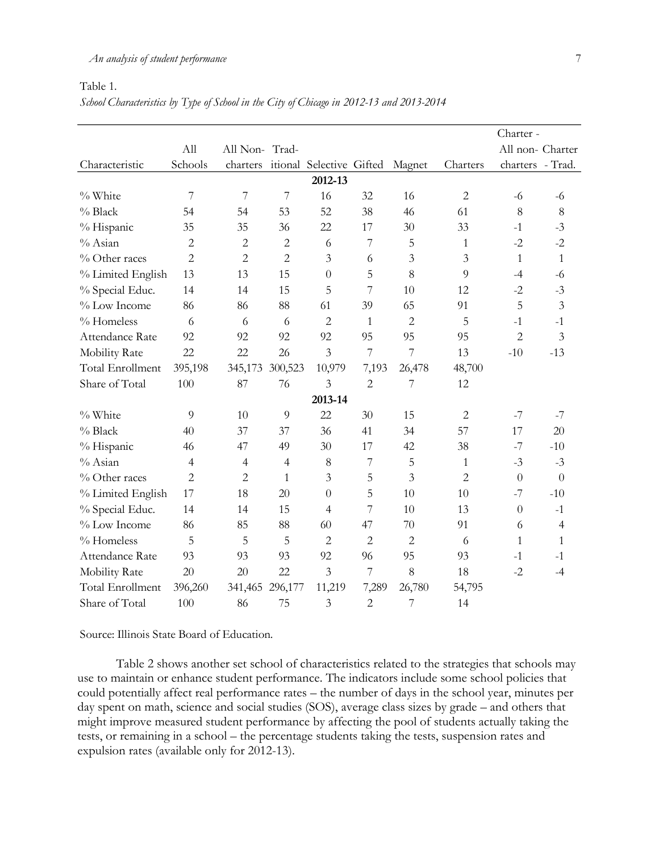### *An analysis of student performance* 7

#### Table 1.

### *School Characteristics by Type of School in the City of Chicago in 2012-13 and 2013-2014*

|                         |                |                |                |                          |                |                |                | Charter -        |                  |
|-------------------------|----------------|----------------|----------------|--------------------------|----------------|----------------|----------------|------------------|------------------|
|                         | All            | All Non- Trad- |                |                          |                |                |                |                  | All non- Charter |
| Characteristic          | Schools        | charters       |                | itional Selective Gifted |                | Magnet         | Charters       | charters - Trad. |                  |
|                         |                |                |                | 2012-13                  |                |                |                |                  |                  |
| % White                 | $\overline{7}$ | $\overline{7}$ | 7              | 16                       | 32             | 16             | $\overline{2}$ | $-6$             | $-6$             |
| % Black                 | 54             | 54             | 53             | 52                       | 38             | 46             | 61             | 8                | 8                |
| % Hispanic              | 35             | 35             | 36             | 22                       | 17             | 30             | 33             | $-1$             | $-3$             |
| % Asian                 | $\overline{c}$ | $\overline{2}$ | $\overline{2}$ | 6                        | 7              | 5              | $\mathbf{1}$   | $-2$             | $-2$             |
| % Other races           | $\overline{c}$ | $\overline{2}$ | $\overline{2}$ | 3                        | 6              | 3              | 3              | $\mathbf{1}$     | $\mathbf{1}$     |
| % Limited English       | 13             | 13             | 15             | $\theta$                 | 5              | 8              | 9              | $-4$             | $-6$             |
| % Special Educ.         | 14             | 14             | 15             | 5                        | 7              | 10             | 12             | $-2$             | $-3$             |
| % Low Income            | 86             | 86             | 88             | 61                       | 39             | 65             | 91             | 5                | $\overline{3}$   |
| % Homeless              | 6              | 6              | 6              | $\overline{c}$           | $\mathbf{1}$   | $\overline{2}$ | 5              | $-1$             | $-1$             |
| Attendance Rate         | 92             | 92             | 92             | 92                       | 95             | 95             | 95             | 2                | $\mathfrak{Z}$   |
| Mobility Rate           | 22             | 22             | 26             | 3                        | $\overline{7}$ | 7              | 13             | $-10$            | $-13$            |
| <b>Total Enrollment</b> | 395,198        | 345,173        | 300,523        | 10,979                   | 7,193          | 26,478         | 48,700         |                  |                  |
| Share of Total          | 100            | 87             | 76             | 3                        | $\overline{2}$ | 7              | 12             |                  |                  |
|                         |                |                |                | 2013-14                  |                |                |                |                  |                  |
| % White                 | 9              | 10             | 9              | 22                       | 30             | 15             | $\overline{2}$ | $-7$             | $-7$             |
| % Black                 | 40             | 37             | 37             | 36                       | 41             | 34             | 57             | 17               | 20               |
| % Hispanic              | 46             | 47             | 49             | 30                       | 17             | 42             | 38             | $-7$             | $-10$            |
| % Asian                 | 4              | $\overline{4}$ | 4              | 8                        | $\overline{7}$ | 5              | $\mathbf{1}$   | $-3$             | $-3$             |
| % Other races           | $\overline{2}$ | 2              | 1              | 3                        | 5              | 3              | $\overline{2}$ | $\theta$         | $\theta$         |
| % Limited English       | 17             | 18             | 20             | $\theta$                 | 5              | 10             | 10             | $-7$             | $-10$            |
| % Special Educ.         | 14             | 14             | 15             | $\overline{4}$           | 7              | 10             | 13             | $\theta$         | $-1$             |
| % Low Income            | 86             | 85             | 88             | 60                       | 47             | 70             | 91             | 6                | $\overline{4}$   |
| % Homeless              | 5              | 5              | 5              | 2                        | $\overline{2}$ | $\overline{2}$ | 6              | 1                | 1                |
| Attendance Rate         | 93             | 93             | 93             | 92                       | 96             | 95             | 93             | $-1$             | $-1$             |
| Mobility Rate           | 20             | 20             | 22             | $\overline{3}$           | 7              | 8              | 18             | $-2$             | $-4$             |
| <b>Total Enrollment</b> | 396,260        | 341,465        | 296,177        | 11,219                   | 7,289          | 26,780         | 54,795         |                  |                  |
| Share of Total          | 100            | 86             | 75             | 3                        | $\overline{2}$ | 7              | 14             |                  |                  |

Source: Illinois State Board of Education.

Table 2 shows another set school of characteristics related to the strategies that schools may use to maintain or enhance student performance. The indicators include some school policies that could potentially affect real performance rates – the number of days in the school year, minutes per day spent on math, science and social studies (SOS), average class sizes by grade – and others that might improve measured student performance by affecting the pool of students actually taking the tests, or remaining in a school – the percentage students taking the tests, suspension rates and expulsion rates (available only for 2012-13).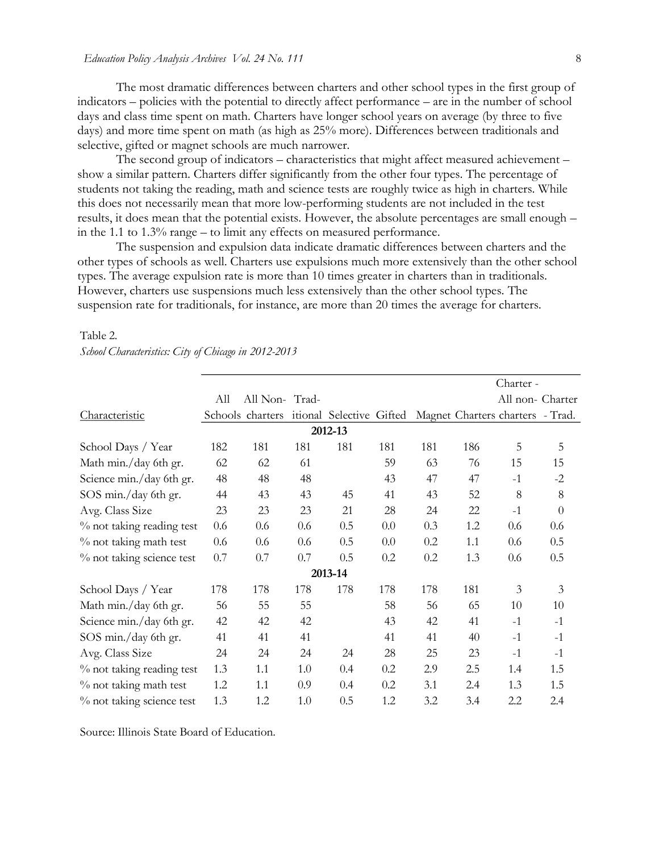The most dramatic differences between charters and other school types in the first group of indicators – policies with the potential to directly affect performance – are in the number of school days and class time spent on math. Charters have longer school years on average (by three to five days) and more time spent on math (as high as 25% more). Differences between traditionals and selective, gifted or magnet schools are much narrower.

The second group of indicators – characteristics that might affect measured achievement – show a similar pattern. Charters differ significantly from the other four types. The percentage of students not taking the reading, math and science tests are roughly twice as high in charters. While this does not necessarily mean that more low-performing students are not included in the test results, it does mean that the potential exists. However, the absolute percentages are small enough – in the 1.1 to 1.3% range – to limit any effects on measured performance.

The suspension and expulsion data indicate dramatic differences between charters and the other types of schools as well. Charters use expulsions much more extensively than the other school types. The average expulsion rate is more than 10 times greater in charters than in traditionals. However, charters use suspensions much less extensively than the other school types. The suspension rate for traditionals, for instance, are more than 20 times the average for charters.

|                           |     |                  |     |                                                           |     |     |     | Charter -        |                |
|---------------------------|-----|------------------|-----|-----------------------------------------------------------|-----|-----|-----|------------------|----------------|
|                           | All | All Non-Trad-    |     |                                                           |     |     |     | All non- Charter |                |
| Characteristic            |     | Schools charters |     | itional Selective Gifted Magnet Charters charters - Trad. |     |     |     |                  |                |
|                           |     |                  |     | 2012-13                                                   |     |     |     |                  |                |
| School Days / Year        | 182 | 181              | 181 | 181                                                       | 181 | 181 | 186 | 5                | 5              |
| Math min./day 6th gr.     | 62  | 62               | 61  |                                                           | 59  | 63  | 76  | 15               | 15             |
| Science min./day 6th gr.  | 48  | 48               | 48  |                                                           | 43  | 47  | 47  | $-1$             | $-2$           |
| SOS min./day 6th gr.      | 44  | 43               | 43  | 45                                                        | 41  | 43  | 52  | 8                | $8\,$          |
| Avg. Class Size           | 23  | 23               | 23  | 21                                                        | 28  | 24  | 22  | $-1$             | $\overline{0}$ |
| % not taking reading test | 0.6 | 0.6              | 0.6 | 0.5                                                       | 0.0 | 0.3 | 1.2 | 0.6              | 0.6            |
| % not taking math test    | 0.6 | 0.6              | 0.6 | 0.5                                                       | 0.0 | 0.2 | 1.1 | 0.6              | 0.5            |
| % not taking science test | 0.7 | 0.7              | 0.7 | 0.5                                                       | 0.2 | 0.2 | 1.3 | 0.6              | 0.5            |
|                           |     |                  |     | 2013-14                                                   |     |     |     |                  |                |
| School Days / Year        | 178 | 178              | 178 | 178                                                       | 178 | 178 | 181 | 3                | 3              |
| Math min./day 6th gr.     | 56  | 55               | 55  |                                                           | 58  | 56  | 65  | 10               | 10             |
| Science min./day 6th gr.  | 42  | 42               | 42  |                                                           | 43  | 42  | 41  | $-1$             | $-1$           |
| SOS min./day 6th gr.      | 41  | 41               | 41  |                                                           | 41  | 41  | 40  | $-1$             | $-1$           |
| Avg. Class Size           | 24  | 24               | 24  | 24                                                        | 28  | 25  | 23  | $-1$             | $-1$           |
| % not taking reading test | 1.3 | 1.1              | 1.0 | 0.4                                                       | 0.2 | 2.9 | 2.5 | 1.4              | 1.5            |
| $%$ not taking math test  | 1.2 | 1.1              | 0.9 | 0.4                                                       | 0.2 | 3.1 | 2.4 | 1.3              | 1.5            |
| % not taking science test | 1.3 | 1.2              | 1.0 | 0.5                                                       | 1.2 | 3.2 | 3.4 | 2.2              | 2.4            |

#### Table 2.

*School Characteristics: City of Chicago in 2012-2013*

Source: Illinois State Board of Education.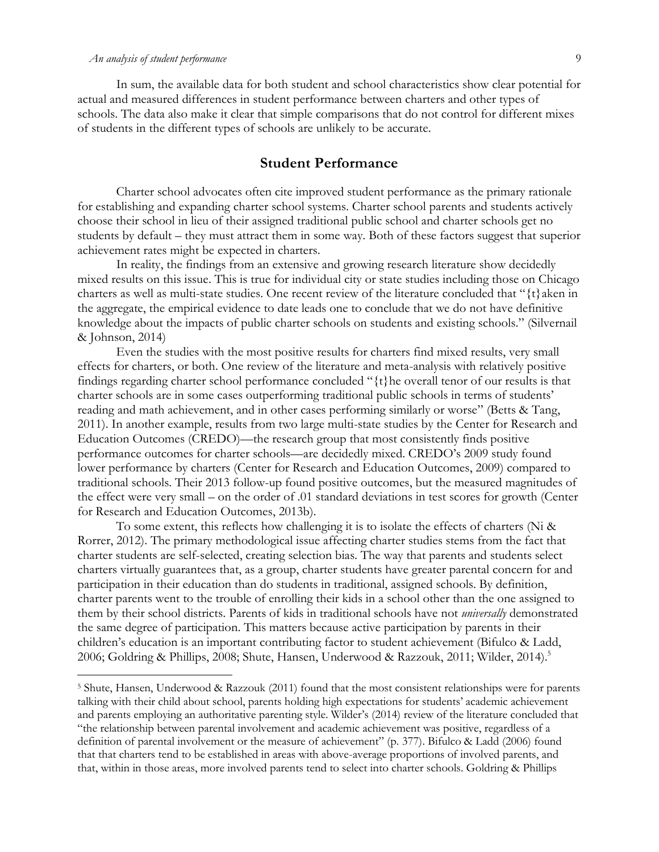In sum, the available data for both student and school characteristics show clear potential for actual and measured differences in student performance between charters and other types of schools. The data also make it clear that simple comparisons that do not control for different mixes of students in the different types of schools are unlikely to be accurate.

### **Student Performance**

Charter school advocates often cite improved student performance as the primary rationale for establishing and expanding charter school systems. Charter school parents and students actively choose their school in lieu of their assigned traditional public school and charter schools get no students by default – they must attract them in some way. Both of these factors suggest that superior achievement rates might be expected in charters.

In reality, the findings from an extensive and growing research literature show decidedly mixed results on this issue. This is true for individual city or state studies including those on Chicago charters as well as multi-state studies. One recent review of the literature concluded that "{t}aken in the aggregate, the empirical evidence to date leads one to conclude that we do not have definitive knowledge about the impacts of public charter schools on students and existing schools." (Silvernail & Johnson, 2014)

Even the studies with the most positive results for charters find mixed results, very small effects for charters, or both. One review of the literature and meta-analysis with relatively positive findings regarding charter school performance concluded "{t}he overall tenor of our results is that charter schools are in some cases outperforming traditional public schools in terms of students' reading and math achievement, and in other cases performing similarly or worse" (Betts & Tang, 2011). In another example, results from two large multi-state studies by the Center for Research and Education Outcomes (CREDO)—the research group that most consistently finds positive performance outcomes for charter schools—are decidedly mixed. CREDO's 2009 study found lower performance by charters (Center for Research and Education Outcomes, 2009) compared to traditional schools. Their 2013 follow-up found positive outcomes, but the measured magnitudes of the effect were very small – on the order of .01 standard deviations in test scores for growth (Center for Research and Education Outcomes, 2013b).

To some extent, this reflects how challenging it is to isolate the effects of charters (Ni & Rorrer, 2012). The primary methodological issue affecting charter studies stems from the fact that charter students are self-selected, creating selection bias. The way that parents and students select charters virtually guarantees that, as a group, charter students have greater parental concern for and participation in their education than do students in traditional, assigned schools. By definition, charter parents went to the trouble of enrolling their kids in a school other than the one assigned to them by their school districts. Parents of kids in traditional schools have not *universally* demonstrated the same degree of participation. This matters because active participation by parents in their children's education is an important contributing factor to student achievement (Bifulco & Ladd, 2006; Goldring & Phillips, 2008; Shute, Hansen, Underwood & Razzouk, 2011; Wilder, 2014).<sup>5</sup>

<sup>5</sup> Shute, Hansen, Underwood & Razzouk (2011) found that the most consistent relationships were for parents talking with their child about school, parents holding high expectations for students' academic achievement and parents employing an authoritative parenting style. Wilder's (2014) review of the literature concluded that "the relationship between parental involvement and academic achievement was positive, regardless of a definition of parental involvement or the measure of achievement" (p. 377). Bifulco & Ladd (2006) found that that charters tend to be established in areas with above-average proportions of involved parents, and that, within in those areas, more involved parents tend to select into charter schools. Goldring & Phillips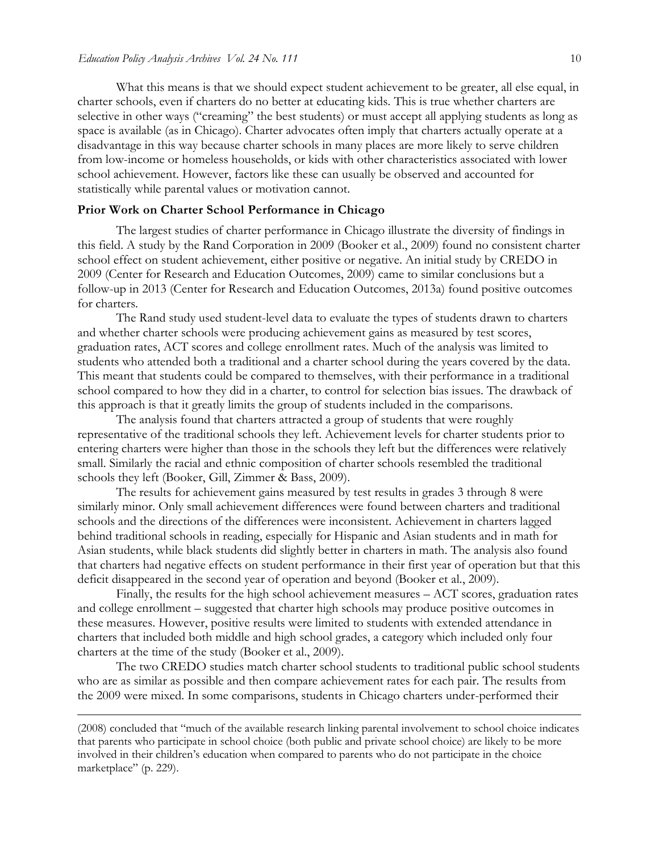What this means is that we should expect student achievement to be greater, all else equal, in charter schools, even if charters do no better at educating kids*.* This is true whether charters are selective in other ways ("creaming" the best students) or must accept all applying students as long as space is available (as in Chicago). Charter advocates often imply that charters actually operate at a disadvantage in this way because charter schools in many places are more likely to serve children from low-income or homeless households, or kids with other characteristics associated with lower school achievement. However, factors like these can usually be observed and accounted for statistically while parental values or motivation cannot.

#### **Prior Work on Charter School Performance in Chicago**

The largest studies of charter performance in Chicago illustrate the diversity of findings in this field. A study by the Rand Corporation in 2009 (Booker et al., 2009) found no consistent charter school effect on student achievement, either positive or negative. An initial study by CREDO in 2009 (Center for Research and Education Outcomes, 2009) came to similar conclusions but a follow-up in 2013 (Center for Research and Education Outcomes, 2013a) found positive outcomes for charters.

The Rand study used student-level data to evaluate the types of students drawn to charters and whether charter schools were producing achievement gains as measured by test scores, graduation rates, ACT scores and college enrollment rates. Much of the analysis was limited to students who attended both a traditional and a charter school during the years covered by the data. This meant that students could be compared to themselves, with their performance in a traditional school compared to how they did in a charter, to control for selection bias issues. The drawback of this approach is that it greatly limits the group of students included in the comparisons.

The analysis found that charters attracted a group of students that were roughly representative of the traditional schools they left. Achievement levels for charter students prior to entering charters were higher than those in the schools they left but the differences were relatively small. Similarly the racial and ethnic composition of charter schools resembled the traditional schools they left (Booker, Gill, Zimmer & Bass, 2009).

The results for achievement gains measured by test results in grades 3 through 8 were similarly minor. Only small achievement differences were found between charters and traditional schools and the directions of the differences were inconsistent. Achievement in charters lagged behind traditional schools in reading, especially for Hispanic and Asian students and in math for Asian students, while black students did slightly better in charters in math. The analysis also found that charters had negative effects on student performance in their first year of operation but that this deficit disappeared in the second year of operation and beyond (Booker et al., 2009).

Finally, the results for the high school achievement measures – ACT scores, graduation rates and college enrollment – suggested that charter high schools may produce positive outcomes in these measures. However, positive results were limited to students with extended attendance in charters that included both middle and high school grades, a category which included only four charters at the time of the study (Booker et al., 2009).

The two CREDO studies match charter school students to traditional public school students who are as similar as possible and then compare achievement rates for each pair. The results from the 2009 were mixed. In some comparisons, students in Chicago charters under-performed their

<sup>(2008)</sup> concluded that "much of the available research linking parental involvement to school choice indicates that parents who participate in school choice (both public and private school choice) are likely to be more involved in their children's education when compared to parents who do not participate in the choice marketplace" (p. 229).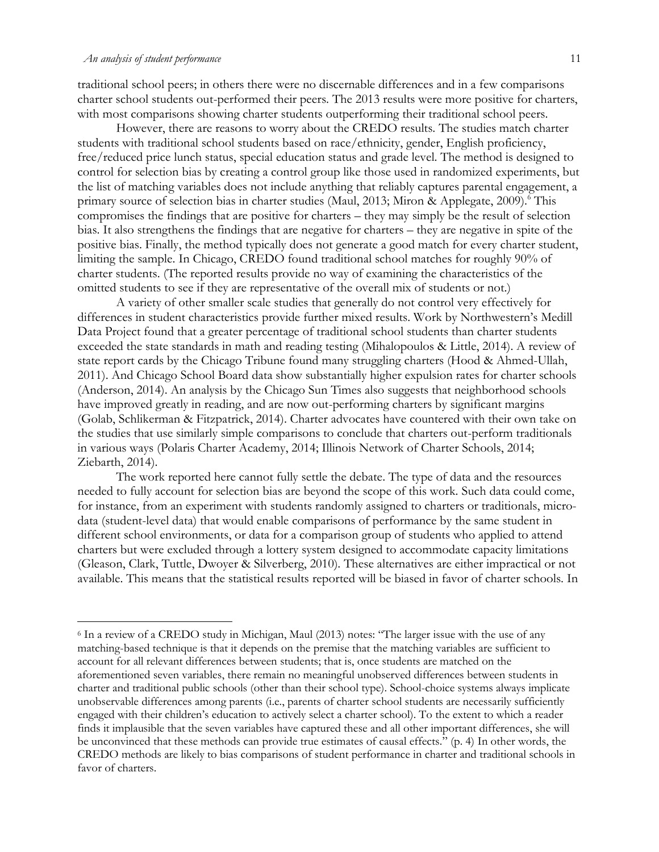traditional school peers; in others there were no discernable differences and in a few comparisons charter school students out-performed their peers. The 2013 results were more positive for charters, with most comparisons showing charter students outperforming their traditional school peers.

However, there are reasons to worry about the CREDO results. The studies match charter students with traditional school students based on race/ethnicity, gender, English proficiency, free/reduced price lunch status, special education status and grade level. The method is designed to control for selection bias by creating a control group like those used in randomized experiments, but the list of matching variables does not include anything that reliably captures parental engagement, a primary source of selection bias in charter studies (Maul, 2013; Miron & Applegate, 2009).<sup>6</sup> This compromises the findings that are positive for charters – they may simply be the result of selection bias. It also strengthens the findings that are negative for charters – they are negative in spite of the positive bias. Finally, the method typically does not generate a good match for every charter student, limiting the sample. In Chicago, CREDO found traditional school matches for roughly 90% of charter students. (The reported results provide no way of examining the characteristics of the omitted students to see if they are representative of the overall mix of students or not.)

A variety of other smaller scale studies that generally do not control very effectively for differences in student characteristics provide further mixed results. Work by Northwestern's Medill Data Project found that a greater percentage of traditional school students than charter students exceeded the state standards in math and reading testing (Mihalopoulos & Little, 2014). A review of state report cards by the Chicago Tribune found many struggling charters (Hood & Ahmed-Ullah, 2011). And Chicago School Board data show substantially higher expulsion rates for charter schools (Anderson, 2014). An analysis by the Chicago Sun Times also suggests that neighborhood schools have improved greatly in reading, and are now out-performing charters by significant margins (Golab, Schlikerman & Fitzpatrick, 2014). Charter advocates have countered with their own take on the studies that use similarly simple comparisons to conclude that charters out-perform traditionals in various ways (Polaris Charter Academy, 2014; Illinois Network of Charter Schools, 2014; Ziebarth, 2014).

The work reported here cannot fully settle the debate. The type of data and the resources needed to fully account for selection bias are beyond the scope of this work. Such data could come, for instance, from an experiment with students randomly assigned to charters or traditionals, microdata (student-level data) that would enable comparisons of performance by the same student in different school environments, or data for a comparison group of students who applied to attend charters but were excluded through a lottery system designed to accommodate capacity limitations (Gleason, Clark, Tuttle, Dwoyer & Silverberg, 2010). These alternatives are either impractical or not available. This means that the statistical results reported will be biased in favor of charter schools. In

<sup>6</sup> In a review of a CREDO study in Michigan, Maul (2013) notes: "The larger issue with the use of any matching-based technique is that it depends on the premise that the matching variables are sufficient to account for all relevant differences between students; that is, once students are matched on the aforementioned seven variables, there remain no meaningful unobserved differences between students in charter and traditional public schools (other than their school type). School-choice systems always implicate unobservable differences among parents (i.e., parents of charter school students are necessarily sufficiently engaged with their children's education to actively select a charter school). To the extent to which a reader finds it implausible that the seven variables have captured these and all other important differences, she will be unconvinced that these methods can provide true estimates of causal effects." (p. 4) In other words, the CREDO methods are likely to bias comparisons of student performance in charter and traditional schools in favor of charters.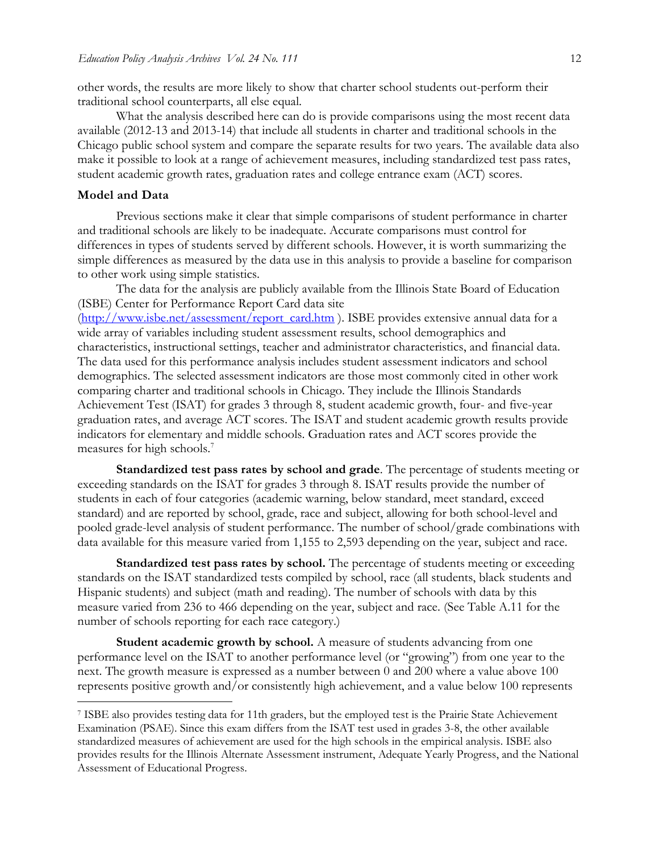other words, the results are more likely to show that charter school students out-perform their traditional school counterparts, all else equal.

What the analysis described here can do is provide comparisons using the most recent data available (2012-13 and 2013-14) that include all students in charter and traditional schools in the Chicago public school system and compare the separate results for two years. The available data also make it possible to look at a range of achievement measures, including standardized test pass rates, student academic growth rates, graduation rates and college entrance exam (ACT) scores.

### **Model and Data**

 $\overline{a}$ 

Previous sections make it clear that simple comparisons of student performance in charter and traditional schools are likely to be inadequate. Accurate comparisons must control for differences in types of students served by different schools. However, it is worth summarizing the simple differences as measured by the data use in this analysis to provide a baseline for comparison to other work using simple statistics.

The data for the analysis are publicly available from the Illinois State Board of Education (ISBE) Center for Performance Report Card data site

[\(http://www.isbe.net/assessment/report\\_card.htm](http://www.isbe.net/assessment/report_card.htm) ). ISBE provides extensive annual data for a wide array of variables including student assessment results, school demographics and characteristics, instructional settings, teacher and administrator characteristics, and financial data. The data used for this performance analysis includes student assessment indicators and school demographics. The selected assessment indicators are those most commonly cited in other work comparing charter and traditional schools in Chicago. They include the Illinois Standards Achievement Test (ISAT) for grades 3 through 8, student academic growth, four- and five-year graduation rates, and average ACT scores. The ISAT and student academic growth results provide indicators for elementary and middle schools. Graduation rates and ACT scores provide the measures for high schools.<sup>7</sup>

**Standardized test pass rates by school and grade**. The percentage of students meeting or exceeding standards on the ISAT for grades 3 through 8. ISAT results provide the number of students in each of four categories (academic warning, below standard, meet standard, exceed standard) and are reported by school, grade, race and subject, allowing for both school-level and pooled grade-level analysis of student performance. The number of school/grade combinations with data available for this measure varied from 1,155 to 2,593 depending on the year, subject and race.

**Standardized test pass rates by school.** The percentage of students meeting or exceeding standards on the ISAT standardized tests compiled by school, race (all students, black students and Hispanic students) and subject (math and reading). The number of schools with data by this measure varied from 236 to 466 depending on the year, subject and race. (See Table A.11 for the number of schools reporting for each race category.)

**Student academic growth by school.** A measure of students advancing from one performance level on the ISAT to another performance level (or "growing") from one year to the next. The growth measure is expressed as a number between 0 and 200 where a value above 100 represents positive growth and/or consistently high achievement, and a value below 100 represents

<sup>7</sup> ISBE also provides testing data for 11th graders, but the employed test is the Prairie State Achievement Examination (PSAE). Since this exam differs from the ISAT test used in grades 3-8, the other available standardized measures of achievement are used for the high schools in the empirical analysis. ISBE also provides results for the Illinois Alternate Assessment instrument, Adequate Yearly Progress, and the National Assessment of Educational Progress.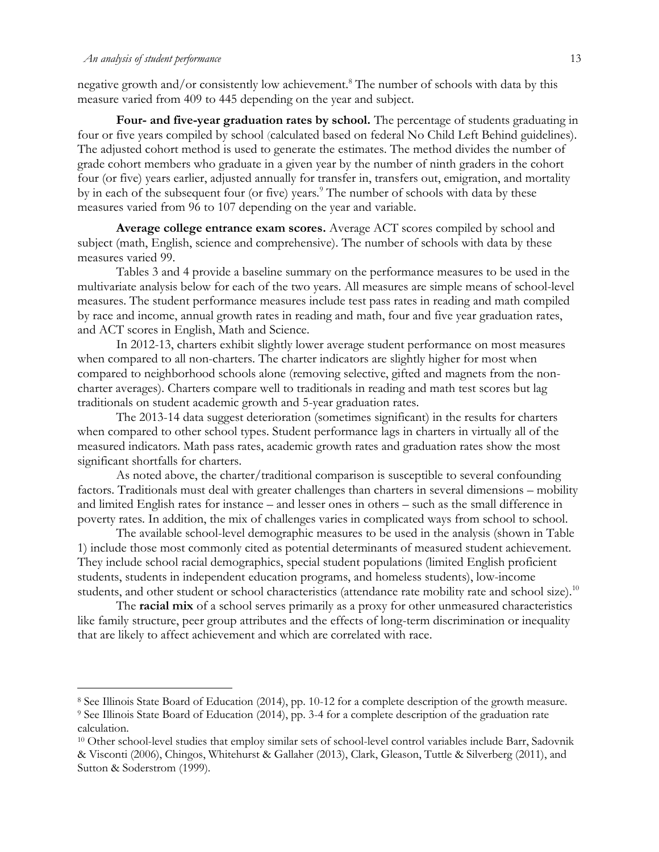negative growth and/or consistently low achievement.<sup>8</sup> The number of schools with data by this measure varied from 409 to 445 depending on the year and subject.

**Four- and five-year graduation rates by school.** The percentage of students graduating in four or five years compiled by school (calculated based on federal No Child Left Behind guidelines). The adjusted cohort method is used to generate the estimates. The method divides the number of grade cohort members who graduate in a given year by the number of ninth graders in the cohort four (or five) years earlier, adjusted annually for transfer in, transfers out, emigration, and mortality by in each of the subsequent four (or five) years.<sup>9</sup> The number of schools with data by these measures varied from 96 to 107 depending on the year and variable.

**Average college entrance exam scores.** Average ACT scores compiled by school and subject (math, English, science and comprehensive). The number of schools with data by these measures varied 99.

Tables 3 and 4 provide a baseline summary on the performance measures to be used in the multivariate analysis below for each of the two years. All measures are simple means of school-level measures. The student performance measures include test pass rates in reading and math compiled by race and income, annual growth rates in reading and math, four and five year graduation rates, and ACT scores in English, Math and Science.

In 2012-13, charters exhibit slightly lower average student performance on most measures when compared to all non-charters. The charter indicators are slightly higher for most when compared to neighborhood schools alone (removing selective, gifted and magnets from the noncharter averages). Charters compare well to traditionals in reading and math test scores but lag traditionals on student academic growth and 5-year graduation rates.

The 2013-14 data suggest deterioration (sometimes significant) in the results for charters when compared to other school types. Student performance lags in charters in virtually all of the measured indicators. Math pass rates, academic growth rates and graduation rates show the most significant shortfalls for charters.

As noted above, the charter/traditional comparison is susceptible to several confounding factors. Traditionals must deal with greater challenges than charters in several dimensions – mobility and limited English rates for instance – and lesser ones in others – such as the small difference in poverty rates. In addition, the mix of challenges varies in complicated ways from school to school.

The available school-level demographic measures to be used in the analysis (shown in Table 1) include those most commonly cited as potential determinants of measured student achievement. They include school racial demographics, special student populations (limited English proficient students, students in independent education programs, and homeless students), low-income students, and other student or school characteristics (attendance rate mobility rate and school size).<sup>10</sup>

The **racial mix** of a school serves primarily as a proxy for other unmeasured characteristics like family structure, peer group attributes and the effects of long-term discrimination or inequality that are likely to affect achievement and which are correlated with race.

 $\overline{a}$ 

<sup>8</sup> See Illinois State Board of Education (2014), pp. 10-12 for a complete description of the growth measure. <sup>9</sup> See Illinois State Board of Education (2014), pp. 3-4 for a complete description of the graduation rate

calculation.

<sup>10</sup> Other school-level studies that employ similar sets of school-level control variables include Barr, Sadovnik & Visconti (2006), Chingos, Whitehurst & Gallaher (2013), Clark, Gleason, Tuttle & Silverberg (2011), and Sutton & Soderstrom (1999).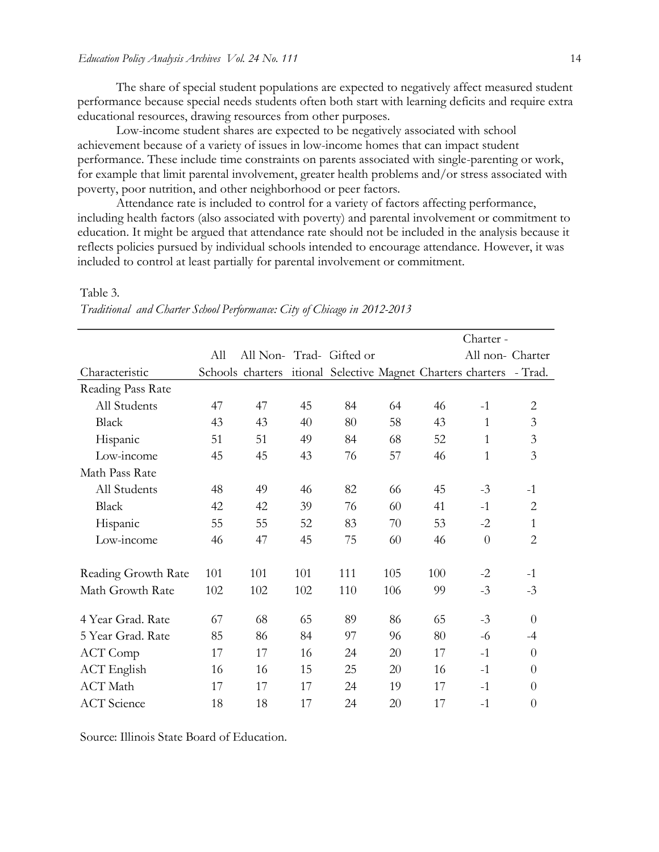The share of special student populations are expected to negatively affect measured student performance because special needs students often both start with learning deficits and require extra educational resources, drawing resources from other purposes.

Low-income student shares are expected to be negatively associated with school achievement because of a variety of issues in low-income homes that can impact student performance. These include time constraints on parents associated with single-parenting or work, for example that limit parental involvement, greater health problems and/or stress associated with poverty, poor nutrition, and other neighborhood or peer factors.

Attendance rate is included to control for a variety of factors affecting performance, including health factors (also associated with poverty) and parental involvement or commitment to education. It might be argued that attendance rate should not be included in the analysis because it reflects policies pursued by individual schools intended to encourage attendance. However, it was included to control at least partially for parental involvement or commitment.

#### Table 3.

|                     |     |     |     |                                                                     |     |     | Charter -        |                |
|---------------------|-----|-----|-----|---------------------------------------------------------------------|-----|-----|------------------|----------------|
|                     | All |     |     | All Non- Trad- Gifted or                                            |     |     | All non- Charter |                |
| Characteristic      |     |     |     | Schools charters itional Selective Magnet Charters charters - Trad. |     |     |                  |                |
| Reading Pass Rate   |     |     |     |                                                                     |     |     |                  |                |
| All Students        | 47  | 47  | 45  | 84                                                                  | 64  | 46  | $-1$             | $\overline{2}$ |
| <b>Black</b>        | 43  | 43  | 40  | 80                                                                  | 58  | 43  | $\mathbf{1}$     | 3              |
| Hispanic            | 51  | 51  | 49  | 84                                                                  | 68  | 52  | 1                | $\mathfrak{Z}$ |
| Low-income          | 45  | 45  | 43  | 76                                                                  | 57  | 46  | $\mathbf{1}$     | 3              |
| Math Pass Rate      |     |     |     |                                                                     |     |     |                  |                |
| All Students        | 48  | 49  | 46  | 82                                                                  | 66  | 45  | $-3$             | $-1$           |
| <b>Black</b>        | 42  | 42  | 39  | 76                                                                  | 60  | 41  | $-1$             | $\overline{2}$ |
| Hispanic            | 55  | 55  | 52  | 83                                                                  | 70  | 53  | $-2$             | $\mathbf{1}$   |
| Low-income          | 46  | 47  | 45  | 75                                                                  | 60  | 46  | $\theta$         | $\overline{2}$ |
| Reading Growth Rate | 101 | 101 | 101 | 111                                                                 | 105 | 100 | $-2.$            | $-1$           |
| Math Growth Rate    | 102 | 102 | 102 | 110                                                                 | 106 | 99  | $-3$             | $-3$           |
| 4 Year Grad. Rate   | 67  | 68  | 65  | 89                                                                  | 86  | 65  | $-3$             | $\Omega$       |
| 5 Year Grad. Rate   | 85  | 86  | 84  | 97                                                                  | 96  | 80  | -6               | $-4$           |
| ACT Comp            | 17  | 17  | 16  | 24                                                                  | 20  | 17  | $-1$             | $\theta$       |
| <b>ACT</b> English  | 16  | 16  | 15  | 25                                                                  | 20  | 16  | $-1$             | $\Omega$       |
| <b>ACT</b> Math     | 17  | 17  | 17  | 24                                                                  | 19  | 17  | $-1$             | $\overline{0}$ |
| <b>ACT</b> Science  | 18  | 18  | 17  | 24                                                                  | 20  | 17  | $-1$             | $\theta$       |

*Traditional and Charter School Performance: City of Chicago in 2012-2013*

Source: Illinois State Board of Education.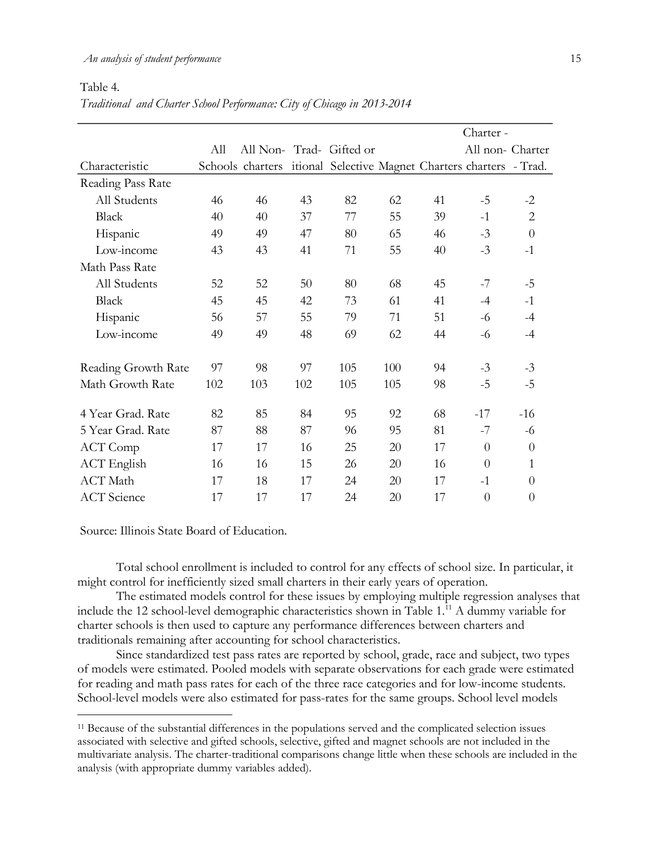### *An analysis of student performance* 15

Table 4.

*Traditional and Charter School Performance: City of Chicago in 2013-2014*

|                     |     |     |     |                                                                     |     |    | Charter -        |                |
|---------------------|-----|-----|-----|---------------------------------------------------------------------|-----|----|------------------|----------------|
|                     | All |     |     | All Non- Trad- Gifted or                                            |     |    | All non- Charter |                |
| Characteristic      |     |     |     | Schools charters itional Selective Magnet Charters charters - Trad. |     |    |                  |                |
| Reading Pass Rate   |     |     |     |                                                                     |     |    |                  |                |
| All Students        | 46  | 46  | 43  | 82                                                                  | 62  | 41 | $-5$             | $-2$           |
| <b>Black</b>        | 40  | 40  | 37  | 77                                                                  | 55  | 39 | $-1$             | $\overline{2}$ |
| Hispanic            | 49  | 49  | 47  | 80                                                                  | 65  | 46 | $-3$             | $\theta$       |
| Low-income          | 43  | 43  | 41  | 71                                                                  | 55  | 40 | $-3$             | $-1$           |
| Math Pass Rate      |     |     |     |                                                                     |     |    |                  |                |
| All Students        | 52  | 52  | 50  | 80                                                                  | 68  | 45 | $-7$             | $-5$           |
| <b>Black</b>        | 45  | 45  | 42  | 73                                                                  | 61  | 41 | $-4$             | $-1$           |
| Hispanic            | 56  | 57  | 55  | 79                                                                  | 71  | 51 | $-6$             | $-4$           |
| Low-income          | 49  | 49  | 48  | 69                                                                  | 62  | 44 | -6               | $-4$           |
| Reading Growth Rate | 97  | 98  | 97  | 105                                                                 | 100 | 94 | $-3$             | $-3$           |
| Math Growth Rate    | 102 | 103 | 102 | 105                                                                 | 105 | 98 | $-5$             | $-5$           |
| 4 Year Grad. Rate   | 82  | 85  | 84  | 95                                                                  | 92  | 68 | $-17$            | $-16$          |
| 5 Year Grad. Rate   | 87  | 88  | 87  | 96                                                                  | 95  | 81 | $-7$             | -6             |
| ACT Comp            | 17  | 17  | 16  | 25                                                                  | 20  | 17 | $\theta$         | $\Omega$       |
| <b>ACT</b> English  | 16  | 16  | 15  | 26                                                                  | 20  | 16 | $\theta$         | 1              |
| <b>ACT</b> Math     | 17  | 18  | 17  | 24                                                                  | 20  | 17 | $-1$             | $\overline{0}$ |
| <b>ACT</b> Science  | 17  | 17  | 17  | 24                                                                  | 20  | 17 | $\theta$         | $\theta$       |

Source: Illinois State Board of Education.

 $\overline{a}$ 

Total school enrollment is included to control for any effects of school size. In particular, it might control for inefficiently sized small charters in their early years of operation.

The estimated models control for these issues by employing multiple regression analyses that include the 12 school-level demographic characteristics shown in Table 1.<sup>11</sup> A dummy variable for charter schools is then used to capture any performance differences between charters and traditionals remaining after accounting for school characteristics.

Since standardized test pass rates are reported by school, grade, race and subject, two types of models were estimated. Pooled models with separate observations for each grade were estimated for reading and math pass rates for each of the three race categories and for low-income students. School-level models were also estimated for pass-rates for the same groups. School level models

<sup>&</sup>lt;sup>11</sup> Because of the substantial differences in the populations served and the complicated selection issues associated with selective and gifted schools, selective, gifted and magnet schools are not included in the multivariate analysis. The charter-traditional comparisons change little when these schools are included in the analysis (with appropriate dummy variables added).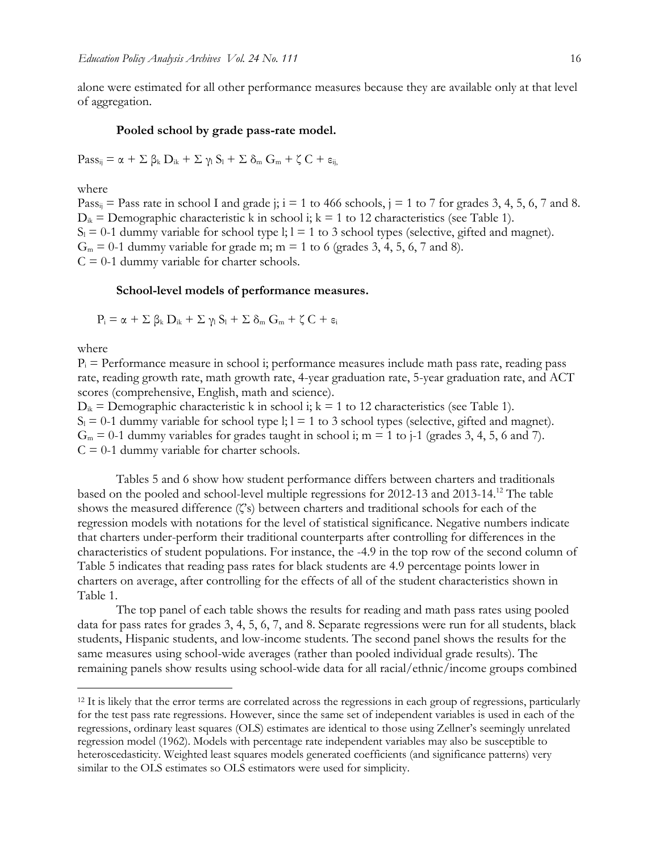alone were estimated for all other performance measures because they are available only at that level of aggregation.

#### **Pooled school by grade pass-rate model.**

 $Pass_{ij} = \alpha + \sum \beta_k D_{ik} + \sum \gamma_l S_l + \sum \delta_m G_m + \zeta C + \epsilon_{ij}$ 

where

Pass<sub>ij</sub> = Pass rate in school I and grade j; i = 1 to 466 schools, j = 1 to 7 for grades 3, 4, 5, 6, 7 and 8.  $D_{ik}$  = Demographic characteristic k in school i; k = 1 to 12 characteristics (see Table 1).  $S_1 = 0$ -1 dummy variable for school type l;  $l = 1$  to 3 school types (selective, gifted and magnet).  $G_m = 0$ -1 dummy variable for grade m; m = 1 to 6 (grades 3, 4, 5, 6, 7 and 8).  $C = 0-1$  dummy variable for charter schools.

### **School-level models of performance measures.**

 $P_i = \alpha + \sum \beta_k D_{ik} + \sum \gamma_l S_l + \sum \delta_m G_m + \zeta C + \epsilon_i$ 

where

 $\overline{a}$ 

 $P_i$  = Performance measure in school i; performance measures include math pass rate, reading pass rate, reading growth rate, math growth rate, 4-year graduation rate, 5-year graduation rate, and ACT scores (comprehensive, English, math and science).

 $D_{ik}$  = Demographic characteristic k in school i; k = 1 to 12 characteristics (see Table 1).  $S_1 = 0$ -1 dummy variable for school type l;  $l = 1$  to 3 school types (selective, gifted and magnet).  $G_m = 0$ -1 dummy variables for grades taught in school i; m = 1 to j-1 (grades 3, 4, 5, 6 and 7).  $C = 0-1$  dummy variable for charter schools.

Tables 5 and 6 show how student performance differs between charters and traditionals based on the pooled and school-level multiple regressions for 2012-13 and 2013-14. <sup>12</sup> The table shows the measured difference (ζ's) between charters and traditional schools for each of the regression models with notations for the level of statistical significance. Negative numbers indicate that charters under-perform their traditional counterparts after controlling for differences in the characteristics of student populations. For instance, the -4.9 in the top row of the second column of Table 5 indicates that reading pass rates for black students are 4.9 percentage points lower in charters on average, after controlling for the effects of all of the student characteristics shown in Table 1.

The top panel of each table shows the results for reading and math pass rates using pooled data for pass rates for grades 3, 4, 5, 6, 7, and 8. Separate regressions were run for all students, black students, Hispanic students, and low-income students. The second panel shows the results for the same measures using school-wide averages (rather than pooled individual grade results). The remaining panels show results using school-wide data for all racial/ethnic/income groups combined

<sup>12</sup> It is likely that the error terms are correlated across the regressions in each group of regressions, particularly for the test pass rate regressions. However, since the same set of independent variables is used in each of the regressions, ordinary least squares (OLS) estimates are identical to those using Zellner's seemingly unrelated regression model (1962). Models with percentage rate independent variables may also be susceptible to heteroscedasticity. Weighted least squares models generated coefficients (and significance patterns) very similar to the OLS estimates so OLS estimators were used for simplicity.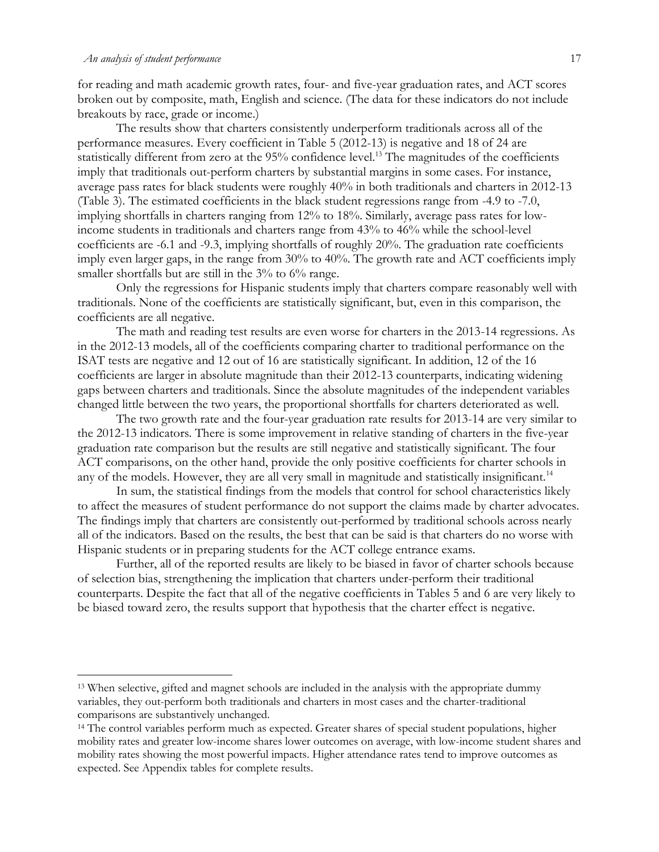for reading and math academic growth rates, four- and five-year graduation rates, and ACT scores broken out by composite, math, English and science. (The data for these indicators do not include breakouts by race, grade or income.)

The results show that charters consistently underperform traditionals across all of the performance measures. Every coefficient in Table 5 (2012-13) is negative and 18 of 24 are statistically different from zero at the 95% confidence level.<sup>13</sup> The magnitudes of the coefficients imply that traditionals out-perform charters by substantial margins in some cases. For instance, average pass rates for black students were roughly 40% in both traditionals and charters in 2012-13 (Table 3). The estimated coefficients in the black student regressions range from -4.9 to -7.0, implying shortfalls in charters ranging from 12% to 18%. Similarly, average pass rates for lowincome students in traditionals and charters range from 43% to 46% while the school-level coefficients are -6.1 and -9.3, implying shortfalls of roughly 20%. The graduation rate coefficients imply even larger gaps, in the range from 30% to 40%. The growth rate and ACT coefficients imply smaller shortfalls but are still in the  $3\%$  to  $6\%$  range.

Only the regressions for Hispanic students imply that charters compare reasonably well with traditionals. None of the coefficients are statistically significant, but, even in this comparison, the coefficients are all negative.

The math and reading test results are even worse for charters in the 2013-14 regressions. As in the 2012-13 models, all of the coefficients comparing charter to traditional performance on the ISAT tests are negative and 12 out of 16 are statistically significant. In addition, 12 of the 16 coefficients are larger in absolute magnitude than their 2012-13 counterparts, indicating widening gaps between charters and traditionals. Since the absolute magnitudes of the independent variables changed little between the two years, the proportional shortfalls for charters deteriorated as well.

The two growth rate and the four-year graduation rate results for 2013-14 are very similar to the 2012-13 indicators. There is some improvement in relative standing of charters in the five-year graduation rate comparison but the results are still negative and statistically significant. The four ACT comparisons, on the other hand, provide the only positive coefficients for charter schools in any of the models. However, they are all very small in magnitude and statistically insignificant.<sup>14</sup>

In sum, the statistical findings from the models that control for school characteristics likely to affect the measures of student performance do not support the claims made by charter advocates. The findings imply that charters are consistently out-performed by traditional schools across nearly all of the indicators. Based on the results, the best that can be said is that charters do no worse with Hispanic students or in preparing students for the ACT college entrance exams.

Further, all of the reported results are likely to be biased in favor of charter schools because of selection bias, strengthening the implication that charters under-perform their traditional counterparts. Despite the fact that all of the negative coefficients in Tables 5 and 6 are very likely to be biased toward zero, the results support that hypothesis that the charter effect is negative.

<sup>&</sup>lt;sup>13</sup> When selective, gifted and magnet schools are included in the analysis with the appropriate dummy variables, they out-perform both traditionals and charters in most cases and the charter-traditional comparisons are substantively unchanged.

<sup>14</sup> The control variables perform much as expected. Greater shares of special student populations, higher mobility rates and greater low-income shares lower outcomes on average, with low-income student shares and mobility rates showing the most powerful impacts. Higher attendance rates tend to improve outcomes as expected. See Appendix tables for complete results.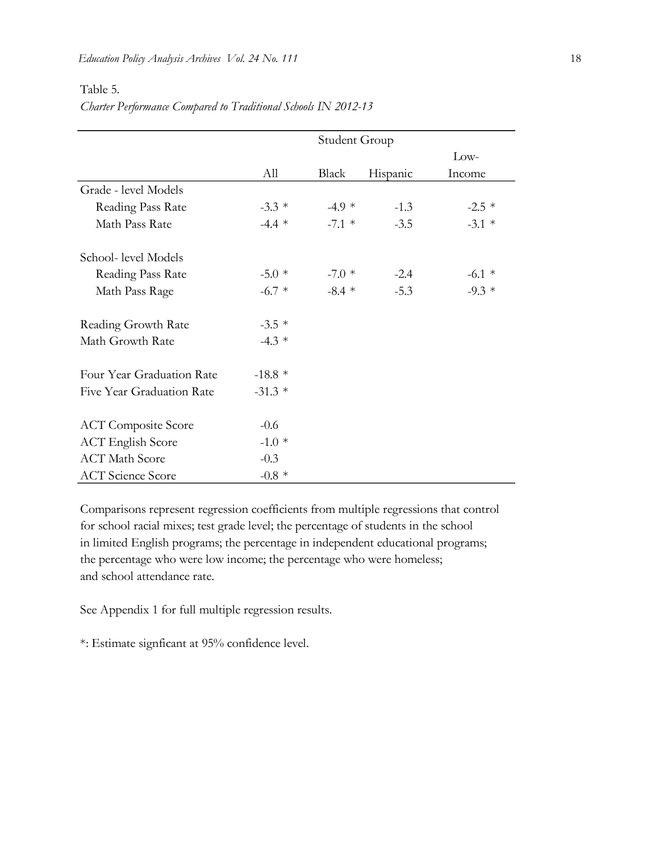|                            |          | Student Group |          |          |
|----------------------------|----------|---------------|----------|----------|
|                            |          |               |          | Low-     |
|                            | All      | Black         | Hispanic | Income   |
| Grade - level Models       |          |               |          |          |
| Reading Pass Rate          | $-3.3*$  | $-4.9*$       | $-1.3$   | $-2.5*$  |
| Math Pass Rate             | $-4.4 *$ | $-7.1$ *      | $-3.5$   | $-3.1$ * |
| School- level Models       |          |               |          |          |
| Reading Pass Rate          | $-5.0*$  | $-7.0*$       | $-2.4$   | $-6.1$ * |
| Math Pass Rage             | $-6.7 *$ | $-8.4 *$      | $-5.3$   | $-9.3 *$ |
| Reading Growth Rate        | $-3.5*$  |               |          |          |
| Math Growth Rate           | $-4.3*$  |               |          |          |
| Four Year Graduation Rate  | $-18.8*$ |               |          |          |
| Five Year Graduation Rate  | $-31.3*$ |               |          |          |
| <b>ACT</b> Composite Score | $-0.6$   |               |          |          |
| <b>ACT</b> English Score   | $-1.0*$  |               |          |          |
| <b>ACT</b> Math Score      | $-0.3$   |               |          |          |
| <b>ACT</b> Science Score   | $-0.8 *$ |               |          |          |

### Table 5. *Charter Performance Compared to Traditional Schools IN 2012-13*

Comparisons represent regression coefficients from multiple regressions that control for school racial mixes; test grade level; the percentage of students in the school in limited English programs; the percentage in independent educational programs; the percentage who were low income; the percentage who were homeless; and school attendance rate.

See Appendix 1 for full multiple regression results.

\*: Estimate signficant at 95% confidence level.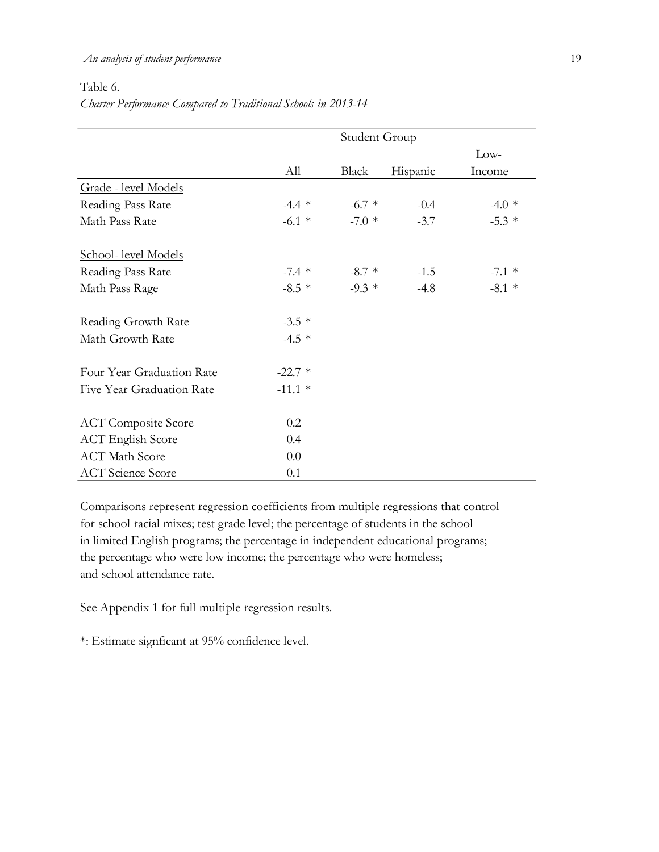### Table 6.

|  |  |  | Charter Performance Compared to Traditional Schools in 2013-14 |  |  |
|--|--|--|----------------------------------------------------------------|--|--|
|  |  |  |                                                                |  |  |

|                            |           | Student Group   |          |          |
|----------------------------|-----------|-----------------|----------|----------|
|                            |           |                 |          | Low-     |
|                            | All       | Black           | Hispanic | Income   |
| Grade - level Models       |           |                 |          |          |
| Reading Pass Rate          | $-4.4$ *  | $-6.7*$         | $-0.4$   | $-4.0*$  |
| Math Pass Rate             | $-6.1$ *  | $-7.0*$         | $-3.7$   | $-5.3*$  |
| School- level Models       |           |                 |          |          |
| Reading Pass Rate          |           | $-7.4 * -8.7 *$ | $-1.5$   | $-7.1$ * |
| Math Pass Rage             | $-8.5 *$  | $-9.3 *$        | $-4.8$   | $-8.1$ * |
| Reading Growth Rate        | $-3.5*$   |                 |          |          |
| Math Growth Rate           | $-4.5*$   |                 |          |          |
| Four Year Graduation Rate  | $-22.7$ * |                 |          |          |
| Five Year Graduation Rate  | $-11.1$ * |                 |          |          |
| <b>ACT</b> Composite Score | 0.2       |                 |          |          |
| <b>ACT</b> English Score   | 0.4       |                 |          |          |
| <b>ACT</b> Math Score      | 0.0       |                 |          |          |
| <b>ACT</b> Science Score   | 0.1       |                 |          |          |

Comparisons represent regression coefficients from multiple regressions that control for school racial mixes; test grade level; the percentage of students in the school in limited English programs; the percentage in independent educational programs; the percentage who were low income; the percentage who were homeless; and school attendance rate.

See Appendix 1 for full multiple regression results.

\*: Estimate signficant at 95% confidence level.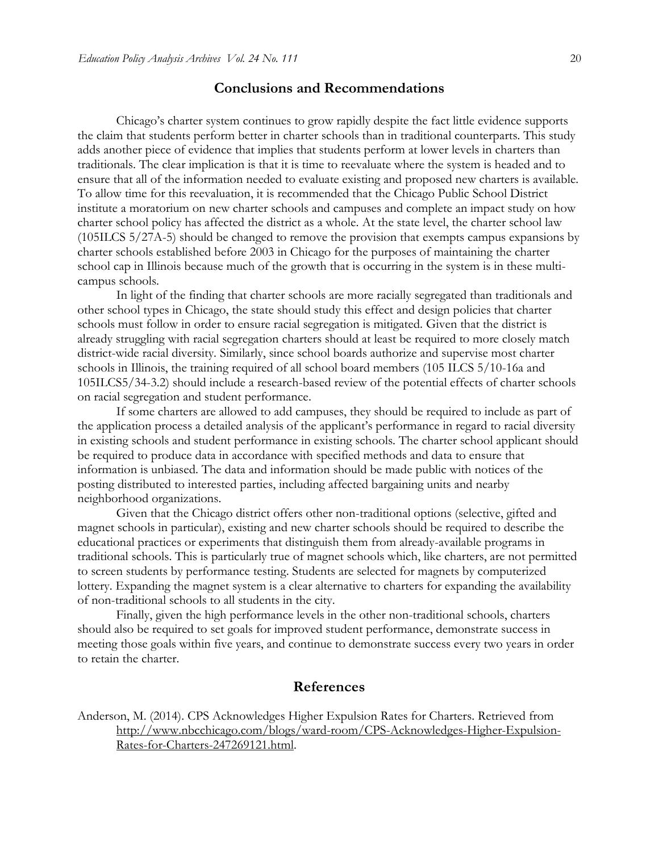### **Conclusions and Recommendations**

Chicago's charter system continues to grow rapidly despite the fact little evidence supports the claim that students perform better in charter schools than in traditional counterparts. This study adds another piece of evidence that implies that students perform at lower levels in charters than traditionals. The clear implication is that it is time to reevaluate where the system is headed and to ensure that all of the information needed to evaluate existing and proposed new charters is available. To allow time for this reevaluation, it is recommended that the Chicago Public School District institute a moratorium on new charter schools and campuses and complete an impact study on how charter school policy has affected the district as a whole. At the state level, the charter school law (105ILCS 5/27A-5) should be changed to remove the provision that exempts campus expansions by charter schools established before 2003 in Chicago for the purposes of maintaining the charter school cap in Illinois because much of the growth that is occurring in the system is in these multicampus schools.

In light of the finding that charter schools are more racially segregated than traditionals and other school types in Chicago, the state should study this effect and design policies that charter schools must follow in order to ensure racial segregation is mitigated. Given that the district is already struggling with racial segregation charters should at least be required to more closely match district-wide racial diversity. Similarly, since school boards authorize and supervise most charter schools in Illinois, the training required of all school board members (105 ILCS 5/10-16a and 105ILCS5/34-3.2) should include a research-based review of the potential effects of charter schools on racial segregation and student performance.

If some charters are allowed to add campuses, they should be required to include as part of the application process a detailed analysis of the applicant's performance in regard to racial diversity in existing schools and student performance in existing schools. The charter school applicant should be required to produce data in accordance with specified methods and data to ensure that information is unbiased. The data and information should be made public with notices of the posting distributed to interested parties, including affected bargaining units and nearby neighborhood organizations.

Given that the Chicago district offers other non-traditional options (selective, gifted and magnet schools in particular), existing and new charter schools should be required to describe the educational practices or experiments that distinguish them from already-available programs in traditional schools. This is particularly true of magnet schools which, like charters, are not permitted to screen students by performance testing. Students are selected for magnets by computerized lottery. Expanding the magnet system is a clear alternative to charters for expanding the availability of non-traditional schools to all students in the city.

Finally, given the high performance levels in the other non-traditional schools, charters should also be required to set goals for improved student performance, demonstrate success in meeting those goals within five years, and continue to demonstrate success every two years in order to retain the charter.

### **References**

Anderson, M. (2014). CPS Acknowledges Higher Expulsion Rates for Charters. Retrieved from [http://www.nbcchicago.com/blogs/ward-room/CPS-Acknowledges-Higher-Expulsion-](http://www.nbcchicago.com/blogs/ward-room/CPS-Acknowledges-Higher-Expulsion-Rates-for-Charters-247269121.html)[Rates-for-Charters-247269121.html.](http://www.nbcchicago.com/blogs/ward-room/CPS-Acknowledges-Higher-Expulsion-Rates-for-Charters-247269121.html)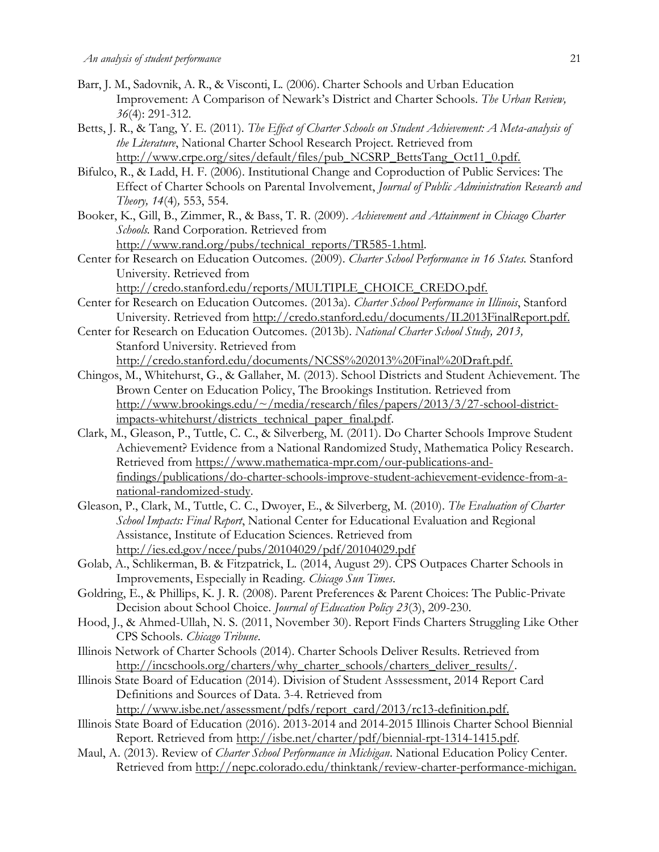- Barr, J. M., Sadovnik, A. R., & Visconti, L. (2006). Charter Schools and Urban Education Improvement: A Comparison of Newark's District and Charter Schools. *The Urban Review, 36*(4): 291-312.
- Betts, J. R., & Tang, Y. E. (2011). *The Effect of Charter Schools on Student Achievement: A Meta-analysis of the Literature*, National Charter School Research Project. Retrieved from http://www.crpe.org/sites/default/files/pub\_NCSRP\_BettsTang\_Oct11\_0.pdf.
- Bifulco, R., & Ladd, H. F. (2006). Institutional Change and Coproduction of Public Services: The Effect of Charter Schools on Parental Involvement, *Journal of Public Administration Research and Theory, 14*(4)*,* 553, 554.
- Booker, K., Gill, B., Zimmer, R., & Bass, T. R. (2009). *Achievement and Attainment in Chicago Charter Schools.* Rand Corporation. Retrieved from http://www.rand.org/pubs/technical\_reports/TR585-1.html.
- Center for Research on Education Outcomes. (2009). *Charter School Performance in 16 States.* Stanford University. Retrieved from http://credo.stanford.edu/reports/MULTIPLE\_CHOICE\_CREDO.pdf.
- Center for Research on Education Outcomes. (2013a). *Charter School Performance in Illinois*, Stanford University. Retrieved from [http://credo.stanford.edu/documents/IL2013FinalReport.pdf.](http://credo.stanford.edu/documents/IL2013FinalReport.pdf)
- Center for Research on Education Outcomes. (2013b). *National Charter School Study, 2013,* Stanford University. Retrieved from [http://credo.stanford.edu/documents/NCSS%202013%20Final%20Draft.pdf.](http://credo.stanford.edu/documents/NCSS%202013%20Final%20Draft.pdf)
- Chingos, M., Whitehurst, G., & Gallaher, M. (2013). School Districts and Student Achievement. The Brown Center on Education Policy, The Brookings Institution. Retrieved from [http://www.brookings.edu/~/media/research/files/papers/2013/3/27-school-district](http://www.brookings.edu/~/media/research/files/papers/2013/3/27-school-district-impacts-whitehurst/districts_technical_paper_final.pdf)[impacts-whitehurst/districts\\_technical\\_paper\\_final.pdf.](http://www.brookings.edu/~/media/research/files/papers/2013/3/27-school-district-impacts-whitehurst/districts_technical_paper_final.pdf)
- Clark, M., Gleason, P., Tuttle, C. C., & Silverberg, M. (2011). Do Charter Schools Improve Student Achievement? Evidence from a National Randomized Study, Mathematica Policy Research. Retrieved from [https://www.mathematica-mpr.com/our-publications-and](https://www.mathematica-mpr.com/our-publications-and-findings/publications/do-charter-schools-improve-student-achievement-evidence-from-a-national-randomized-study)[findings/publications/do-charter-schools-improve-student-achievement-evidence-from-a](https://www.mathematica-mpr.com/our-publications-and-findings/publications/do-charter-schools-improve-student-achievement-evidence-from-a-national-randomized-study)[national-randomized-study.](https://www.mathematica-mpr.com/our-publications-and-findings/publications/do-charter-schools-improve-student-achievement-evidence-from-a-national-randomized-study)
- Gleason, P., Clark, M., Tuttle, C. C., Dwoyer, E., & Silverberg, M. (2010). *The Evaluation of Charter School Impacts: Final Report*, National Center for Educational Evaluation and Regional Assistance, Institute of Education Sciences. Retrieved from <http://ies.ed.gov/ncee/pubs/20104029/pdf/20104029.pdf>
- Golab, A., Schlikerman, B. & Fitzpatrick, L. (2014, August 29). CPS Outpaces Charter Schools in Improvements, Especially in Reading. *Chicago Sun Times*.
- Goldring, E., & Phillips, K. J. R. (2008). Parent Preferences & Parent Choices: The Public-Private Decision about School Choice. *Journal of Education Policy 23*(3), 209-230.
- Hood, J., & Ahmed-Ullah, N. S. (2011, November 30). Report Finds Charters Struggling Like Other CPS Schools. *Chicago Tribune*.
- Illinois Network of Charter Schools (2014). Charter Schools Deliver Results. Retrieved from [http://incschools.org/charters/why\\_charter\\_schools/charters\\_deliver\\_results/.](http://incschools.org/charters/why_charter_schools/charters_deliver_results/)
- Illinois State Board of Education (2014). Division of Student Asssessment, 2014 Report Card Definitions and Sources of Data. 3-4. Retrieved from [http://www.isbe.net/assessment/pdfs/report\\_card/2013/rc13-definition.pdf.](http://www.isbe.net/assessment/pdfs/report_card/2013/rc13-definition.pdf)
- Illinois State Board of Education (2016). 2013-2014 and 2014-2015 Illinois Charter School Biennial Report. Retrieved from http://isbe.net/charter/pdf/biennial-rpt-1314-1415.pdf.
- Maul, A. (2013). Review of *Charter School Performance in Michigan*. National Education Policy Center. Retrieved from http://nepc.colorado.edu/thinktank/review-charter-performance-michigan.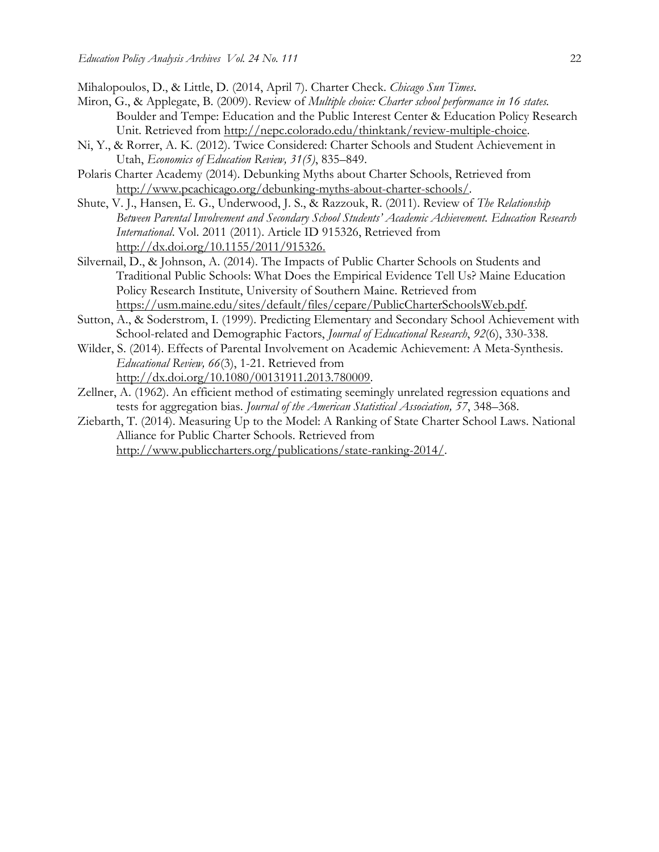Mihalopoulos, D., & Little, D. (2014, April 7). Charter Check. *Chicago Sun Times*.

- Miron, G., & Applegate, B. (2009). Review of *Multiple choice: Charter school performance in 16 states.* Boulder and Tempe: Education and the Public Interest Center & Education Policy Research Unit. Retrieved from http://nepc.colorado.edu/thinktank/review-multiple-choice.
- Ni, Y., & Rorrer, A. K. (2012). Twice Considered: Charter Schools and Student Achievement in Utah, *Economics of Education Review, 31(5)*, 835–849.
- Polaris Charter Academy (2014). Debunking Myths about Charter Schools, Retrieved from [http://www.pcachicago.org/debunking-myths-about-charter-schools/.](http://www.pcachicago.org/debunking-myths-about-charter-schools/)
- Shute, V. J., Hansen, E. G., Underwood, J. S., & Razzouk, R. (2011). Review of *The Relationship Between Parental Involvement and Secondary School Students' Academic Achievement. Education Research International*. Vol. 2011 (2011). Article ID 915326, Retrieved from [http://dx.doi.org/10.1155/2011/915326.](http://dx.doi.org/10.1155/2011/915326)
- Silvernail, D., & Johnson, A. (2014). The Impacts of Public Charter Schools on Students and Traditional Public Schools: What Does the Empirical Evidence Tell Us? Maine Education Policy Research Institute, University of Southern Maine. Retrieved from https://usm.maine.edu/sites/default/files/cepare/PublicCharterSchoolsWeb.pdf.
- Sutton, A., & Soderstrom, I. (1999). Predicting Elementary and Secondary School Achievement with School-related and Demographic Factors, *Journal of Educational Research*, *92*(6), 330-338.
- Wilder, S. (2014). Effects of Parental Involvement on Academic Achievement: A Meta-Synthesis. *Educational Review, 66*(3), 1-21. Retrieved from http://dx.doi.org/10.1080/00131911.2013.780009.
- Zellner, A. (1962). An efficient method of estimating seemingly unrelated regression equations and tests for aggregation bias. *Journal of the American Statistical Association, 57*, 348–368.
- Ziebarth, T. (2014). Measuring Up to the Model: A Ranking of State Charter School Laws. National Alliance for Public Charter Schools. Retrieved from [http://www.publiccharters.org/publications/state-ranking-2014/.](http://www.publiccharters.org/publications/state-ranking-2014/)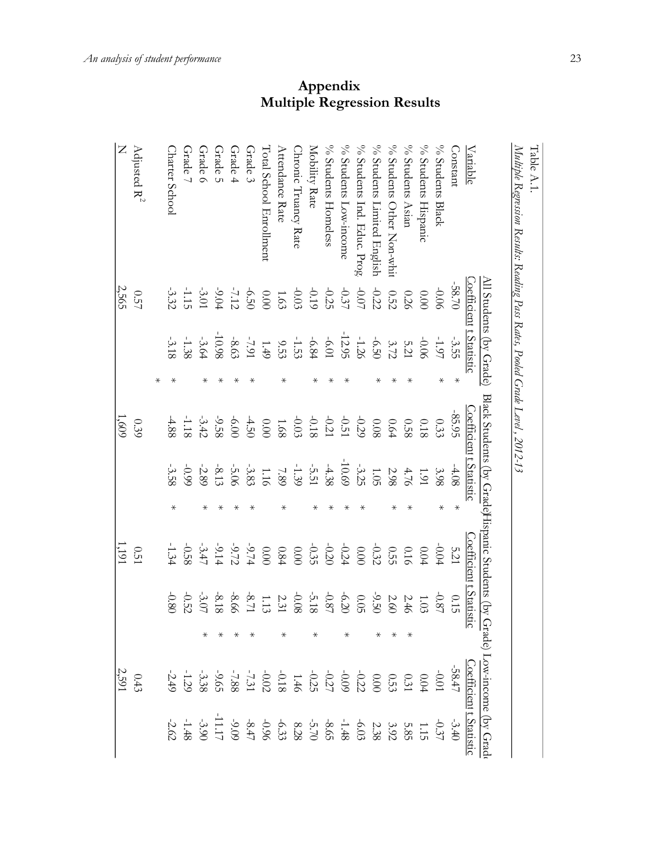| Appendix                           |  |
|------------------------------------|--|
| <b>Multiple Regression Results</b> |  |

| Z<br>Adjusted $R^2$<br>% Students Homeless<br>% Students Low-income<br>% Students Ind. Educ. Prog<br>% Students Limited English<br>$\%$ Students Asian<br>$\%$ Students Black<br>% Students Other Non-whi<br>% Students Hispanic<br>Grade 7<br>Grade 6<br>Grade 5<br>Mobility Rate<br>Charter School<br>Grade 4<br>Grade 3<br><b>Total School Enrollment</b><br>Attendance Rate<br>Chronic Truancy Rate<br>Constant<br>Variable<br>All Students (by Grade)<br><u>Coefficient t Statistic</u><br>$-58.70$<br>2,565<br>$-0.22$<br>$-0.07$<br>$-1.15$<br>$-3.32$<br>$-7.12$<br>$-3.01$<br>$-9.04$<br>0.50<br>$-0.03$<br>$-0.25$<br>$-0.19$<br>$-0.06$<br>$000$<br>0.52<br>0.00<br>$0.26\,$<br>0.57<br>$1.63\,$<br>$-12.95$<br>$-1.53$<br>$-9.53$<br>$-7.91$<br>$-8.63$<br>$-8.63$<br>$-1.26$<br>$-3.18$<br>$-1.38$<br>10.01<br>$-3.64$<br>$-6.84$<br>$-6.50$<br>$-3.55$<br>$-1.97$<br>$-0.06$<br>3.72<br>5.21<br>$\star$<br>$\star$<br>$\star$<br>$\ast$<br>⋇<br>⋇<br>⋇<br>$\star$<br>Black Students (by Grade) Hispanic Students (by Grade) Low-income (by Grad<br><u>Coefficient t Statistic</u><br>$-85.95$<br>$-3.42$<br>$-9.58$<br>$-1.18$<br>$00.9 -$<br>0.6 4<br>$0.99$<br>$0.29$<br>$0.51$<br>$0.21$<br>$0.21$<br>$0.21$<br>$-4.50$<br>$-0.03$<br>1,609<br>4.88<br>0.39<br>$\frac{1.68}{0.00}$<br>850<br>$0.18\,$<br>0.33<br>$-10.69$<br>$-3.25$<br>$-5.51$<br>$-8.13$<br>$-5.06$<br>$-1.39$<br>4.38<br>$-3.58$<br>$-2.89$<br>$-3.83$<br>$-0.99$<br>1.05<br>1.16<br>$7.89\,$<br>2.98<br>4.08<br>4.76<br>3.98<br>1.91<br>⋇<br>$\ast$<br>⋇<br>⋇<br>Coefficient t Statisti<br>1,191<br>-0.58<br>$-3.47$<br>$-9.14$<br>$-9.72$<br>$-9.74$<br>$-0.25$<br>$-0.35$<br>$-0.24$<br>$-0.32$<br>$-0.04$<br>$\begin{array}{c} 0.84 \\ 0.00 \end{array}$<br>$00.00$<br>0.00<br>5.21<br>0.51<br>0.55<br>0.16<br>0.04<br>$-5.18$<br>$\begin{array}{rrrr} 1.13 \\ -8.71 \\ -8.66 \\ -3.07 \\ \end{array}$<br>$-0.87$<br>$80.0$ $\,$<br>$-0.87$<br>$-6.20$<br>$-9.50$<br>$-0.80$<br>$-0.52$<br><b>0.05</b><br>2.60<br>$2.31\,$<br>2.46<br>0.15<br>$1.03\,$<br>5<br><b>Coefficient t Statist</b><br>$0.43$<br>2,591 | Multiple Regression Results: Reading Pass Rates, Pooled Grade Level, 2012-13 |  |  |  |  |  |  |
|--------------------------------------------------------------------------------------------------------------------------------------------------------------------------------------------------------------------------------------------------------------------------------------------------------------------------------------------------------------------------------------------------------------------------------------------------------------------------------------------------------------------------------------------------------------------------------------------------------------------------------------------------------------------------------------------------------------------------------------------------------------------------------------------------------------------------------------------------------------------------------------------------------------------------------------------------------------------------------------------------------------------------------------------------------------------------------------------------------------------------------------------------------------------------------------------------------------------------------------------------------------------------------------------------------------------------------------------------------------------------------------------------------------------------------------------------------------------------------------------------------------------------------------------------------------------------------------------------------------------------------------------------------------------------------------------------------------------------------------------------------------------------------------------------------------------------------------------------------------------------------------------------------------------------------------------------------------------------------------------------------------------------------------------------------------------------------------------------------|------------------------------------------------------------------------------|--|--|--|--|--|--|
|                                                                                                                                                                                                                                                                                                                                                                                                                                                                                                                                                                                                                                                                                                                                                                                                                                                                                                                                                                                                                                                                                                                                                                                                                                                                                                                                                                                                                                                                                                                                                                                                                                                                                                                                                                                                                                                                                                                                                                                                                                                                                                        |                                                                              |  |  |  |  |  |  |
|                                                                                                                                                                                                                                                                                                                                                                                                                                                                                                                                                                                                                                                                                                                                                                                                                                                                                                                                                                                                                                                                                                                                                                                                                                                                                                                                                                                                                                                                                                                                                                                                                                                                                                                                                                                                                                                                                                                                                                                                                                                                                                        |                                                                              |  |  |  |  |  |  |
|                                                                                                                                                                                                                                                                                                                                                                                                                                                                                                                                                                                                                                                                                                                                                                                                                                                                                                                                                                                                                                                                                                                                                                                                                                                                                                                                                                                                                                                                                                                                                                                                                                                                                                                                                                                                                                                                                                                                                                                                                                                                                                        |                                                                              |  |  |  |  |  |  |
|                                                                                                                                                                                                                                                                                                                                                                                                                                                                                                                                                                                                                                                                                                                                                                                                                                                                                                                                                                                                                                                                                                                                                                                                                                                                                                                                                                                                                                                                                                                                                                                                                                                                                                                                                                                                                                                                                                                                                                                                                                                                                                        |                                                                              |  |  |  |  |  |  |
|                                                                                                                                                                                                                                                                                                                                                                                                                                                                                                                                                                                                                                                                                                                                                                                                                                                                                                                                                                                                                                                                                                                                                                                                                                                                                                                                                                                                                                                                                                                                                                                                                                                                                                                                                                                                                                                                                                                                                                                                                                                                                                        |                                                                              |  |  |  |  |  |  |
|                                                                                                                                                                                                                                                                                                                                                                                                                                                                                                                                                                                                                                                                                                                                                                                                                                                                                                                                                                                                                                                                                                                                                                                                                                                                                                                                                                                                                                                                                                                                                                                                                                                                                                                                                                                                                                                                                                                                                                                                                                                                                                        |                                                                              |  |  |  |  |  |  |
|                                                                                                                                                                                                                                                                                                                                                                                                                                                                                                                                                                                                                                                                                                                                                                                                                                                                                                                                                                                                                                                                                                                                                                                                                                                                                                                                                                                                                                                                                                                                                                                                                                                                                                                                                                                                                                                                                                                                                                                                                                                                                                        |                                                                              |  |  |  |  |  |  |
|                                                                                                                                                                                                                                                                                                                                                                                                                                                                                                                                                                                                                                                                                                                                                                                                                                                                                                                                                                                                                                                                                                                                                                                                                                                                                                                                                                                                                                                                                                                                                                                                                                                                                                                                                                                                                                                                                                                                                                                                                                                                                                        |                                                                              |  |  |  |  |  |  |
|                                                                                                                                                                                                                                                                                                                                                                                                                                                                                                                                                                                                                                                                                                                                                                                                                                                                                                                                                                                                                                                                                                                                                                                                                                                                                                                                                                                                                                                                                                                                                                                                                                                                                                                                                                                                                                                                                                                                                                                                                                                                                                        |                                                                              |  |  |  |  |  |  |
|                                                                                                                                                                                                                                                                                                                                                                                                                                                                                                                                                                                                                                                                                                                                                                                                                                                                                                                                                                                                                                                                                                                                                                                                                                                                                                                                                                                                                                                                                                                                                                                                                                                                                                                                                                                                                                                                                                                                                                                                                                                                                                        |                                                                              |  |  |  |  |  |  |
|                                                                                                                                                                                                                                                                                                                                                                                                                                                                                                                                                                                                                                                                                                                                                                                                                                                                                                                                                                                                                                                                                                                                                                                                                                                                                                                                                                                                                                                                                                                                                                                                                                                                                                                                                                                                                                                                                                                                                                                                                                                                                                        |                                                                              |  |  |  |  |  |  |
|                                                                                                                                                                                                                                                                                                                                                                                                                                                                                                                                                                                                                                                                                                                                                                                                                                                                                                                                                                                                                                                                                                                                                                                                                                                                                                                                                                                                                                                                                                                                                                                                                                                                                                                                                                                                                                                                                                                                                                                                                                                                                                        |                                                                              |  |  |  |  |  |  |
|                                                                                                                                                                                                                                                                                                                                                                                                                                                                                                                                                                                                                                                                                                                                                                                                                                                                                                                                                                                                                                                                                                                                                                                                                                                                                                                                                                                                                                                                                                                                                                                                                                                                                                                                                                                                                                                                                                                                                                                                                                                                                                        |                                                                              |  |  |  |  |  |  |
|                                                                                                                                                                                                                                                                                                                                                                                                                                                                                                                                                                                                                                                                                                                                                                                                                                                                                                                                                                                                                                                                                                                                                                                                                                                                                                                                                                                                                                                                                                                                                                                                                                                                                                                                                                                                                                                                                                                                                                                                                                                                                                        |                                                                              |  |  |  |  |  |  |
|                                                                                                                                                                                                                                                                                                                                                                                                                                                                                                                                                                                                                                                                                                                                                                                                                                                                                                                                                                                                                                                                                                                                                                                                                                                                                                                                                                                                                                                                                                                                                                                                                                                                                                                                                                                                                                                                                                                                                                                                                                                                                                        |                                                                              |  |  |  |  |  |  |
|                                                                                                                                                                                                                                                                                                                                                                                                                                                                                                                                                                                                                                                                                                                                                                                                                                                                                                                                                                                                                                                                                                                                                                                                                                                                                                                                                                                                                                                                                                                                                                                                                                                                                                                                                                                                                                                                                                                                                                                                                                                                                                        |                                                                              |  |  |  |  |  |  |
|                                                                                                                                                                                                                                                                                                                                                                                                                                                                                                                                                                                                                                                                                                                                                                                                                                                                                                                                                                                                                                                                                                                                                                                                                                                                                                                                                                                                                                                                                                                                                                                                                                                                                                                                                                                                                                                                                                                                                                                                                                                                                                        |                                                                              |  |  |  |  |  |  |
|                                                                                                                                                                                                                                                                                                                                                                                                                                                                                                                                                                                                                                                                                                                                                                                                                                                                                                                                                                                                                                                                                                                                                                                                                                                                                                                                                                                                                                                                                                                                                                                                                                                                                                                                                                                                                                                                                                                                                                                                                                                                                                        |                                                                              |  |  |  |  |  |  |
|                                                                                                                                                                                                                                                                                                                                                                                                                                                                                                                                                                                                                                                                                                                                                                                                                                                                                                                                                                                                                                                                                                                                                                                                                                                                                                                                                                                                                                                                                                                                                                                                                                                                                                                                                                                                                                                                                                                                                                                                                                                                                                        |                                                                              |  |  |  |  |  |  |
|                                                                                                                                                                                                                                                                                                                                                                                                                                                                                                                                                                                                                                                                                                                                                                                                                                                                                                                                                                                                                                                                                                                                                                                                                                                                                                                                                                                                                                                                                                                                                                                                                                                                                                                                                                                                                                                                                                                                                                                                                                                                                                        |                                                                              |  |  |  |  |  |  |
|                                                                                                                                                                                                                                                                                                                                                                                                                                                                                                                                                                                                                                                                                                                                                                                                                                                                                                                                                                                                                                                                                                                                                                                                                                                                                                                                                                                                                                                                                                                                                                                                                                                                                                                                                                                                                                                                                                                                                                                                                                                                                                        |                                                                              |  |  |  |  |  |  |
|                                                                                                                                                                                                                                                                                                                                                                                                                                                                                                                                                                                                                                                                                                                                                                                                                                                                                                                                                                                                                                                                                                                                                                                                                                                                                                                                                                                                                                                                                                                                                                                                                                                                                                                                                                                                                                                                                                                                                                                                                                                                                                        |                                                                              |  |  |  |  |  |  |
|                                                                                                                                                                                                                                                                                                                                                                                                                                                                                                                                                                                                                                                                                                                                                                                                                                                                                                                                                                                                                                                                                                                                                                                                                                                                                                                                                                                                                                                                                                                                                                                                                                                                                                                                                                                                                                                                                                                                                                                                                                                                                                        |                                                                              |  |  |  |  |  |  |

Table A.1.

Table A.1.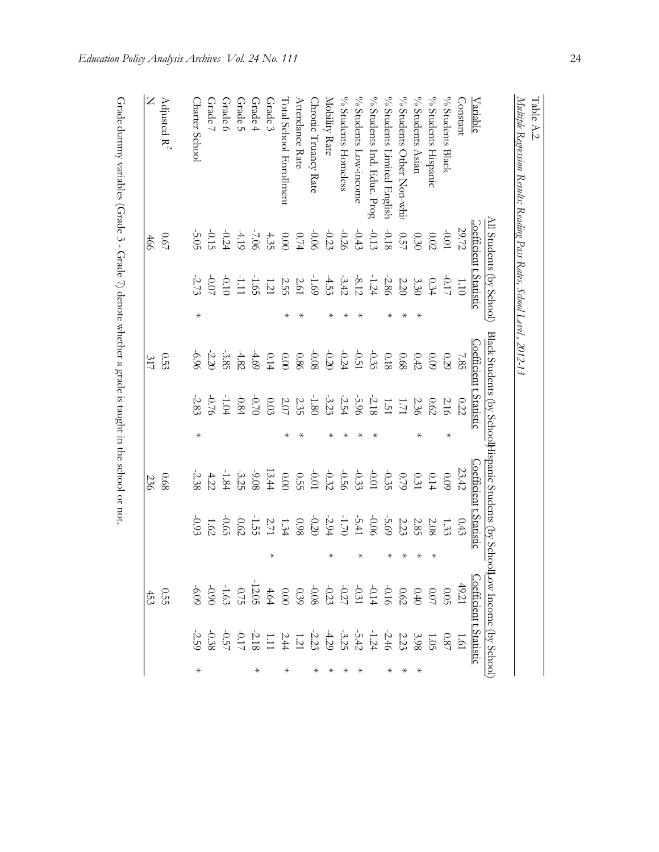|                               |                                                                                                                   | All Students (by School) |        | Black Students (by SchoolJispanic Students (by School |         |        |                                |                                                                                                                                                                                                                                                                                                                                                                                                                                                                                         |         | Low Income (by School)                                                                                                                                                                                                                                                                           |  |
|-------------------------------|-------------------------------------------------------------------------------------------------------------------|--------------------------|--------|-------------------------------------------------------|---------|--------|--------------------------------|-----------------------------------------------------------------------------------------------------------------------------------------------------------------------------------------------------------------------------------------------------------------------------------------------------------------------------------------------------------------------------------------------------------------------------------------------------------------------------------------|---------|--------------------------------------------------------------------------------------------------------------------------------------------------------------------------------------------------------------------------------------------------------------------------------------------------|--|
| Variable                      |                                                                                                                   | Coefficient t Statistic  |        | Coefficient t Statistic                               |         |        | <u>Coefficient t Statistic</u> |                                                                                                                                                                                                                                                                                                                                                                                                                                                                                         |         |                                                                                                                                                                                                                                                                                                  |  |
| _onstant                      | 29.72                                                                                                             | 1.10                     |        | 7.85                                                  | 0.22    |        | 23.42                          | 0.43                                                                                                                                                                                                                                                                                                                                                                                                                                                                                    |         |                                                                                                                                                                                                                                                                                                  |  |
| $\%$ Students Black           | 10.01                                                                                                             | $-0.17$                  |        | 0.29                                                  | 2.16    | ⋇      | $60.0$                         | 1.33                                                                                                                                                                                                                                                                                                                                                                                                                                                                                    |         |                                                                                                                                                                                                                                                                                                  |  |
| $\%$ Students Hispanic        | $0.02\,$                                                                                                          | 0.34                     |        |                                                       | 0.62    |        | $0.14\,$                       | 2.08                                                                                                                                                                                                                                                                                                                                                                                                                                                                                    |         |                                                                                                                                                                                                                                                                                                  |  |
| % Students Asian              |                                                                                                                   | 3.30                     |        |                                                       | 2.36    |        |                                | 2.85                                                                                                                                                                                                                                                                                                                                                                                                                                                                                    |         |                                                                                                                                                                                                                                                                                                  |  |
| $\%$ Students Other Non-whi   |                                                                                                                   | 2.20                     |        |                                                       | 1.71    |        |                                |                                                                                                                                                                                                                                                                                                                                                                                                                                                                                         |         |                                                                                                                                                                                                                                                                                                  |  |
| $\%$ Students Limited English |                                                                                                                   | -2.86                    |        |                                                       | 1.51    |        |                                |                                                                                                                                                                                                                                                                                                                                                                                                                                                                                         |         |                                                                                                                                                                                                                                                                                                  |  |
| % Students Ind. Educ. Prog    |                                                                                                                   |                          |        |                                                       | $-2.18$ | ⋇      |                                |                                                                                                                                                                                                                                                                                                                                                                                                                                                                                         |         |                                                                                                                                                                                                                                                                                                  |  |
| $\%$ Students Low-income      |                                                                                                                   |                          |        |                                                       | $-5.96$ |        |                                |                                                                                                                                                                                                                                                                                                                                                                                                                                                                                         | ⋇       |                                                                                                                                                                                                                                                                                                  |  |
| $\%$ Students Homeless        |                                                                                                                   |                          |        |                                                       |         |        |                                |                                                                                                                                                                                                                                                                                                                                                                                                                                                                                         |         |                                                                                                                                                                                                                                                                                                  |  |
| Mobility Rate                 |                                                                                                                   |                          |        |                                                       |         |        |                                | $\begin{array}{cccccc} G & \stackrel{1}{\sim} & G & \stackrel{1}{\sim} & G & \stackrel{1}{\sim} & G \\ G & \stackrel{1}{\sim} & G & \stackrel{1}{\sim} & G & \stackrel{1}{\sim} & G \\ G & \stackrel{1}{\sim} & G & \stackrel{1}{\sim} & G & \stackrel{1}{\sim} & G \\ G & \stackrel{1}{\sim} & G & \stackrel{1}{\sim} & G \\ G & \stackrel{1}{\sim} & G & \stackrel{1}{\sim} & G \\ G & \stackrel{1}{\sim} & G & \stackrel{1}{\sim} & G \\ G & \stackrel{1}{\sim} & G & \stackrel{1}{$ | ⋇       |                                                                                                                                                                                                                                                                                                  |  |
| hronic Truancy Rate           |                                                                                                                   |                          |        |                                                       |         |        |                                |                                                                                                                                                                                                                                                                                                                                                                                                                                                                                         |         |                                                                                                                                                                                                                                                                                                  |  |
| Attendance Rate               |                                                                                                                   |                          |        |                                                       |         |        |                                |                                                                                                                                                                                                                                                                                                                                                                                                                                                                                         |         |                                                                                                                                                                                                                                                                                                  |  |
| Cotal School Enrollment       |                                                                                                                   |                          |        |                                                       |         |        |                                |                                                                                                                                                                                                                                                                                                                                                                                                                                                                                         |         |                                                                                                                                                                                                                                                                                                  |  |
| Grade 3                       |                                                                                                                   |                          |        |                                                       |         |        |                                |                                                                                                                                                                                                                                                                                                                                                                                                                                                                                         | $\star$ |                                                                                                                                                                                                                                                                                                  |  |
| Grade 4                       |                                                                                                                   |                          |        |                                                       |         |        | $80^\circ$ 6-                  |                                                                                                                                                                                                                                                                                                                                                                                                                                                                                         |         |                                                                                                                                                                                                                                                                                                  |  |
| Grade 5                       |                                                                                                                   |                          |        |                                                       |         |        | $-3.25$<br>$-1.84$             |                                                                                                                                                                                                                                                                                                                                                                                                                                                                                         |         |                                                                                                                                                                                                                                                                                                  |  |
| Grade 6                       |                                                                                                                   |                          |        |                                                       |         |        |                                |                                                                                                                                                                                                                                                                                                                                                                                                                                                                                         |         |                                                                                                                                                                                                                                                                                                  |  |
| Grade 7                       | $\frac{4}{3}$ - $\frac{1}{3}$ - $\frac{1}{3}$<br>$\frac{1}{3}$<br>$\frac{1}{3}$<br>$\frac{1}{3}$<br>$\frac{1}{3}$ | $-0.10$<br>$-2.72$       |        |                                                       |         |        | $\frac{4.22}{3.38}$            |                                                                                                                                                                                                                                                                                                                                                                                                                                                                                         |         |                                                                                                                                                                                                                                                                                                  |  |
| Charter School                |                                                                                                                   |                          | $\ast$ |                                                       |         | $\ast$ |                                |                                                                                                                                                                                                                                                                                                                                                                                                                                                                                         |         | 2 Coefficient Estatistic<br>0.05<br>0.05<br>0.05<br>0.05<br>0.05<br>0.05<br>0.05<br>0.05<br>0.05<br>0.05<br>0.05<br>0.05<br>0.05<br>0.05<br>0.05<br>0.05<br>0.05<br>0.05<br>0.05<br>0.05<br>0.05<br>0.05<br>0.05<br>0.05<br>0.05<br>0.05<br>0.05<br>0.05<br>0.05<br>0.05<br>0.05<br>0.05<br>0.05 |  |
| Adjusted R <sup>2</sup>       | 0.67                                                                                                              |                          |        | 0.53                                                  |         |        | 89.0                           |                                                                                                                                                                                                                                                                                                                                                                                                                                                                                         |         | 0.55                                                                                                                                                                                                                                                                                             |  |
|                               | 466                                                                                                               |                          |        | 317                                                   |         |        | 236                            |                                                                                                                                                                                                                                                                                                                                                                                                                                                                                         |         | 453                                                                                                                                                                                                                                                                                              |  |

Grade dummy variables (Grade 3 - Grade 7) denote whether a grade is taught in the school or not. Grade dummy variables (Grade 3 - Grade 7) denote whether a grade is taught in the school or not.

*Multiple Regression Results: Reading Pass Rates, School Level , 2012-13*

Table A.2.<br>Multiple Regression Results: Reading Pass Rates, School Level, 2012-13

Table A.2.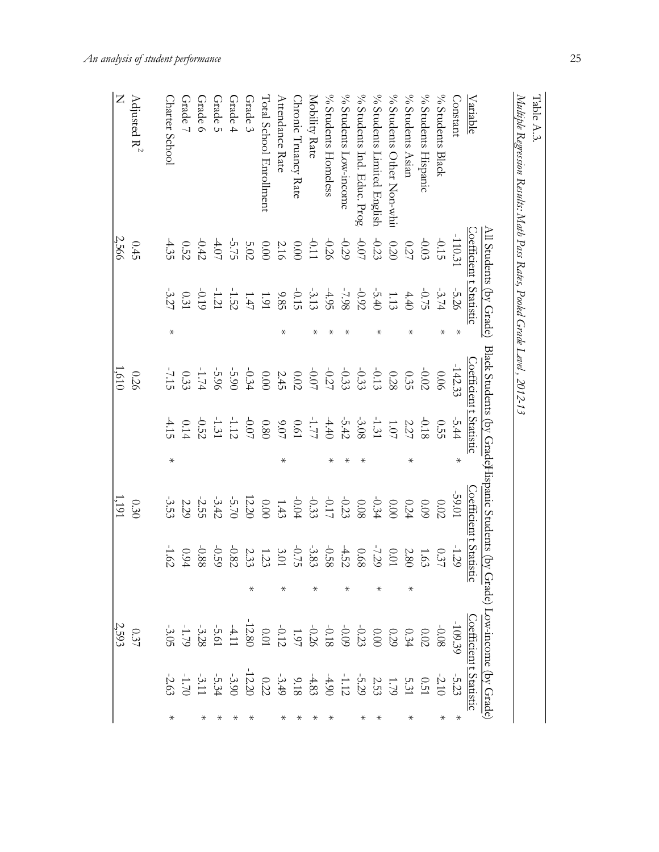| $\ddot{\phantom{a}}$ | Table A.3. |
|----------------------|------------|
|                      | J          |
| .<br>j               |            |
|                      |            |
| .<br>.<br>.          |            |
|                      |            |
|                      |            |
|                      |            |
|                      |            |
| j                    |            |

Table A.3.<br>Multiple Regression Results: Math Pass Rates, Pooled Grade Level, 2012-13 *Multiple Regression Results: Math Pass Rates, Pooled Grade Level , 2012-13*

|                                | All Students (by Grade)               |                                                                                                                                                                                                                                                                                                                       |         | Black Students (by Grade) lispanic Students (by |             |         |                         |          |   |                                                                                                                                                                                                                                                                                                                                                      |                                                                                                                                                                                                                                                                                                                        |        |
|--------------------------------|---------------------------------------|-----------------------------------------------------------------------------------------------------------------------------------------------------------------------------------------------------------------------------------------------------------------------------------------------------------------------|---------|-------------------------------------------------|-------------|---------|-------------------------|----------|---|------------------------------------------------------------------------------------------------------------------------------------------------------------------------------------------------------------------------------------------------------------------------------------------------------------------------------------------------------|------------------------------------------------------------------------------------------------------------------------------------------------------------------------------------------------------------------------------------------------------------------------------------------------------------------------|--------|
| Variable                       | <b>Coefficient <u>t Statistic</u></b> |                                                                                                                                                                                                                                                                                                                       |         | Coefficient t Statistic                         |             |         | Coefficient t Statistic |          |   | Grade) Low-income (by Grade)<br>ic<br>ic Coefficient t Statistic                                                                                                                                                                                                                                                                                     |                                                                                                                                                                                                                                                                                                                        |        |
| constant_                      | $-110.31$                             | $-5.26$                                                                                                                                                                                                                                                                                                               | $\star$ | $-142.33$                                       | $-5.44$     | $\star$ | -59.01                  | $-1.29$  |   |                                                                                                                                                                                                                                                                                                                                                      |                                                                                                                                                                                                                                                                                                                        | $\ast$ |
| $\%$ Students Black            |                                       | $-3.74$                                                                                                                                                                                                                                                                                                               | ⋇       | 90.06                                           | <b>0.55</b> |         | $0.02$                  | $0.37\,$ |   |                                                                                                                                                                                                                                                                                                                                                      | $\frac{1}{2}$<br>$\frac{1}{2}$ $\frac{1}{2}$ $\frac{1}{2}$ $\frac{1}{2}$ $\frac{1}{2}$ $\frac{1}{2}$ $\frac{1}{2}$ $\frac{1}{2}$ $\frac{1}{2}$ $\frac{1}{2}$ $\frac{1}{2}$ $\frac{1}{2}$ $\frac{1}{2}$ $\frac{1}{2}$ $\frac{1}{2}$ $\frac{1}{2}$ $\frac{1}{2}$ $\frac{1}{2}$ $\frac{1}{2}$ $\frac{1}{2}$ $\frac{1}{2}$ | ⋇      |
| $\%$ Students Hispanic         |                                       | $-0.75$                                                                                                                                                                                                                                                                                                               |         |                                                 |             |         | $60^\circ$              |          |   |                                                                                                                                                                                                                                                                                                                                                      |                                                                                                                                                                                                                                                                                                                        |        |
| $\%$ Students Asian            |                                       | 4.40                                                                                                                                                                                                                                                                                                                  | ⋇       |                                                 |             | ⋇       |                         |          |   |                                                                                                                                                                                                                                                                                                                                                      |                                                                                                                                                                                                                                                                                                                        |        |
| % Students Other Non-whi       |                                       |                                                                                                                                                                                                                                                                                                                       |         |                                                 |             |         |                         |          |   |                                                                                                                                                                                                                                                                                                                                                      |                                                                                                                                                                                                                                                                                                                        |        |
| % Students Limited English     |                                       |                                                                                                                                                                                                                                                                                                                       | ⋇       |                                                 |             |         |                         |          |   |                                                                                                                                                                                                                                                                                                                                                      |                                                                                                                                                                                                                                                                                                                        |        |
| % Students Ind. Educ. Prog     |                                       | 1 $\frac{1}{3}$ $\frac{1}{6}$ $\frac{1}{6}$ $\frac{1}{6}$ $\frac{1}{3}$ $\frac{1}{6}$ $\frac{1}{6}$ $\frac{1}{6}$ $\frac{1}{6}$ $\frac{1}{6}$ $\frac{1}{6}$ $\frac{1}{6}$ $\frac{1}{6}$ $\frac{1}{6}$ $\frac{1}{6}$ $\frac{1}{6}$ $\frac{1}{6}$ $\frac{1}{6}$ $\frac{1}{6}$ $\frac{1}{6}$ $\frac{1}{6}$ $\frac{1}{6}$ |         |                                                 |             |         |                         |          |   |                                                                                                                                                                                                                                                                                                                                                      |                                                                                                                                                                                                                                                                                                                        |        |
| % Students Low-income          |                                       |                                                                                                                                                                                                                                                                                                                       |         |                                                 |             |         |                         |          |   |                                                                                                                                                                                                                                                                                                                                                      |                                                                                                                                                                                                                                                                                                                        |        |
| % Students Homeless            |                                       |                                                                                                                                                                                                                                                                                                                       |         |                                                 |             |         |                         |          |   |                                                                                                                                                                                                                                                                                                                                                      |                                                                                                                                                                                                                                                                                                                        |        |
| Mobility Rate                  |                                       |                                                                                                                                                                                                                                                                                                                       |         |                                                 |             |         |                         |          |   |                                                                                                                                                                                                                                                                                                                                                      |                                                                                                                                                                                                                                                                                                                        |        |
| hronic Truancy Rate.           |                                       |                                                                                                                                                                                                                                                                                                                       |         |                                                 |             |         |                         |          |   |                                                                                                                                                                                                                                                                                                                                                      |                                                                                                                                                                                                                                                                                                                        |        |
| Attendance Rate                |                                       |                                                                                                                                                                                                                                                                                                                       | ⋇       |                                                 |             | ⋇       |                         |          |   |                                                                                                                                                                                                                                                                                                                                                      |                                                                                                                                                                                                                                                                                                                        |        |
| <b>Total School Enrollment</b> |                                       |                                                                                                                                                                                                                                                                                                                       |         |                                                 |             |         |                         |          |   |                                                                                                                                                                                                                                                                                                                                                      |                                                                                                                                                                                                                                                                                                                        |        |
| Grade 3                        |                                       |                                                                                                                                                                                                                                                                                                                       |         |                                                 |             |         |                         |          | ⋇ |                                                                                                                                                                                                                                                                                                                                                      |                                                                                                                                                                                                                                                                                                                        |        |
| Grade 4                        |                                       |                                                                                                                                                                                                                                                                                                                       |         |                                                 |             |         |                         |          |   |                                                                                                                                                                                                                                                                                                                                                      |                                                                                                                                                                                                                                                                                                                        |        |
| Grade 5                        |                                       |                                                                                                                                                                                                                                                                                                                       |         |                                                 |             |         | $-3.42$                 |          |   |                                                                                                                                                                                                                                                                                                                                                      |                                                                                                                                                                                                                                                                                                                        |        |
| Grade 6                        |                                       |                                                                                                                                                                                                                                                                                                                       |         |                                                 |             |         | -2.55                   |          |   |                                                                                                                                                                                                                                                                                                                                                      |                                                                                                                                                                                                                                                                                                                        |        |
| Grade 7                        |                                       |                                                                                                                                                                                                                                                                                                                       |         |                                                 |             |         | 2.29                    |          |   |                                                                                                                                                                                                                                                                                                                                                      |                                                                                                                                                                                                                                                                                                                        |        |
| Charter School                 |                                       |                                                                                                                                                                                                                                                                                                                       | $\star$ |                                                 |             | $\star$ | $-3.53$                 | $-1.62$  |   | $\frac{1}{3}$<br>$\frac{1}{3}$<br>$\frac{3}{3}$<br>$\frac{3}{3}$<br>$\frac{3}{4}$<br>$\frac{1}{4}$<br>$\frac{1}{3}$<br>$\frac{1}{3}$<br>$\frac{1}{3}$<br>$\frac{1}{3}$<br>$\frac{1}{3}$<br>$\frac{1}{3}$<br>$\frac{1}{3}$<br>$\frac{1}{3}$<br>$\frac{1}{3}$<br>$\frac{1}{3}$<br>$\frac{1}{3}$<br>$\frac{1}{3}$<br>$\frac{1}{3}$<br>$\frac{1}{3}$<br> |                                                                                                                                                                                                                                                                                                                        |        |
|                                |                                       |                                                                                                                                                                                                                                                                                                                       |         |                                                 |             |         |                         |          |   |                                                                                                                                                                                                                                                                                                                                                      |                                                                                                                                                                                                                                                                                                                        |        |
| Adjusted $R^2$                 | 0.45                                  |                                                                                                                                                                                                                                                                                                                       |         | 0.26                                            |             |         | 0.30                    |          |   | 0.37<br>2592                                                                                                                                                                                                                                                                                                                                         |                                                                                                                                                                                                                                                                                                                        |        |
| $\overline{Z}$                 | 2,566                                 |                                                                                                                                                                                                                                                                                                                       |         | 1,610                                           |             |         | 1,191                   |          |   |                                                                                                                                                                                                                                                                                                                                                      |                                                                                                                                                                                                                                                                                                                        |        |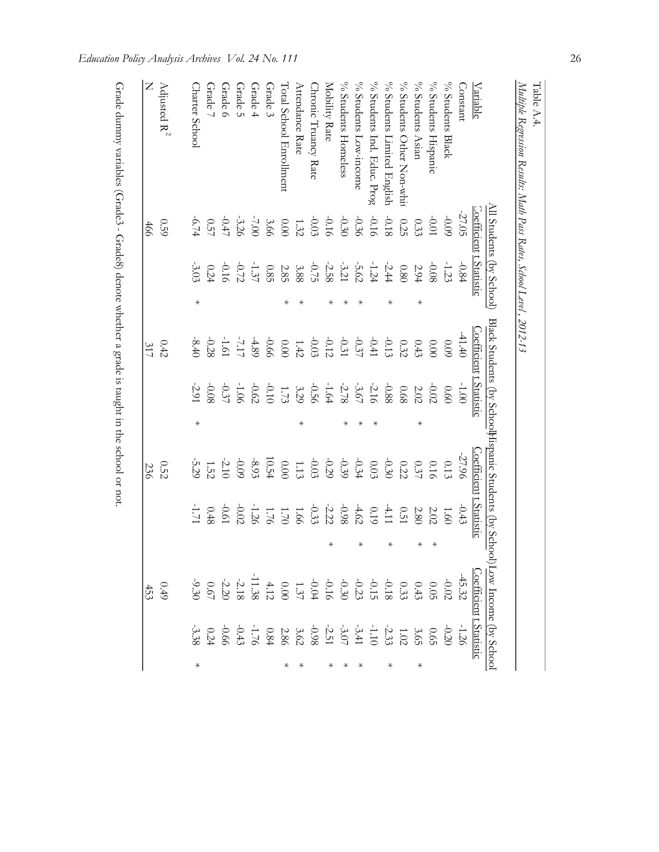| Variable                       | All Students (by School) | <u>loefficient t Statistic</u>                                                                                                                                                                                                                                                                                                  |        | Black Students (by School) Hispanic Students (by Schoo<br><u>Coefficient t Statistic</u> |                                                                                                                                                                                                                                                                                                                     |         | <b>Coefficient t Statistic</b> |                                                                                                                                                                                                                          | l)Low Income (by School<br><b>Coefficient t Statisti</b> |        |
|--------------------------------|--------------------------|---------------------------------------------------------------------------------------------------------------------------------------------------------------------------------------------------------------------------------------------------------------------------------------------------------------------------------|--------|------------------------------------------------------------------------------------------|---------------------------------------------------------------------------------------------------------------------------------------------------------------------------------------------------------------------------------------------------------------------------------------------------------------------|---------|--------------------------------|--------------------------------------------------------------------------------------------------------------------------------------------------------------------------------------------------------------------------|----------------------------------------------------------|--------|
| _onstant                       | $-27.05$                 | $-0.84$                                                                                                                                                                                                                                                                                                                         |        | $-41.40$                                                                                 | $-1.00$                                                                                                                                                                                                                                                                                                             |         | -27.96                         | $-0.43$                                                                                                                                                                                                                  |                                                          |        |
| $\%$ Students Black            | $-0.09$                  | $-1.23$                                                                                                                                                                                                                                                                                                                         |        | 60.0                                                                                     |                                                                                                                                                                                                                                                                                                                     |         |                                | $-1.60$                                                                                                                                                                                                                  |                                                          |        |
| % Students Hispanic            | $10.01$                  | $80.0\text{m}$                                                                                                                                                                                                                                                                                                                  |        |                                                                                          | $\begin{array}{c} 0.60 \\ -0.02 \\ 2.02 \\ 0.68 \end{array}$                                                                                                                                                                                                                                                        |         |                                | $2.02\,$                                                                                                                                                                                                                 |                                                          |        |
| $\%$ Students Asian            |                          | 2.94                                                                                                                                                                                                                                                                                                                            |        |                                                                                          |                                                                                                                                                                                                                                                                                                                     | ⋇       |                                | 2.80                                                                                                                                                                                                                     |                                                          | ⋇      |
| % Students Other Non-whi       |                          | $0.80\,$                                                                                                                                                                                                                                                                                                                        |        |                                                                                          |                                                                                                                                                                                                                                                                                                                     |         |                                | 0.51                                                                                                                                                                                                                     |                                                          |        |
| % Students Limited English     |                          | $-2.44$                                                                                                                                                                                                                                                                                                                         |        |                                                                                          |                                                                                                                                                                                                                                                                                                                     |         |                                | $-4.11$                                                                                                                                                                                                                  |                                                          | ⋇      |
| $\%$ Students Ind. Educ. Prog  |                          |                                                                                                                                                                                                                                                                                                                                 |        |                                                                                          |                                                                                                                                                                                                                                                                                                                     | ⋇       |                                |                                                                                                                                                                                                                          |                                                          |        |
| $\%$ Students Low-income       |                          | $^{-1.24}_{-5.62}$                                                                                                                                                                                                                                                                                                              |        |                                                                                          |                                                                                                                                                                                                                                                                                                                     |         |                                |                                                                                                                                                                                                                          |                                                          |        |
| $\%$ Students Homeless         |                          | $-3.21$                                                                                                                                                                                                                                                                                                                         |        |                                                                                          |                                                                                                                                                                                                                                                                                                                     |         |                                |                                                                                                                                                                                                                          |                                                          |        |
| Mobility Rate                  |                          | $-2.58$                                                                                                                                                                                                                                                                                                                         |        |                                                                                          | $\frac{1}{3}$ $\frac{1}{3}$ $\frac{1}{3}$ $\frac{1}{6}$ $\frac{1}{6}$ $\frac{1}{6}$ $\frac{1}{6}$ $\frac{1}{6}$ $\frac{1}{6}$ $\frac{1}{6}$ $\frac{1}{6}$ $\frac{1}{6}$ $\frac{1}{6}$ $\frac{1}{6}$ $\frac{1}{6}$ $\frac{1}{6}$ $\frac{1}{6}$ $\frac{1}{6}$ $\frac{1}{6}$ $\frac{1}{6}$ $\frac{1}{6}$ $\frac{1}{6}$ |         |                                | 0.1<br>$\frac{4}{3}$ $\frac{3}{2}$ $\frac{3}{2}$ $\frac{4}{3}$ $\frac{5}{3}$ $\frac{2}{3}$ $\frac{4}{3}$ $\frac{5}{3}$ $\frac{6}{5}$ $\frac{1}{5}$ $\frac{1}{5}$ $\frac{1}{2}$ $\frac{1}{3}$ $\frac{1}{3}$ $\frac{1}{3}$ |                                                          |        |
| hronic Truancy Rate.           |                          | $-0.75$                                                                                                                                                                                                                                                                                                                         |        |                                                                                          |                                                                                                                                                                                                                                                                                                                     |         |                                |                                                                                                                                                                                                                          |                                                          |        |
| Attendance Rate                |                          |                                                                                                                                                                                                                                                                                                                                 |        |                                                                                          |                                                                                                                                                                                                                                                                                                                     | $\star$ |                                |                                                                                                                                                                                                                          |                                                          |        |
| <b>Total School Enrollment</b> |                          |                                                                                                                                                                                                                                                                                                                                 |        |                                                                                          |                                                                                                                                                                                                                                                                                                                     |         |                                |                                                                                                                                                                                                                          |                                                          |        |
| Grade 3                        |                          | $\begin{array}{cccc} 3 & 2 & 3 & 3 & 3 \\ 3 & 2 & 3 & 3 & 3 \\ 3 & 3 & 3 & 3 & 2 \\ 4 & 1 & 1 & 4 & 3 \\ 5 & 6 & 3 & 4 & 3 \\ 6 & 6 & 3 & 6 & 3 \\ 7 & 8 & 3 & 6 & 3 \\ 8 & 1 & 1 & 1 & 2 \\ 9 & 1 & 1 & 1 & 3 \\ 1 & 1 & 1 & 1 & 3 \\ 1 & 1 & 1 & 1 & 3 \\ 1 & 1 & 1 & 1 & 3 \\ 1 & 1 & 1 & 1 & 3 \\ 1 & 1 & 1 & 1 & 3 \\ 1 &$ |        |                                                                                          |                                                                                                                                                                                                                                                                                                                     |         |                                |                                                                                                                                                                                                                          |                                                          |        |
| Grade 4                        |                          |                                                                                                                                                                                                                                                                                                                                 |        |                                                                                          |                                                                                                                                                                                                                                                                                                                     |         |                                |                                                                                                                                                                                                                          |                                                          |        |
| Grade 5                        |                          |                                                                                                                                                                                                                                                                                                                                 |        |                                                                                          |                                                                                                                                                                                                                                                                                                                     |         |                                |                                                                                                                                                                                                                          |                                                          |        |
| Grade 6                        |                          |                                                                                                                                                                                                                                                                                                                                 |        |                                                                                          |                                                                                                                                                                                                                                                                                                                     |         | $-3.13$<br>$-3.15$<br>$-5.29$  |                                                                                                                                                                                                                          |                                                          |        |
| Grade 7                        | $0.57\,$                 |                                                                                                                                                                                                                                                                                                                                 |        | $-0.28$                                                                                  |                                                                                                                                                                                                                                                                                                                     |         |                                | $-0.61$<br>$-1.71$<br>$-1.71$                                                                                                                                                                                            |                                                          |        |
| Charter School                 | $-6.74$                  |                                                                                                                                                                                                                                                                                                                                 | $\ast$ | $-8.40$                                                                                  | $-2.91$                                                                                                                                                                                                                                                                                                             | $\ast$  |                                |                                                                                                                                                                                                                          |                                                          | $\ast$ |
| Adjusted R <sup>2</sup>        | 0.59                     |                                                                                                                                                                                                                                                                                                                                 |        | $0.42$                                                                                   |                                                                                                                                                                                                                                                                                                                     |         | 0.52                           |                                                                                                                                                                                                                          | 0.49                                                     |        |
|                                | 466                      |                                                                                                                                                                                                                                                                                                                                 |        | 317                                                                                      |                                                                                                                                                                                                                                                                                                                     |         | 236                            |                                                                                                                                                                                                                          | 453                                                      |        |

Grade dummy variables (Grade3 - Grade8) denote whether a grade is taught in the school or not. Grade dummy variables (Grade3 - Grade8) denote whether a grade is taught in the school or not.

*Education Policy Analysis Archives Vol. 24 No. 111* 26

*Multiple Regression Results: Math Pass Rates, School Level , 2012-13*

Multiple Regression Results: Math Pass Rates, School Level, 2012-13

Table A.4.

Table A.4.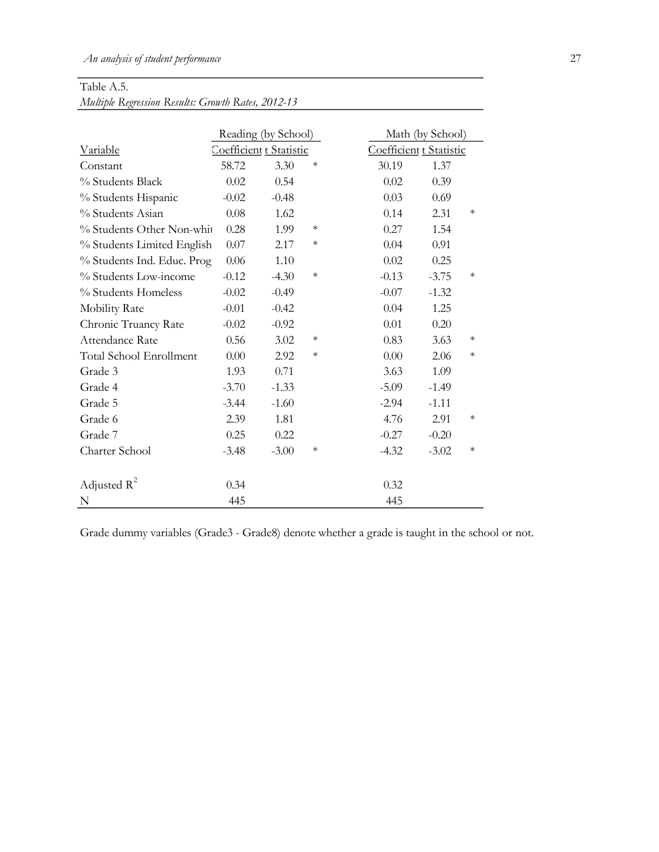## Table A.5.

|  |  | <b>Multiple Regression Results: Growth Rates, 2012-13</b> |  |  |  |  |  |
|--|--|-----------------------------------------------------------|--|--|--|--|--|
|--|--|-----------------------------------------------------------|--|--|--|--|--|

|                            |         | Reading (by School)     |        |         | Math (by School)        |        |
|----------------------------|---------|-------------------------|--------|---------|-------------------------|--------|
| Variable                   |         | Coefficient t Statistic |        |         | Coefficient t Statistic |        |
| Constant                   | 58.72   | 3.30                    | $\ast$ | 30.19   | 1.37                    |        |
| % Students Black           | 0.02    | 0.54                    |        | 0.02    | 0.39                    |        |
| % Students Hispanic        | $-0.02$ | $-0.48$                 |        | 0.03    | 0.69                    |        |
| % Students Asian           | 0.08    | 1.62                    |        | 0.14    | 2.31                    | $\ast$ |
| % Students Other Non-whit  | 0.28    | 1.99                    | $\ast$ | 0.27    | 1.54                    |        |
| % Students Limited English | 0.07    | 2.17                    | $\ast$ | 0.04    | 0.91                    |        |
| % Students Ind. Educ. Prog | 0.06    | 1.10                    |        | 0.02    | 0.25                    |        |
| % Students Low-income      | $-0.12$ | $-4.30$                 | $\ast$ | $-0.13$ | $-3.75$                 | $\ast$ |
| % Students Homeless        | $-0.02$ | $-0.49$                 |        | $-0.07$ | $-1.32$                 |        |
| Mobility Rate              | $-0.01$ | $-0.42$                 |        | 0.04    | 1.25                    |        |
| Chronic Truancy Rate       | $-0.02$ | $-0.92$                 |        | 0.01    | 0.20                    |        |
| Attendance Rate            | 0.56    | 3.02                    | $\ast$ | 0.83    | 3.63                    | $\ast$ |
| Total School Enrollment    | 0.00    | 2.92                    | $\ast$ | 0.00    | 2.06                    | $\ast$ |
| Grade 3                    | 1.93    | 0.71                    |        | 3.63    | 1.09                    |        |
| Grade 4                    | $-3.70$ | $-1.33$                 |        | $-5.09$ | $-1.49$                 |        |
| Grade 5                    | $-3.44$ | $-1.60$                 |        | $-2.94$ | $-1.11$                 |        |
| Grade 6                    | 2.39    | 1.81                    |        | 4.76    | 2.91                    | $\ast$ |
| Grade 7                    | 0.25    | 0.22                    |        | $-0.27$ | $-0.20$                 |        |
| Charter School             | $-3.48$ | $-3.00$                 | $\ast$ | $-4.32$ | $-3.02$                 | $\ast$ |
|                            |         |                         |        |         |                         |        |
| Adjusted $R^2$             | 0.34    |                         |        | 0.32    |                         |        |
| N                          | 445     |                         |        | 445     |                         |        |

Grade dummy variables (Grade3 - Grade8) denote whether a grade is taught in the school or not.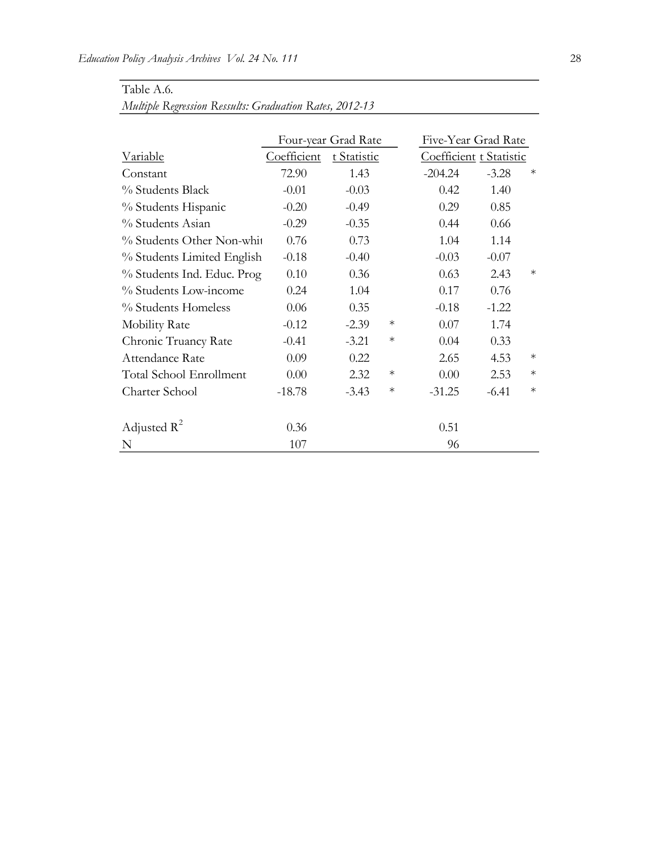|                                |             | Four-year Grad Rate |        | Five-Year Grad Rate     |         |        |
|--------------------------------|-------------|---------------------|--------|-------------------------|---------|--------|
| Variable                       | Coefficient | t Statistic         |        | Coefficient t Statistic |         |        |
| Constant                       | 72.90       | 1.43                |        | $-204.24$               | $-3.28$ | $\ast$ |
| % Students Black               | $-0.01$     | $-0.03$             |        | 0.42                    | 1.40    |        |
| % Students Hispanic            | $-0.20$     | $-0.49$             |        | 0.29                    | 0.85    |        |
| % Students Asian               | $-0.29$     | $-0.35$             |        | 0.44                    | 0.66    |        |
| % Students Other Non-whit      | 0.76        | 0.73                |        | 1.04                    | 1.14    |        |
| % Students Limited English     | $-0.18$     | $-0.40$             |        | $-0.03$                 | $-0.07$ |        |
| % Students Ind. Educ. Prog     | 0.10        | 0.36                |        | 0.63                    | 2.43    | $\ast$ |
| % Students Low-income          | 0.24        | 1.04                |        | 0.17                    | 0.76    |        |
| % Students Homeless            | 0.06        | 0.35                |        | $-0.18$                 | $-1.22$ |        |
| <b>Mobility Rate</b>           | $-0.12$     | $-2.39$             | $\ast$ | 0.07                    | 1.74    |        |
| Chronic Truancy Rate           | $-0.41$     | $-3.21$             | $\ast$ | 0.04                    | 0.33    |        |
| Attendance Rate                | 0.09        | 0.22                |        | 2.65                    | 4.53    | $\ast$ |
| <b>Total School Enrollment</b> | 0.00        | 2.32                | $\ast$ | 0.00                    | 2.53    | $\ast$ |
| Charter School                 | $-18.78$    | $-3.43$             | $\ast$ | $-31.25$                | $-6.41$ | $\ast$ |
|                                |             |                     |        |                         |         |        |
| Adjusted $R^2$                 | 0.36        |                     |        | 0.51                    |         |        |
| N                              | 107         |                     |        | 96                      |         |        |

Table A.6. *Multiple Regression Ressults: Graduation Rates, 2012-13*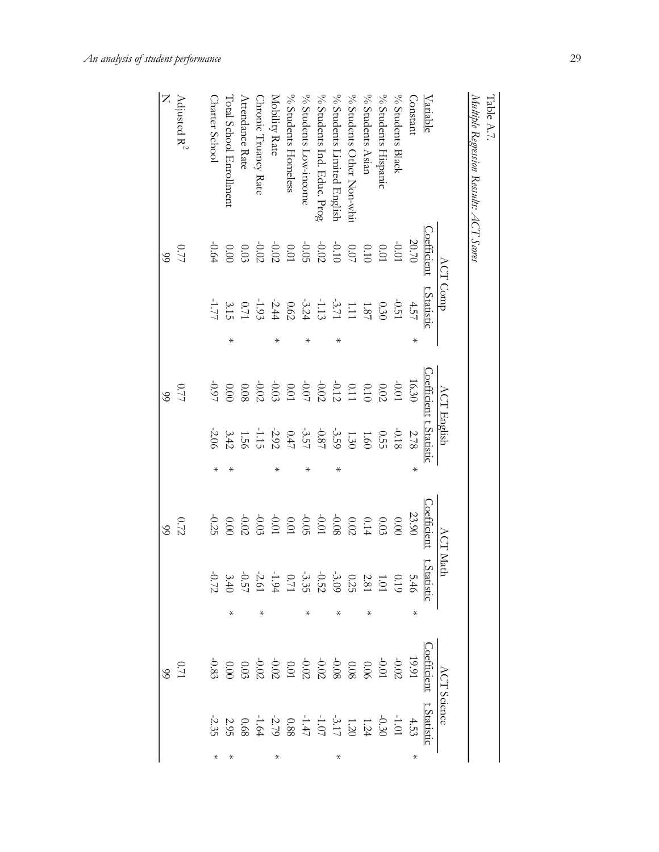|                                |                                                                                           | ACT Comp                                         | ACT English                                                                                    |                   |   | ACT Math                                                                                     |                                                                                                                                                                                                                                                                                                                                                                                                                                                                                     |   | ACT Science                                                                                                                                                                                                                                                                                                                                                                    |                                                                                                                                                                                                                                                                                                           |        |
|--------------------------------|-------------------------------------------------------------------------------------------|--------------------------------------------------|------------------------------------------------------------------------------------------------|-------------------|---|----------------------------------------------------------------------------------------------|-------------------------------------------------------------------------------------------------------------------------------------------------------------------------------------------------------------------------------------------------------------------------------------------------------------------------------------------------------------------------------------------------------------------------------------------------------------------------------------|---|--------------------------------------------------------------------------------------------------------------------------------------------------------------------------------------------------------------------------------------------------------------------------------------------------------------------------------------------------------------------------------|-----------------------------------------------------------------------------------------------------------------------------------------------------------------------------------------------------------------------------------------------------------------------------------------------------------|--------|
| Variable                       | Coefficient                                                                               | t Statisti                                       | Coefficient t Statistic                                                                        |                   |   | Coefficien                                                                                   |                                                                                                                                                                                                                                                                                                                                                                                                                                                                                     |   | <u>Coefficient</u>                                                                                                                                                                                                                                                                                                                                                             | t Statisti                                                                                                                                                                                                                                                                                                |        |
| Constant                       | 20.70                                                                                     | 4.57<br>⋇                                        | 16.30                                                                                          | 2.78              | ⋇ | 23.90                                                                                        | $\begin{array}{cccccc}\n\text{Equation 1:} & \text{Equation 2:} & \text{Equation 3:} & \text{Equation 4:} & \text{Equation 5:} & \text{Equation 5:} & \text{Equation 6:} & \text{Equation 7:} & \text{Equation 7:} & \text{Equation 8:} & \text{Equation 9:} & \text{Equation 9:} & \text{Equation 9:} & \text{Equation 1:} & \text{Equation 1:} & \text{Equation 1:} & \text{Equation 1:} & \text{Equation 1:} & \text{Equation 1:} & \text{Equation 1:} & \text{Equation 1:} & \$ | ⋇ |                                                                                                                                                                                                                                                                                                                                                                                |                                                                                                                                                                                                                                                                                                           | ⋇      |
| % Students Black               | 0.01                                                                                      | $-0.51$                                          | $-0.01$                                                                                        | $-0.18$           |   | 0.00                                                                                         |                                                                                                                                                                                                                                                                                                                                                                                                                                                                                     |   |                                                                                                                                                                                                                                                                                                                                                                                | 4 $\frac{1}{3}$ d $\frac{1}{3}$ d $\frac{1}{4}$ d $\frac{1}{2}$ d $\frac{1}{6}$ d $\frac{1}{6}$ d $\frac{1}{6}$ d $\frac{1}{6}$ d $\frac{1}{6}$ d $\frac{1}{6}$ d $\frac{1}{6}$ d $\frac{1}{6}$ d $\frac{1}{6}$ d $\frac{1}{6}$ d $\frac{1}{6}$ d $\frac{1}{6}$ d $\frac{1}{6}$ d $\frac{1}{6}$ d $\frac$ |        |
| % Students Hispanic            | $10.01\,$                                                                                 | 0.30                                             | $0.02\,$                                                                                       | 0.55              |   |                                                                                              |                                                                                                                                                                                                                                                                                                                                                                                                                                                                                     |   |                                                                                                                                                                                                                                                                                                                                                                                |                                                                                                                                                                                                                                                                                                           |        |
| % Students Asian               |                                                                                           | $187\,$                                          |                                                                                                | 1.60              |   |                                                                                              |                                                                                                                                                                                                                                                                                                                                                                                                                                                                                     | ⋇ |                                                                                                                                                                                                                                                                                                                                                                                |                                                                                                                                                                                                                                                                                                           |        |
| % Students Other Non-whi       |                                                                                           | 1.11                                             |                                                                                                | 1.30              |   |                                                                                              |                                                                                                                                                                                                                                                                                                                                                                                                                                                                                     |   |                                                                                                                                                                                                                                                                                                                                                                                |                                                                                                                                                                                                                                                                                                           |        |
| % Students Limited English     |                                                                                           | $-3.71$<br>⋇                                     |                                                                                                | $-3.59$           | ⋇ |                                                                                              |                                                                                                                                                                                                                                                                                                                                                                                                                                                                                     |   |                                                                                                                                                                                                                                                                                                                                                                                |                                                                                                                                                                                                                                                                                                           | $\ast$ |
| % Students Ind. Educ. Prog     |                                                                                           |                                                  |                                                                                                |                   |   |                                                                                              |                                                                                                                                                                                                                                                                                                                                                                                                                                                                                     |   |                                                                                                                                                                                                                                                                                                                                                                                |                                                                                                                                                                                                                                                                                                           |        |
| % Students Low-income          |                                                                                           | $-1.13$<br>$-3.24$                               |                                                                                                | $-0.87$ $^{-1}$   |   |                                                                                              |                                                                                                                                                                                                                                                                                                                                                                                                                                                                                     |   |                                                                                                                                                                                                                                                                                                                                                                                |                                                                                                                                                                                                                                                                                                           |        |
| % Students Homeless            | $\begin{array}{c} 0.10 \\ 0.07 \\ 0.07 \\ -0.02 \\ 0.04 \\ -0.02 \\ -0.02 \\ \end{array}$ |                                                  | 0.10<br>$0.11 \times 10$<br>$0.01 \times 10$<br>$0.01 \times 10$<br>$0.01 \times 10$<br>$0.03$ |                   |   | 0.03<br>$0.374$<br>$0.388$<br>$0.324$<br>$0.324$<br>$0.324$<br>$0.324$<br>$0.324$<br>$0.324$ |                                                                                                                                                                                                                                                                                                                                                                                                                                                                                     |   |                                                                                                                                                                                                                                                                                                                                                                                |                                                                                                                                                                                                                                                                                                           |        |
| Mobility Rate                  |                                                                                           | $\begin{array}{rr} 0.62 \\ -2.44 \\ \end{array}$ |                                                                                                | $0.47$ $^{-2.92}$ |   |                                                                                              |                                                                                                                                                                                                                                                                                                                                                                                                                                                                                     |   |                                                                                                                                                                                                                                                                                                                                                                                |                                                                                                                                                                                                                                                                                                           | $\ast$ |
| Chronic Truancy Rate           | $-0.02$                                                                                   |                                                  | $-0.02$                                                                                        | $-1.15$           |   |                                                                                              |                                                                                                                                                                                                                                                                                                                                                                                                                                                                                     |   |                                                                                                                                                                                                                                                                                                                                                                                |                                                                                                                                                                                                                                                                                                           |        |
| Attendance Rate                | $0.03\,$                                                                                  | $0.71\,$                                         | $80.0$                                                                                         |                   |   |                                                                                              |                                                                                                                                                                                                                                                                                                                                                                                                                                                                                     |   |                                                                                                                                                                                                                                                                                                                                                                                |                                                                                                                                                                                                                                                                                                           |        |
| <b>Total School Enrollment</b> | 000                                                                                       | $3.15$<br>-1.77<br>⋇                             | 0.00                                                                                           | 3.42              |   | $\frac{0.00}{0.25}$                                                                          |                                                                                                                                                                                                                                                                                                                                                                                                                                                                                     |   |                                                                                                                                                                                                                                                                                                                                                                                |                                                                                                                                                                                                                                                                                                           | ⋇      |
| Charter School                 | $-0.64$                                                                                   |                                                  | $-0.97$                                                                                        | $-2.06$           | ⋇ |                                                                                              |                                                                                                                                                                                                                                                                                                                                                                                                                                                                                     |   | $\begin{array}{c} 19.7 \\ 19.0 \\ 10.0 \\ 10.0 \\ 10.0 \\ \end{array}$<br>$\begin{array}{c} 19.0 \\ 19.0 \\ 10.0 \\ 10.0 \\ \end{array}$<br>$\begin{array}{c} 19.0 \\ 19.0 \\ 10.0 \\ 10.0 \\ \end{array}$<br>$\begin{array}{c} 19.0 \\ 19.0 \\ 10.0 \\ \end{array}$<br>$\begin{array}{c} 19.0 \\ 19.0 \\ 10.0 \\ \end{array}$<br>$\begin{array}{c} 19.0 \\ 19.0 \\ 10.0 \\ \$ |                                                                                                                                                                                                                                                                                                           | ⋇      |
| Adjusted $R^2$                 | 0.77                                                                                      |                                                  | 0.77                                                                                           |                   |   | 0.72                                                                                         |                                                                                                                                                                                                                                                                                                                                                                                                                                                                                     |   |                                                                                                                                                                                                                                                                                                                                                                                |                                                                                                                                                                                                                                                                                                           |        |
|                                | $\Im$                                                                                     |                                                  |                                                                                                |                   |   | S                                                                                            |                                                                                                                                                                                                                                                                                                                                                                                                                                                                                     |   |                                                                                                                                                                                                                                                                                                                                                                                |                                                                                                                                                                                                                                                                                                           |        |

Table A.7.

Table A.7.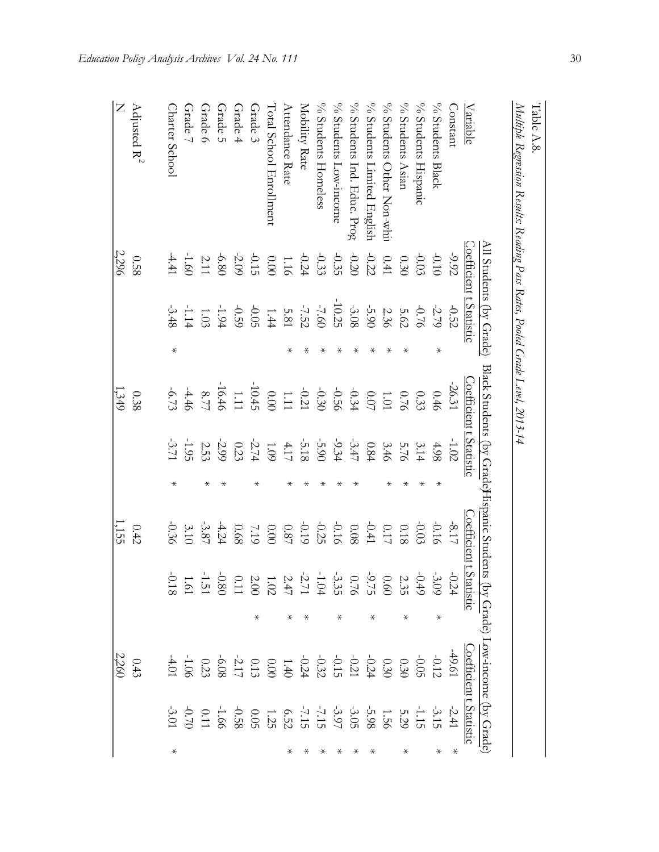| Multiple Regression Results: Reading Pass Rates, Pooled Grade Level, 2013-14<br>Table A.8 |                                                                         |                                                                   |         |                         |                                                   |         |                                             |                    |         |                                                                                                                                                                                                                                                                                                                                                                                              |                                                                                                                                                                                                                                                                                                                                                                                                                                                         |         |
|-------------------------------------------------------------------------------------------|-------------------------------------------------------------------------|-------------------------------------------------------------------|---------|-------------------------|---------------------------------------------------|---------|---------------------------------------------|--------------------|---------|----------------------------------------------------------------------------------------------------------------------------------------------------------------------------------------------------------------------------------------------------------------------------------------------------------------------------------------------------------------------------------------------|---------------------------------------------------------------------------------------------------------------------------------------------------------------------------------------------------------------------------------------------------------------------------------------------------------------------------------------------------------------------------------------------------------------------------------------------------------|---------|
|                                                                                           |                                                                         | All Students (by Grade)                                           |         |                         |                                                   |         | Black Students (by Grade) Lispanic Students |                    |         | (by Grade) Low-income (by Grade)                                                                                                                                                                                                                                                                                                                                                             |                                                                                                                                                                                                                                                                                                                                                                                                                                                         |         |
| Variable                                                                                  |                                                                         | <u>Coefficient t Statistic</u>                                    |         | Coefficient t Statistic |                                                   |         | Coefficient t Statistic                     |                    |         | Coefficient t Statistic                                                                                                                                                                                                                                                                                                                                                                      |                                                                                                                                                                                                                                                                                                                                                                                                                                                         |         |
| Constant                                                                                  | $-9.92$                                                                 | -0.52                                                             |         | $-26.31$                | $-1.02$                                           |         | $-8.17$                                     | $\overline{24}$    |         | $-49.61$                                                                                                                                                                                                                                                                                                                                                                                     | $-2.41$                                                                                                                                                                                                                                                                                                                                                                                                                                                 | $\ast$  |
| % Students Black                                                                          | $-0.10$                                                                 | $-2.79$                                                           | ⋇       | 0.46                    | 4.98                                              | $\star$ | $-0.16$                                     | $\Im$              | $\ast$  |                                                                                                                                                                                                                                                                                                                                                                                              |                                                                                                                                                                                                                                                                                                                                                                                                                                                         | $\ast$  |
| % Students Hispanic                                                                       | $-0.03$                                                                 | $-0.76$                                                           |         |                         | 3.14                                              | ⋇       | $-0.03$                                     | 49                 |         |                                                                                                                                                                                                                                                                                                                                                                                              |                                                                                                                                                                                                                                                                                                                                                                                                                                                         |         |
| % Students Asian                                                                          | 0.30                                                                    | 5.62                                                              |         |                         | 5.76                                              | $\star$ | $0.18\,$                                    |                    |         |                                                                                                                                                                                                                                                                                                                                                                                              |                                                                                                                                                                                                                                                                                                                                                                                                                                                         | $\ast$  |
| % Students Other Non-whi                                                                  | $0.41\,$                                                                | 2.36                                                              |         |                         | 3.46                                              | ⋇       | $\sqrt{17}$                                 |                    |         |                                                                                                                                                                                                                                                                                                                                                                                              |                                                                                                                                                                                                                                                                                                                                                                                                                                                         |         |
| % Students Limited English                                                                | $\mbox{}^{\rm -0.22}_{\rm -0.20}$                                       | $-5.90$                                                           |         |                         | $0.84\,$                                          |         |                                             |                    |         |                                                                                                                                                                                                                                                                                                                                                                                              |                                                                                                                                                                                                                                                                                                                                                                                                                                                         | ⋇       |
| % Students Ind. Educ. Prog                                                                |                                                                         | $-3.08$                                                           |         |                         | $-3.47$                                           | ⋇       |                                             |                    |         |                                                                                                                                                                                                                                                                                                                                                                                              |                                                                                                                                                                                                                                                                                                                                                                                                                                                         |         |
| % Students Low-income                                                                     |                                                                         | $-10.25$                                                          |         |                         | $-9.34$                                           | $\star$ |                                             |                    |         |                                                                                                                                                                                                                                                                                                                                                                                              |                                                                                                                                                                                                                                                                                                                                                                                                                                                         |         |
| % Students Homeless                                                                       |                                                                         |                                                                   |         |                         |                                                   | $\ast$  |                                             |                    |         |                                                                                                                                                                                                                                                                                                                                                                                              |                                                                                                                                                                                                                                                                                                                                                                                                                                                         |         |
| Mobility Rate                                                                             | $-0.33$<br>$-0.33$<br>$1.16$<br>$0.00$<br>$-0.15$<br>$-0.15$<br>$-0.15$ | $-7.60$<br>$-7.581$<br>$-1.959$<br>$-1.959$<br>$-1.94$<br>$-1.94$ |         |                         | $-5.90$<br>$-5.18$<br>$4.17$<br>$-2.74$<br>$0.23$ | ⋇       | $-0.084$ $-0.087$ $-0.087$ $-0.087$ $-0.09$ |                    |         | $\frac{1}{3} \frac{1}{3} \frac{1}{3} \frac{1}{3} \frac{1}{3} \frac{1}{3} \frac{1}{3} \frac{1}{3} \frac{1}{3} \frac{1}{3} \frac{1}{3} \frac{1}{3} \frac{1}{3} \frac{1}{3} \frac{1}{3} \frac{1}{3} \frac{1}{3} \frac{1}{3} \frac{1}{3} \frac{1}{3} \frac{1}{3} \frac{1}{3} \frac{1}{3} \frac{1}{3} \frac{1}{3} \frac{1}{3} \frac{1}{3} \frac{1}{3} \frac{1}{3} \frac{1}{3} \frac{1}{3} \frac{$ | $\frac{3}{12} \div \frac{1}{12} \times \frac{3}{12} \times \frac{3}{12} \times \frac{3}{12} \times \frac{3}{12} \times \frac{1}{12} \times \frac{5}{12} \times \frac{6}{12} \times \frac{1}{12} \times \frac{1}{12} \times \frac{6}{12} \times \frac{1}{12} \times \frac{1}{12} \times \frac{1}{12} \times \frac{1}{12} \times \frac{1}{12} \times \frac{1}{12} \times \frac{1}{12} \times \frac{1}{12} \times \frac{1}{12} \times \frac{1}{12} \times$ |         |
| Attendance Rate                                                                           |                                                                         |                                                                   |         |                         |                                                   | $\ast$  |                                             |                    |         |                                                                                                                                                                                                                                                                                                                                                                                              |                                                                                                                                                                                                                                                                                                                                                                                                                                                         |         |
| Total School Enrollment                                                                   |                                                                         |                                                                   |         |                         |                                                   |         |                                             |                    |         |                                                                                                                                                                                                                                                                                                                                                                                              |                                                                                                                                                                                                                                                                                                                                                                                                                                                         |         |
| Grade 3                                                                                   |                                                                         |                                                                   |         |                         |                                                   | $\star$ |                                             |                    | $\star$ |                                                                                                                                                                                                                                                                                                                                                                                              |                                                                                                                                                                                                                                                                                                                                                                                                                                                         |         |
| Grade 4                                                                                   |                                                                         |                                                                   |         |                         |                                                   |         | $0.68\,$                                    |                    |         |                                                                                                                                                                                                                                                                                                                                                                                              |                                                                                                                                                                                                                                                                                                                                                                                                                                                         |         |
| Grade 5                                                                                   | $-6.80$                                                                 |                                                                   |         |                         | $-2.99$                                           | ⋇       | $-4.24$                                     |                    |         |                                                                                                                                                                                                                                                                                                                                                                                              |                                                                                                                                                                                                                                                                                                                                                                                                                                                         |         |
| Grade 6                                                                                   | 2.11                                                                    | $1.03\,$                                                          |         |                         | 2.53                                              | ⋇       | $-3.87$                                     |                    |         |                                                                                                                                                                                                                                                                                                                                                                                              |                                                                                                                                                                                                                                                                                                                                                                                                                                                         |         |
| Grade 7                                                                                   | $-1.60$                                                                 | $-1.14$                                                           |         | $-4.46$<br>-6.73        | $-1.95$                                           |         | $3.10\,$                                    |                    |         |                                                                                                                                                                                                                                                                                                                                                                                              |                                                                                                                                                                                                                                                                                                                                                                                                                                                         |         |
| Charter School                                                                            | $-4.41$                                                                 | $-3.48$                                                           | $\star$ |                         |                                                   | $\ast$  | $-0.36$                                     | $\overline{\circ}$ |         |                                                                                                                                                                                                                                                                                                                                                                                              |                                                                                                                                                                                                                                                                                                                                                                                                                                                         | $\star$ |
| Adjusted $R^2$                                                                            | 0.58                                                                    |                                                                   |         | 0.38                    |                                                   |         | $0.42$                                      |                    |         | 0.43                                                                                                                                                                                                                                                                                                                                                                                         |                                                                                                                                                                                                                                                                                                                                                                                                                                                         |         |
| $\overline{Z}$                                                                            | 2,296                                                                   |                                                                   |         | 1,349                   |                                                   |         | 1,155                                       |                    |         | 2,260                                                                                                                                                                                                                                                                                                                                                                                        |                                                                                                                                                                                                                                                                                                                                                                                                                                                         |         |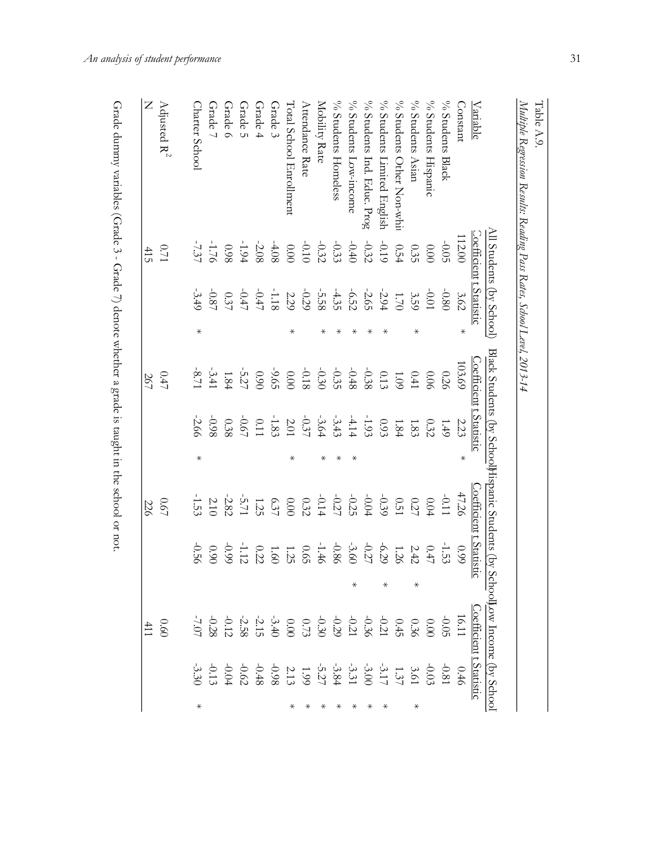| ١<br>2777 |
|-----------|
|           |
| ١         |
|           |
|           |
| í         |
| ١<br>٠    |
|           |
|           |
|           |
|           |
|           |
|           |
|           |
|           |
|           |
|           |
|           |

Multiple Regression Results: Reading Pass Rates, School Level, 2013-14 *Multiple Regression Results: Reading Pass Rates, School Level, 2013-14*

|                                | All Students (by School) |                             |         | Black Students (by School) ispanic Students (by So |                                                                                  |         |                                                                                                                                                                                                                                                              |                                                                                            | choolf ow Income (by School                                                                                                                |         |
|--------------------------------|--------------------------|-----------------------------|---------|----------------------------------------------------|----------------------------------------------------------------------------------|---------|--------------------------------------------------------------------------------------------------------------------------------------------------------------------------------------------------------------------------------------------------------------|--------------------------------------------------------------------------------------------|--------------------------------------------------------------------------------------------------------------------------------------------|---------|
| Variable                       | Coefficient t Statistic  |                             |         | <u>Coefficient t Statistic</u>                     |                                                                                  |         | Coefficient t Statistic                                                                                                                                                                                                                                      |                                                                                            | Coefficient t Statisti                                                                                                                     |         |
| _onstant                       | 12.00                    | 3.62                        | $\ast$  | 103.69                                             | 2.23                                                                             | $\ast$  | 47.26                                                                                                                                                                                                                                                        | 660                                                                                        |                                                                                                                                            |         |
| $\%$ Students Black            | $-0.05$                  | $-0.80$                     |         | 0.26                                               | (1.49)                                                                           |         |                                                                                                                                                                                                                                                              | $-1.53$                                                                                    | $12.7$<br>$12.8$ $36.8$ $32.4$ $32.4$ $32.4$ $32.4$ $32.4$ $32.4$ $32.4$ $32.4$ $32.4$<br>$32.4$ $32.4$ $32.4$ $32.4$ $32.4$ $32.4$ $32.4$ |         |
| % Students Hispanic            | 0.00                     | 10.01                       |         | 90.0                                               | 0.32                                                                             |         | $-0.11$<br>0.04                                                                                                                                                                                                                                              | 0.47                                                                                       |                                                                                                                                            |         |
| $\%$ Students Asian            |                          | 3.59                        | ⋇       | $0.41\,$                                           | 1.83                                                                             |         |                                                                                                                                                                                                                                                              | 2.42                                                                                       |                                                                                                                                            | ⋇       |
| % Students Other Non-whi       | $0.35$<br>$0.54$         | 1.70                        |         | $60^{\circ}$                                       | $1.84\,$                                                                         |         |                                                                                                                                                                                                                                                              | 1.26                                                                                       |                                                                                                                                            |         |
| % Students Limited English     |                          | $-2.94$                     | ⋇       | $0.13\,$                                           |                                                                                  |         |                                                                                                                                                                                                                                                              | -6.29                                                                                      |                                                                                                                                            |         |
| % Students Ind. Educ. Prog     | $-0.32$                  | $-2.65$                     |         |                                                    | 0.93<br>$-1$ , 9.9<br>$-4$ , 4.9<br>$-3$ , 6<br>$-1$<br>$-1$<br>$-3$ , 9<br>$-1$ |         | 0.01<br>0.01<br>0.01<br>0.01<br>0.01<br>0.01<br>0.01<br>0.01<br>0.01<br>0.01<br>0.01<br>0.01<br>0.01<br>0.01<br>0.01<br>0.01<br>0.01<br>0.01<br>0.01<br>0.01<br>0.01<br>0.01<br>0.01<br>0.01<br>0.01<br>0.01<br>0.01<br>0.01<br>0.01<br>0.01<br>0.01<br>0.01 |                                                                                            |                                                                                                                                            | ⋇       |
| % Students Low-income          |                          |                             | ⋇       |                                                    |                                                                                  | ⋇       |                                                                                                                                                                                                                                                              | ⋇                                                                                          |                                                                                                                                            |         |
| $\%$ Students Homeless         | $-0.33$<br>$-0.32$       | $-6$ $+6$ $-5$<br>$-5$ $-5$ |         | $-0.38$<br>$-0.35$<br>$-0.35$                      |                                                                                  |         |                                                                                                                                                                                                                                                              | $\begin{array}{rrrrrr} -0.27 & -0.87 \\ -0.87 & 0.87 \\ \hline 0.08 & 0.44 \\ \end{array}$ |                                                                                                                                            |         |
| Mobility Rate                  |                          |                             | $\star$ |                                                    |                                                                                  |         |                                                                                                                                                                                                                                                              |                                                                                            |                                                                                                                                            |         |
| Attendance Rate                | $-0.10$                  |                             |         | $-0.18$ $\,$                                       |                                                                                  |         |                                                                                                                                                                                                                                                              |                                                                                            |                                                                                                                                            |         |
| <b>Total School Enrollment</b> | $0.00$                   | $-0.29$ $\,$                | ⋇       |                                                    | $2.01\,$                                                                         | ⋇       |                                                                                                                                                                                                                                                              |                                                                                            |                                                                                                                                            |         |
| Grade 3                        | $-4.08$                  |                             |         | -9.65                                              | $-1.83$                                                                          |         |                                                                                                                                                                                                                                                              |                                                                                            |                                                                                                                                            |         |
| Grade 4                        | $-2.08$                  |                             |         |                                                    | $0.11\,$                                                                         |         |                                                                                                                                                                                                                                                              |                                                                                            |                                                                                                                                            |         |
| Grade 5                        | $-1.94$                  | $-1.18$<br>-0.47            |         | $-5.27$                                            | $-0.67$                                                                          |         |                                                                                                                                                                                                                                                              |                                                                                            |                                                                                                                                            |         |
| Grade 6                        | 0.98                     |                             |         |                                                    | 0.38                                                                             |         |                                                                                                                                                                                                                                                              |                                                                                            |                                                                                                                                            |         |
| Grade 7                        | $-7.37$                  | $-0.37$                     |         | $1.84$<br>$-3.41$<br>$-8.71$                       | $-0.98$                                                                          |         | $\frac{2}{3}$ $\frac{2}{1}$ $\frac{1}{3}$                                                                                                                                                                                                                    | $060$                                                                                      |                                                                                                                                            |         |
| Charter School                 |                          | $-3.49$                     | $\star$ |                                                    |                                                                                  | $\star$ |                                                                                                                                                                                                                                                              | $-0.56$                                                                                    |                                                                                                                                            | $\star$ |
| Adjusted $R^2$                 | 0.71                     |                             |         | 0.47                                               |                                                                                  |         | 0.67                                                                                                                                                                                                                                                         |                                                                                            | 0.60                                                                                                                                       |         |
|                                | 415                      |                             |         | 267                                                |                                                                                  |         | 226                                                                                                                                                                                                                                                          |                                                                                            |                                                                                                                                            |         |
|                                |                          |                             |         |                                                    |                                                                                  |         |                                                                                                                                                                                                                                                              |                                                                                            |                                                                                                                                            |         |

Grade dummy variables (Grade 3 - Grade 7) denote whether a grade is taught in the school or not. Grade dummy variables (Grade 3 - Grade 7) denote whether a grade is taught in the school or not.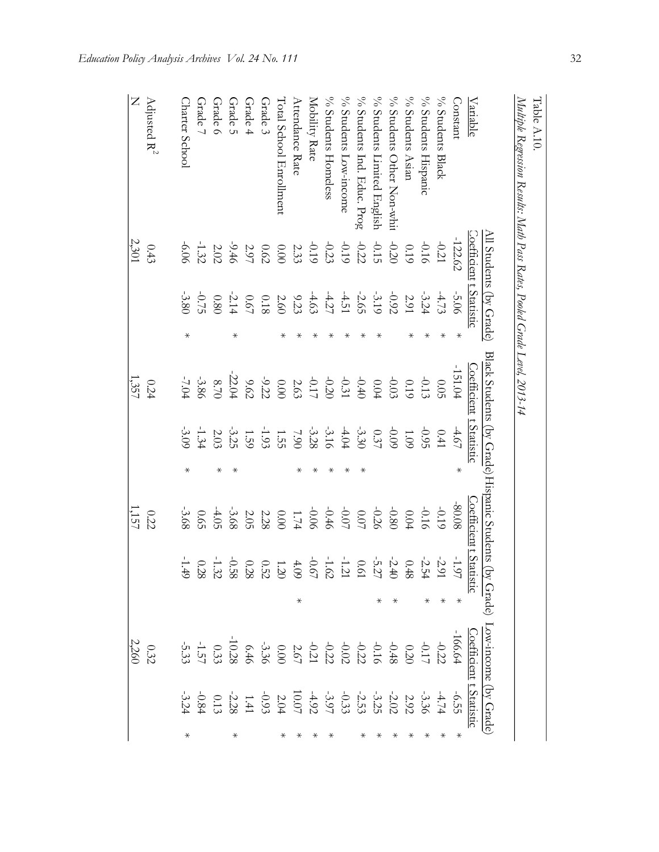| Table A.10.                                                               |                                                                 |                                    |         |                                                              |                              |         |                                                                                                                                                                                |                                                                                                                                                                                                                                                                                                                                     |         |                                                                              |         |  |
|---------------------------------------------------------------------------|-----------------------------------------------------------------|------------------------------------|---------|--------------------------------------------------------------|------------------------------|---------|--------------------------------------------------------------------------------------------------------------------------------------------------------------------------------|-------------------------------------------------------------------------------------------------------------------------------------------------------------------------------------------------------------------------------------------------------------------------------------------------------------------------------------|---------|------------------------------------------------------------------------------|---------|--|
| Multiple Regression Results: Math Pass Rates, Pooled Grade Level, 2013-14 |                                                                 |                                    |         |                                                              |                              |         |                                                                                                                                                                                |                                                                                                                                                                                                                                                                                                                                     |         |                                                                              |         |  |
|                                                                           | All Students (by Grade)                                         |                                    |         |                                                              |                              |         |                                                                                                                                                                                |                                                                                                                                                                                                                                                                                                                                     |         | Black Students (by Grade) Hispanic Students (by Grade) Low-income (by Grade) |         |  |
| Variable                                                                  | Coefficient t Statistic                                         |                                    |         | <u>Coefficient t Statistic</u>                               |                              |         | Coefficient t Statistic                                                                                                                                                        |                                                                                                                                                                                                                                                                                                                                     |         | Coefficient t Statist                                                        |         |  |
| Constant                                                                  | $-122.62$                                                       | $-5.06$                            | $\ast$  | $-151.04$                                                    | $+67$                        | ⋇       | -80.08                                                                                                                                                                         | $-1.9$                                                                                                                                                                                                                                                                                                                              | ⋇       | $-166.64$                                                                    | $-6.55$ |  |
| % Students Black                                                          | $-0.21$                                                         | 4.73                               | ⋇       | 0.05                                                         | 0.41                         |         | $-0.19$                                                                                                                                                                        |                                                                                                                                                                                                                                                                                                                                     | ⋇       |                                                                              | $-4.74$ |  |
| % Students Hispanic                                                       | $-0.16$                                                         | $-3.24$                            |         | $-0.13$                                                      | $-0.95$                      |         | $-0.16$                                                                                                                                                                        | $-3\frac{3}{2}$                                                                                                                                                                                                                                                                                                                     |         |                                                                              |         |  |
| $\%$ Students Asian                                                       | 0.19                                                            | 2.91                               | $\ast$  | $0.19\,$                                                     | $60^{\circ}$ l               |         | 0.04                                                                                                                                                                           | $0.48\,$                                                                                                                                                                                                                                                                                                                            |         |                                                                              |         |  |
| % Students Other Non-whi                                                  | $-0.20$                                                         | $-0.92$                            |         |                                                              | $60^{\circ}$                 |         |                                                                                                                                                                                |                                                                                                                                                                                                                                                                                                                                     |         |                                                                              |         |  |
| % Students Limited English                                                |                                                                 | $-3.19$                            | ⋇       | $-0.03$<br>30.04                                             | $0.37\,$                     |         |                                                                                                                                                                                | $-2.40$<br>-5.27                                                                                                                                                                                                                                                                                                                    |         |                                                                              |         |  |
| % Students Ind. Educ. Prog                                                | $\begin{array}{r} -0.15 \\ -0.22 \\ -0.19 \\ -0.23 \end{array}$ | $-2.65$                            | $\star$ |                                                              | $-3.30$                      | $\star$ |                                                                                                                                                                                |                                                                                                                                                                                                                                                                                                                                     |         |                                                                              |         |  |
| % Students Low-income                                                     |                                                                 |                                    | ⋇       |                                                              | $-4.04$                      | ⋇       |                                                                                                                                                                                |                                                                                                                                                                                                                                                                                                                                     |         |                                                                              |         |  |
| % Students Homeless                                                       |                                                                 |                                    | ⋇       |                                                              |                              | ⋇       |                                                                                                                                                                                |                                                                                                                                                                                                                                                                                                                                     |         |                                                                              |         |  |
| Mobility Rate                                                             |                                                                 | $4\frac{4}{27}$<br>$4\frac{7}{27}$ | ⋇       | $-0.40$<br>$-0.31$<br>$-0.20$                                | $-3.16$ $\,$                 |         | $\begin{array}{c} -0.90 \\ -0.07 \\ 0.07 \\ \end{array} \rightarrow \begin{array}{c} -0.90 \\ -0.07 \\ \end{array} \rightarrow \begin{array}{c} -0.90 \\ -0.00 \\ \end{array}$ | 0.61<br>$\frac{1}{2}$ , $\frac{1}{2}$ , $\frac{1}{6}$ , $\frac{1}{6}$ , $\frac{1}{6}$ , $\frac{1}{6}$ , $\frac{1}{6}$ , $\frac{1}{6}$ , $\frac{1}{6}$ , $\frac{1}{6}$ , $\frac{1}{6}$ , $\frac{1}{6}$ , $\frac{1}{6}$ , $\frac{1}{6}$ , $\frac{1}{6}$ , $\frac{1}{6}$ , $\frac{1}{6}$ , $\frac{1}{6}$ , $\frac{1}{6}$ , $\frac{1}{$ |         |                                                                              |         |  |
| Attendance Rate                                                           |                                                                 |                                    | ⋇       |                                                              | $7.90\,$                     |         |                                                                                                                                                                                |                                                                                                                                                                                                                                                                                                                                     | $\star$ |                                                                              |         |  |
| <b>Total School Enrollment</b>                                            |                                                                 | $9.23$ $\,$                        | ⋇       |                                                              | 1.55                         |         |                                                                                                                                                                                |                                                                                                                                                                                                                                                                                                                                     |         |                                                                              |         |  |
| Grade 3                                                                   | $\begin{array}{c} -0.19 \\ 2.33 \\ 0.00 \\ 2.97 \end{array}$    |                                    |         | $\begin{array}{c} 2.63 \\ 0.00 \\ -9.22 \\ 9.62 \end{array}$ |                              |         |                                                                                                                                                                                |                                                                                                                                                                                                                                                                                                                                     |         |                                                                              |         |  |
| Grade 4                                                                   |                                                                 | $\frac{0.18}{0.67}$                |         |                                                              | $-1.93$<br>$-3.25$<br>$2.03$ |         |                                                                                                                                                                                |                                                                                                                                                                                                                                                                                                                                     |         |                                                                              |         |  |
| Grade 5                                                                   | $-9.46$                                                         | $-2.14$                            | ⋇       | $-22.04$                                                     |                              | ⋇       | -3.68                                                                                                                                                                          |                                                                                                                                                                                                                                                                                                                                     |         |                                                                              |         |  |
| Grade 6                                                                   | $2.02\,$                                                        | $0.80\,$                           |         | $8.70$                                                       |                              | $\ast$  | $-4.05$                                                                                                                                                                        |                                                                                                                                                                                                                                                                                                                                     |         |                                                                              |         |  |
| Grade 7                                                                   | $-1.32$                                                         | $-0.75$                            |         | -3.86                                                        | $-1.34$                      |         | 0.65                                                                                                                                                                           |                                                                                                                                                                                                                                                                                                                                     |         |                                                                              |         |  |
| Charter School                                                            | 90.06                                                           | $-3.80$                            | $\star$ | $-7.04$                                                      | $-3.09$                      | $\star$ | $-3.68$                                                                                                                                                                        |                                                                                                                                                                                                                                                                                                                                     |         |                                                                              |         |  |
| Adjusted $R^2$                                                            | 0.43                                                            |                                    |         | 0.24                                                         |                              |         | 0.22                                                                                                                                                                           |                                                                                                                                                                                                                                                                                                                                     |         | 0.32                                                                         |         |  |
|                                                                           |                                                                 |                                    |         |                                                              |                              |         | 1,157                                                                                                                                                                          |                                                                                                                                                                                                                                                                                                                                     |         | $\frac{2,260}{ }$                                                            |         |  |
| Z                                                                         | 2,301                                                           |                                    |         | $\frac{1,357}{2}$                                            |                              |         |                                                                                                                                                                                |                                                                                                                                                                                                                                                                                                                                     |         |                                                                              |         |  |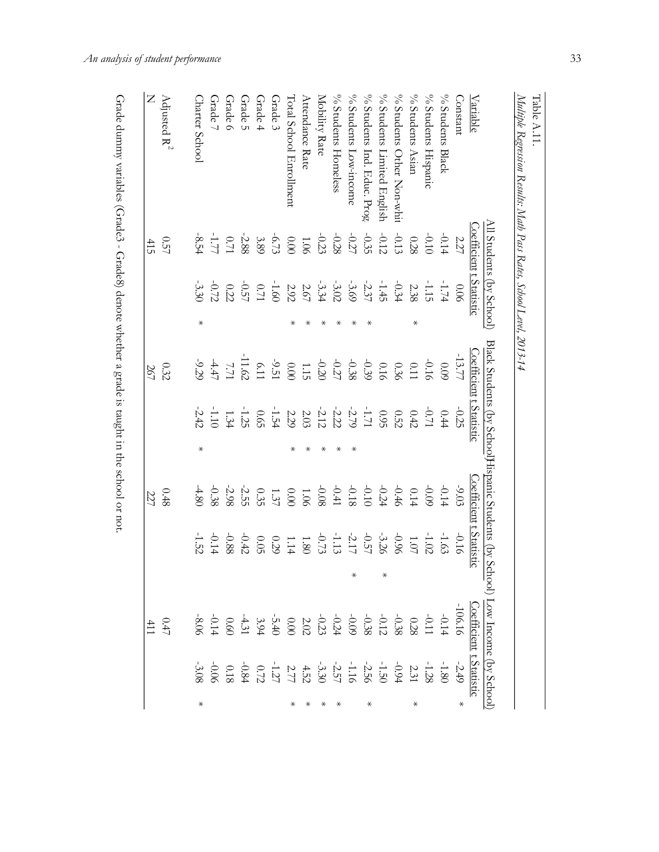|                                |                                                                                                                   | All Students (by School)       |         |                         |                                                                                                                                                                                                                                                                                                                       |         |              |                                |         | Black Students (by School) Lispanic Students (by School) Low Income (by School)                                                                                                                                                                                                                                                                                                              |         |
|--------------------------------|-------------------------------------------------------------------------------------------------------------------|--------------------------------|---------|-------------------------|-----------------------------------------------------------------------------------------------------------------------------------------------------------------------------------------------------------------------------------------------------------------------------------------------------------------------|---------|--------------|--------------------------------|---------|----------------------------------------------------------------------------------------------------------------------------------------------------------------------------------------------------------------------------------------------------------------------------------------------------------------------------------------------------------------------------------------------|---------|
| <u>Variable</u>                |                                                                                                                   | <u>Coefficient t Statistic</u> |         | Coefficient t Statistic |                                                                                                                                                                                                                                                                                                                       |         |              | <u>loefficient t Statistic</u> |         | Coefficient t Statisti                                                                                                                                                                                                                                                                                                                                                                       |         |
| _onstant                       | 2.27                                                                                                              | 90.0                           |         | 13.77                   | $-0.25$                                                                                                                                                                                                                                                                                                               |         | $-9.03$      | $-0.16$                        |         | $-106.16$                                                                                                                                                                                                                                                                                                                                                                                    | $\star$ |
| % Students Black               | $-0.14$                                                                                                           |                                |         |                         | $0.44$                                                                                                                                                                                                                                                                                                                |         | $-0.14$      |                                |         |                                                                                                                                                                                                                                                                                                                                                                                              |         |
| % Students Hispanic            | $-0.10$                                                                                                           |                                |         |                         | 1/10                                                                                                                                                                                                                                                                                                                  |         | $60^{\circ}$ |                                |         | $\frac{1}{1} \frac{1}{1} \frac{1}{1} \frac{1}{1} \frac{1}{1} \frac{1}{1} \frac{1}{1} \frac{1}{1} \frac{1}{1} \frac{1}{1} \frac{1}{1} \frac{1}{1} \frac{1}{1} \frac{1}{1} \frac{1}{1} \frac{1}{1} \frac{1}{1} \frac{1}{1} \frac{1}{1} \frac{1}{1} \frac{1}{1} \frac{1}{1} \frac{1}{1} \frac{1}{1} \frac{1}{1} \frac{1}{1} \frac{1}{1} \frac{1}{1} \frac{1}{1} \frac{1}{1} \frac{1}{1} \frac{$ |         |
| $\%$ Students Asian            | $0.28\,$                                                                                                          |                                | $\star$ |                         |                                                                                                                                                                                                                                                                                                                       |         |              |                                |         |                                                                                                                                                                                                                                                                                                                                                                                              | $\ast$  |
| % Students Other Non-whi       |                                                                                                                   |                                |         |                         |                                                                                                                                                                                                                                                                                                                       |         |              |                                |         |                                                                                                                                                                                                                                                                                                                                                                                              |         |
| $\%$ Students Limited English  |                                                                                                                   |                                |         |                         |                                                                                                                                                                                                                                                                                                                       |         |              |                                | $\star$ |                                                                                                                                                                                                                                                                                                                                                                                              |         |
| $\%$ Students Ind. Educ. Prog  | $\begin{array}{c} -0.13 \\ -0.12 \\ 0.03 \\ \end{array}$ $\begin{array}{c} -0.12 \\ -0.28 \\ 0.00 \\ \end{array}$ |                                | ⋇       |                         | 0 0 0 0 $\frac{1}{2}$ $\frac{1}{2}$ $\frac{1}{2}$ $\frac{1}{2}$ $\frac{1}{2}$ $\frac{1}{2}$ $\frac{1}{2}$ $\frac{1}{2}$ $\frac{1}{2}$ $\frac{1}{2}$ $\frac{1}{2}$ $\frac{1}{2}$ $\frac{1}{2}$ $\frac{1}{2}$ $\frac{1}{2}$ $\frac{1}{2}$ $\frac{1}{2}$ $\frac{1}{2}$ $\frac{1}{2}$ $\frac{1}{2}$ $\frac{1}{2}$ $\frac$ |         |              |                                |         |                                                                                                                                                                                                                                                                                                                                                                                              | $\star$ |
| $\%$ Students Low-income       |                                                                                                                   |                                |         |                         |                                                                                                                                                                                                                                                                                                                       |         |              |                                | $\ast$  |                                                                                                                                                                                                                                                                                                                                                                                              |         |
| % Students Homeless            |                                                                                                                   |                                |         |                         |                                                                                                                                                                                                                                                                                                                       |         |              |                                |         |                                                                                                                                                                                                                                                                                                                                                                                              | ⋇       |
| Mobility Rate                  |                                                                                                                   |                                |         |                         |                                                                                                                                                                                                                                                                                                                       |         |              |                                |         |                                                                                                                                                                                                                                                                                                                                                                                              | $\ast$  |
| Attendance Rate                |                                                                                                                   |                                |         |                         |                                                                                                                                                                                                                                                                                                                       |         |              |                                |         |                                                                                                                                                                                                                                                                                                                                                                                              | ⋇       |
| <b>Total School Enrollment</b> |                                                                                                                   |                                |         |                         |                                                                                                                                                                                                                                                                                                                       |         |              |                                |         |                                                                                                                                                                                                                                                                                                                                                                                              | ⋇       |
| Grade 3                        |                                                                                                                   |                                |         |                         |                                                                                                                                                                                                                                                                                                                       |         |              |                                |         |                                                                                                                                                                                                                                                                                                                                                                                              |         |
| Grade 4                        | $3.89\,$                                                                                                          |                                |         |                         |                                                                                                                                                                                                                                                                                                                       |         |              |                                |         |                                                                                                                                                                                                                                                                                                                                                                                              |         |
| Grade 5                        | $-2.88$                                                                                                           |                                |         |                         |                                                                                                                                                                                                                                                                                                                       |         | $-2.55$      |                                |         |                                                                                                                                                                                                                                                                                                                                                                                              |         |
| Grade 6                        |                                                                                                                   |                                |         |                         |                                                                                                                                                                                                                                                                                                                       |         | $-2.98$      |                                |         |                                                                                                                                                                                                                                                                                                                                                                                              |         |
| Grade 7                        | $0.71$<br>-1.77<br>-8.54                                                                                          |                                |         |                         |                                                                                                                                                                                                                                                                                                                       |         | $-0.38$      |                                |         |                                                                                                                                                                                                                                                                                                                                                                                              |         |
| Charter School                 |                                                                                                                   |                                | $\star$ |                         |                                                                                                                                                                                                                                                                                                                       | $\star$ | 4.80         |                                |         |                                                                                                                                                                                                                                                                                                                                                                                              | $\star$ |
| Adjusted $R^2$                 | 0.57                                                                                                              |                                |         | 0.32                    |                                                                                                                                                                                                                                                                                                                       |         | 0.48         |                                |         | 0.47                                                                                                                                                                                                                                                                                                                                                                                         |         |
|                                | 415                                                                                                               |                                |         | 267                     |                                                                                                                                                                                                                                                                                                                       |         | 227          |                                |         |                                                                                                                                                                                                                                                                                                                                                                                              |         |
|                                |                                                                                                                   |                                |         |                         |                                                                                                                                                                                                                                                                                                                       |         |              |                                |         |                                                                                                                                                                                                                                                                                                                                                                                              |         |

Grade dummy variables (Grade3 - Grade8) denote whether a grade is taught in the school or not. Grade dummy variables (Grade3 - Grade8) denote whether a grade is taught in the school or not.

*Multiple Regression Results: Math Pass Rates, School Level, 2013-14*

Multiple Regression Results: Math Pass Rates, School Level, 2013-14

Table A.11.

Table A.11.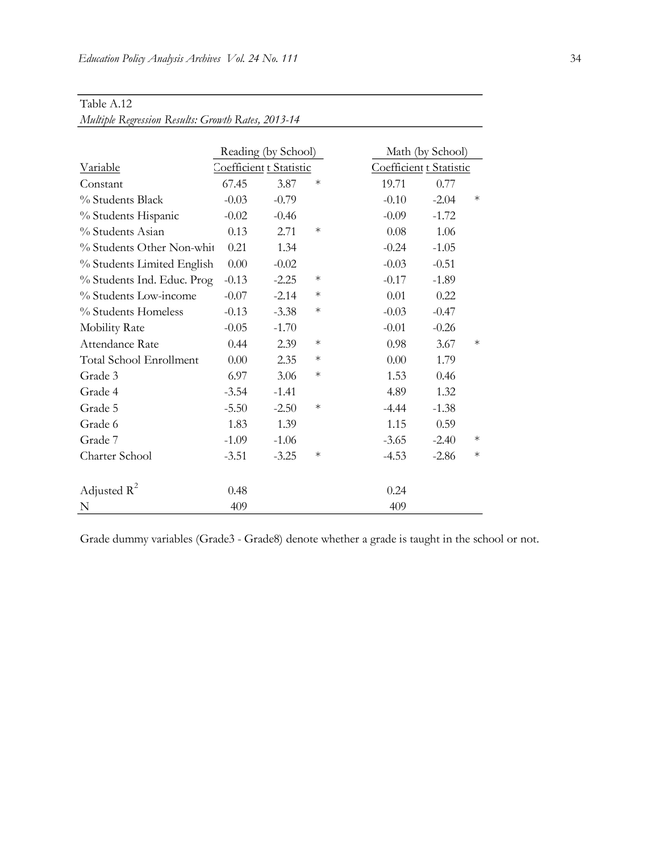|                                |         | Reading (by School)     |        |         | Math (by School)        |        |
|--------------------------------|---------|-------------------------|--------|---------|-------------------------|--------|
| Variable                       |         | Coefficient t Statistic |        |         | Coefficient t Statistic |        |
| Constant                       | 67.45   | 3.87                    | ∗      | 19.71   | 0.77                    |        |
| % Students Black               | $-0.03$ | $-0.79$                 |        | $-0.10$ | $-2.04$                 | $\ast$ |
| % Students Hispanic            | $-0.02$ | $-0.46$                 |        | $-0.09$ | $-1.72$                 |        |
| % Students Asian               | 0.13    | 2.71                    | $\ast$ | 0.08    | 1.06                    |        |
| % Students Other Non-whit      | 0.21    | 1.34                    |        | $-0.24$ | $-1.05$                 |        |
| % Students Limited English     | 0.00    | $-0.02$                 |        | $-0.03$ | $-0.51$                 |        |
| % Students Ind. Educ. Prog     | $-0.13$ | $-2.25$                 | $\ast$ | $-0.17$ | $-1.89$                 |        |
| % Students Low-income          | $-0.07$ | $-2.14$                 | ∗      | 0.01    | 0.22                    |        |
| % Students Homeless            | $-0.13$ | $-3.38$                 | $\ast$ | $-0.03$ | $-0.47$                 |        |
| <b>Mobility Rate</b>           | $-0.05$ | $-1.70$                 |        | $-0.01$ | $-0.26$                 |        |
| Attendance Rate                | 0.44    | 2.39                    | $\ast$ | 0.98    | 3.67                    | $\ast$ |
| <b>Total School Enrollment</b> | 0.00    | 2.35                    | $\ast$ | 0.00    | 1.79                    |        |
| Grade 3                        | 6.97    | 3.06                    | $\ast$ | 1.53    | 0.46                    |        |
| Grade 4                        | $-3.54$ | $-1.41$                 |        | 4.89    | 1.32                    |        |
| Grade 5                        | $-5.50$ | $-2.50$                 | ∗      | $-4.44$ | $-1.38$                 |        |
| Grade 6                        | 1.83    | 1.39                    |        | 1.15    | 0.59                    |        |
| Grade 7                        | $-1.09$ | $-1.06$                 |        | $-3.65$ | $-2.40$                 | $\ast$ |
| Charter School                 | $-3.51$ | $-3.25$                 | ∗      | $-4.53$ | $-2.86$                 | $\ast$ |
|                                |         |                         |        |         |                         |        |
| Adjusted $R^2$                 | 0.48    |                         |        | 0.24    |                         |        |
| N                              | 409     |                         |        | 409     |                         |        |

### Table A.12 *Multiple Regression Results: Growth Rates, 2013-14*

Grade dummy variables (Grade3 - Grade8) denote whether a grade is taught in the school or not.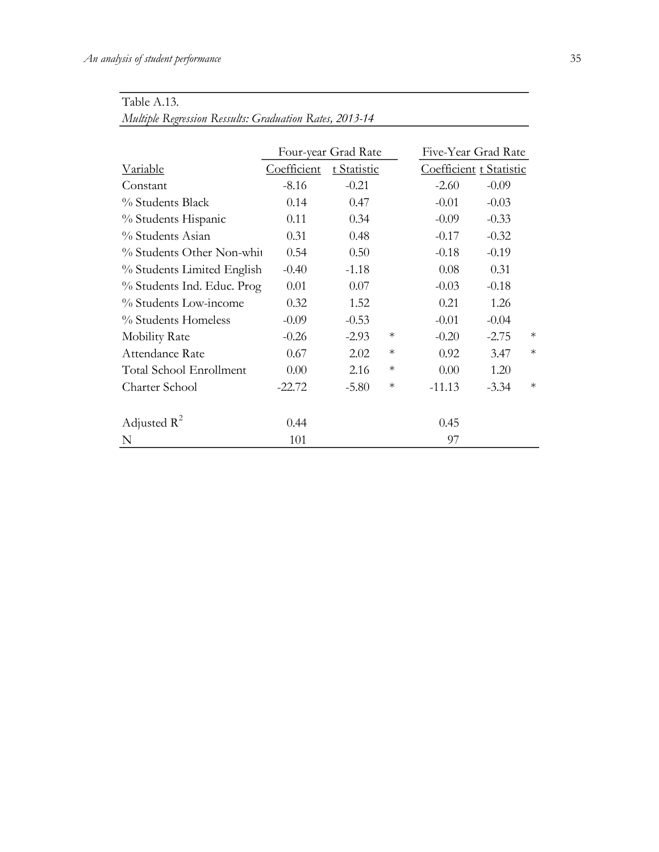| <i>INTHILIPIC INEXTESSION INESSMILS, Graduation Indies, 2019-14</i> |             |                     |        |                         |         |        |
|---------------------------------------------------------------------|-------------|---------------------|--------|-------------------------|---------|--------|
|                                                                     |             | Four-year Grad Rate |        | Five-Year Grad Rate     |         |        |
| <b>Variable</b>                                                     | Coefficient | t Statistic         |        | Coefficient t Statistic |         |        |
| Constant                                                            | $-8.16$     | $-0.21$             |        | $-2.60$                 | $-0.09$ |        |
| % Students Black                                                    | 0.14        | 0.47                |        | $-0.01$                 | $-0.03$ |        |
| % Students Hispanic                                                 | 0.11        | 0.34                |        | $-0.09$                 | $-0.33$ |        |
| % Students Asian                                                    | 0.31        | 0.48                |        | $-0.17$                 | $-0.32$ |        |
| % Students Other Non-whit                                           | 0.54        | 0.50                |        | $-0.18$                 | $-0.19$ |        |
| % Students Limited English                                          | $-0.40$     | $-1.18$             |        | 0.08                    | 0.31    |        |
| % Students Ind. Educ. Prog                                          | 0.01        | 0.07                |        | $-0.03$                 | $-0.18$ |        |
| % Students Low-income                                               | 0.32        | 1.52                |        | 0.21                    | 1.26    |        |
| % Students Homeless                                                 | $-0.09$     | $-0.53$             |        | $-0.01$                 | $-0.04$ |        |
| <b>Mobility Rate</b>                                                | $-0.26$     | $-2.93$             | $\ast$ | $-0.20$                 | $-2.75$ | $\ast$ |
| Attendance Rate                                                     | 0.67        | 2.02                | $\ast$ | 0.92                    | 3.47    | $\ast$ |
| Total School Enrollment                                             | 0.00        | 2.16                | $\ast$ | 0.00                    | 1.20    |        |
| Charter School                                                      | $-22.72$    | $-5.80$             | $\ast$ | $-11.13$                | $-3.34$ | $\ast$ |
| Adjusted $R^2$                                                      | 0.44        |                     |        | 0.45                    |         |        |
| N                                                                   | 101         |                     |        | 97                      |         |        |

### Table A.13. *Multiple Regression Ressults: Graduation Rates, 2013-14*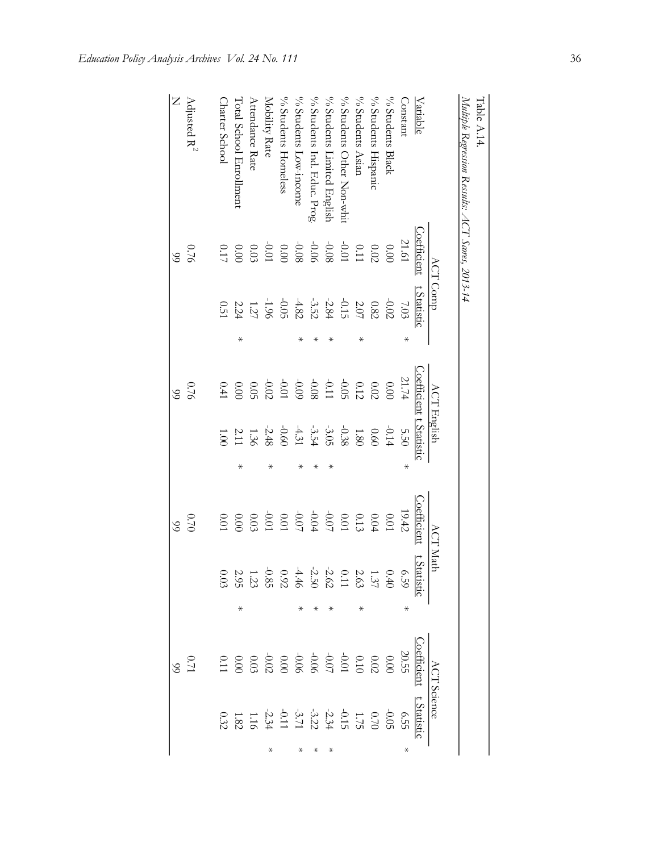| Multiple Regression Ressults: ACT Scores, 2013-14<br>Table A.14. |                                                                                  |             |         |                                                                                               |              |         |                                                                                |                                                                                         |         |                    |            |        |
|------------------------------------------------------------------|----------------------------------------------------------------------------------|-------------|---------|-----------------------------------------------------------------------------------------------|--------------|---------|--------------------------------------------------------------------------------|-----------------------------------------------------------------------------------------|---------|--------------------|------------|--------|
|                                                                  |                                                                                  | ACT Comp    |         | <b>ACT English</b>                                                                            |              |         | ACT Math                                                                       |                                                                                         |         | ACT Science        |            |        |
| Variable                                                         | Coefficient                                                                      | t Statistic |         | Coefficient t Statistic                                                                       |              |         | Coefficient                                                                    | t Statisti                                                                              |         | <b>Coefficient</b> | t Statisti |        |
| Constant                                                         | 21.61                                                                            | 7.03        |         | 21.74                                                                                         | 5.50         | $\ast$  | 19.42                                                                          | 659                                                                                     | $\star$ |                    |            |        |
| % Students Black                                                 | 0.00                                                                             | $-0.02$     |         |                                                                                               | $-0.14$      |         | $10.01\,$                                                                      |                                                                                         |         |                    |            |        |
| % Students Hispanic                                              | $0.02$                                                                           | $0.82\,$    |         |                                                                                               | 0.60         |         | $0.04$                                                                         |                                                                                         |         |                    |            |        |
| % Students Asian                                                 |                                                                                  | $2.07\,$    |         |                                                                                               | $08^{\circ}$ |         |                                                                                |                                                                                         |         |                    |            |        |
| % Students Other Non-whi                                         |                                                                                  |             |         |                                                                                               |              |         |                                                                                |                                                                                         |         |                    |            |        |
| % Students Limited English                                       |                                                                                  |             |         |                                                                                               |              |         |                                                                                |                                                                                         |         |                    |            |        |
| % Students Ind. Educ. Prog                                       | $\begin{array}{c} 0.000 \\ 0.000 \\ 0.000 \\ 0.00 \\ 0.00 \\ \hline \end{array}$ |             |         | $\begin{array}{c} 0.000 \\ 0.012 \\ 0.012 \\ -0.09 \\ -0.09 \\ -0.02 \\ -0.02 \\ \end{array}$ |              |         | $\begin{array}{c} 0.01 \\ -0.07 \\ -0.07 \\ 0.07 \\ -0.07 \\ 0.01 \end{array}$ | 0.1.21<br>21.22<br>21.23<br>20.23<br>20.23<br>20.23<br>20.23<br>20.23<br>20.23<br>20.23 |         |                    |            |        |
| % Students Low-income                                            |                                                                                  |             |         |                                                                                               |              | ⋇       |                                                                                |                                                                                         |         |                    |            |        |
| % Students Homeless                                              | $0.00$                                                                           |             |         |                                                                                               |              |         |                                                                                |                                                                                         |         |                    |            |        |
| Mobility Rate                                                    |                                                                                  |             |         |                                                                                               |              | $\star$ | $10.01$                                                                        |                                                                                         |         |                    |            | $\ast$ |
| Attendance Rate                                                  |                                                                                  |             |         |                                                                                               |              |         | $0.03\,$                                                                       |                                                                                         |         |                    |            |        |
| Total School Enrollment                                          | $-0.01$<br>0.03<br>0.05                                                          |             | $\star$ | 000                                                                                           |              | ⋇       | $000$                                                                          |                                                                                         | $\ast$  |                    |            |        |
| Charter School                                                   | $0.17\,$                                                                         | <b>0.51</b> |         | $0.41\,$                                                                                      |              |         | 0.01                                                                           |                                                                                         |         |                    |            |        |
| Adjusted $\mathbf{R}^2$                                          | 0.76                                                                             |             |         | 0.76                                                                                          |              |         | 0.70                                                                           |                                                                                         |         | 0.71<br>0.71       |            |        |
| Z                                                                | $\infty$                                                                         |             |         | 99                                                                                            |              |         | $\infty$                                                                       |                                                                                         |         |                    |            |        |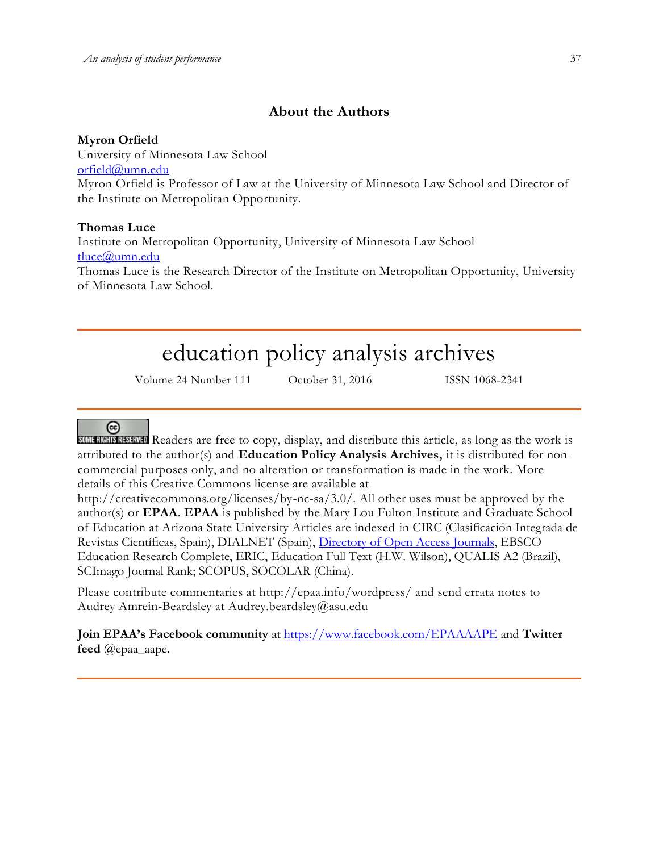### **About the Authors**

**Myron Orfield** University of Minnesota Law School [orfield@umn.edu](mailto:orfield@umn.edu) Myron Orfield is Professor of Law at the University of Minnesota Law School and Director of the Institute on Metropolitan Opportunity.

### **Thomas Luce**

Institute on Metropolitan Opportunity, University of Minnesota Law School [tluce@umn.edu](mailto:tluce@umn.edu) Thomas Luce is the Research Director of the Institute on Metropolitan Opportunity, University of Minnesota Law School.

# education policy analysis archives

Volume 24 Number 111 October 31, 2016 ISSN 1068-2341

## (cc)

SOME RIGHTS RESERVED Readers are free to copy, display, and distribute this article, as long as the work is attributed to the author(s) and **Education Policy Analysis Archives,** it is distributed for noncommercial purposes only, and no alteration or transformation is made in the work. More details of this Creative Commons license are available at

http://creativecommons.org/licenses/by-nc-sa/3.0/. All other uses must be approved by the author(s) or **EPAA**. **EPAA** is published by the Mary Lou Fulton Institute and Graduate School of Education at Arizona State University Articles are indexed in CIRC (Clasificación Integrada de Revistas Científicas, Spain), DIALNET (Spain), [Directory of Open Access Journals,](http://www.doaj.org/) EBSCO Education Research Complete, ERIC, Education Full Text (H.W. Wilson), QUALIS A2 (Brazil), SCImago Journal Rank; SCOPUS, SOCOLAR (China).

Please contribute commentaries at http://epaa.info/wordpress/ and send errata notes to Audrey Amrein-Beardsley at Audrey.beardsley@asu.edu

**Join EPAA's Facebook community** at<https://www.facebook.com/EPAAAAPE> and **Twitter feed** @epaa\_aape.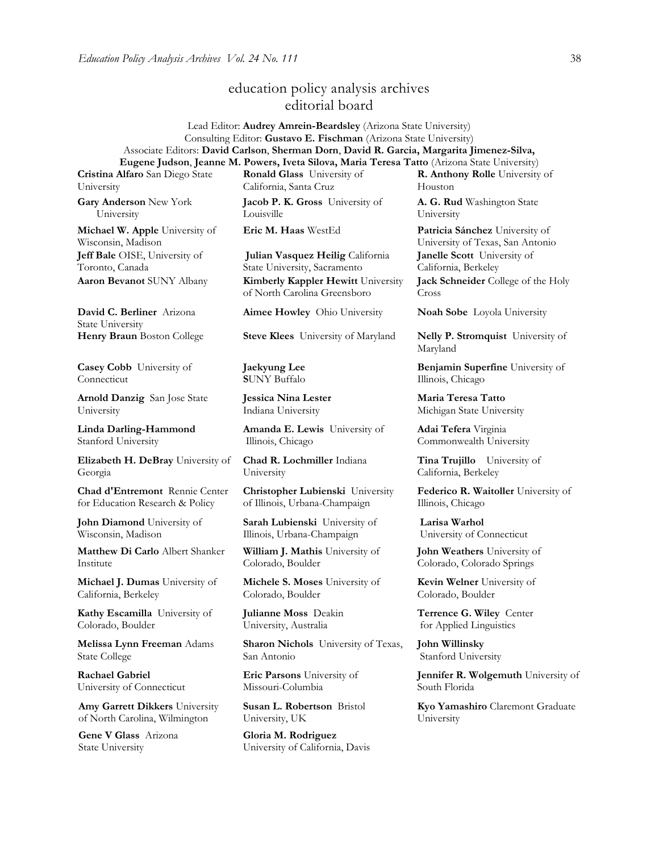### education policy analysis archives editorial board

#### Lead Editor: **Audrey Amrein-Beardsley** (Arizona State University) Consulting Editor: **Gustavo E. Fischman** (Arizona State University) Associate Editors: **David Carlson**, **Sherman Dorn**, **David R. Garcia, Margarita Jimenez-Silva, Eugene Judson**, **Jeanne M. Powers, Iveta Silova, Maria Teresa Tatto** (Arizona State University)

**Cristina Alfaro** San Diego State University

**Gary Anderson** New York University

**Michael W. Apple** University of Wisconsin, Madison **Jeff Bale** OISE, University of Toronto, Canada

**David C. Berliner** Arizona State University

**Casey Cobb** University of **Connecticut** 

**Arnold Danzig** San Jose State University

**Linda Darling-Hammond** Stanford University

**Elizabeth H. DeBray** University of Georgia

**Chad d'Entremont** Rennie Center for Education Research & Policy

**John Diamond** University of Wisconsin, Madison

**Matthew Di Carlo** Albert Shanker Institute

**Michael J. Dumas** University of California, Berkeley

**Kathy Escamilla** University of Colorado, Boulder

**Melissa Lynn Freeman** Adams State College

**Rachael Gabriel** University of Connecticut

**Amy Garrett Dikkers** University of North Carolina, Wilmington

**Gene V Glass** Arizona State University

**Ronald Glass** University of California, Santa Cruz

**Jacob P. K. Gross** University of Louisville

**Julian Vasquez Heilig** California State University, Sacramento **Aaron Bevanot** SUNY Albany **Kimberly Kappler Hewitt** University of North Carolina Greensboro

**Aimee Howley** Ohio University **Noah Sobe** Loyola University

**Jaekyung Lee S**UNY Buffalo

**Jessica Nina Lester** Indiana University

**Amanda E. Lewis** University of Illinois, Chicago

**Chad R. Lochmiller** Indiana University

**Christopher Lubienski** University of Illinois, Urbana-Champaign

**Sarah Lubienski** University of Illinois, Urbana-Champaign

**William J. Mathis** University of Colorado, Boulder

**Michele S. Moses** University of Colorado, Boulder

**Julianne Moss** Deakin University, Australia

**Sharon Nichols** University of Texas, San Antonio

**Eric Parsons** University of Missouri-Columbia

**Susan L. Robertson** Bristol University, UK

**Gloria M. Rodriguez** University of California, Davis **R. Anthony Rolle** University of Houston

**A. G. Rud** Washington State University

**Eric M. Haas** WestEd **Patricia Sánchez** University of University of Texas, San Antonio **Janelle Scott** University of California, Berkeley **Jack Schneider** College of the Holy Cross

**Henry Braun** Boston College **Steve Klees** University of Maryland **Nelly P. Stromquist** University of Maryland

> **Benjamin Superfine** University of Illinois, Chicago

**Maria Teresa Tatto**  Michigan State University

**Adai Tefera** Virginia Commonwealth University

**Tina Trujillo** University of California, Berkeley

**Federico R. Waitoller** University of Illinois, Chicago

**Larisa Warhol** University of Connecticut

**John Weathers** University of Colorado, Colorado Springs

**Kevin Welner** University of Colorado, Boulder

**Terrence G. Wiley** Center for Applied Linguistics

**John Willinsky**  Stanford University

**Jennifer R. Wolgemuth** University of South Florida

**Kyo Yamashiro** Claremont Graduate University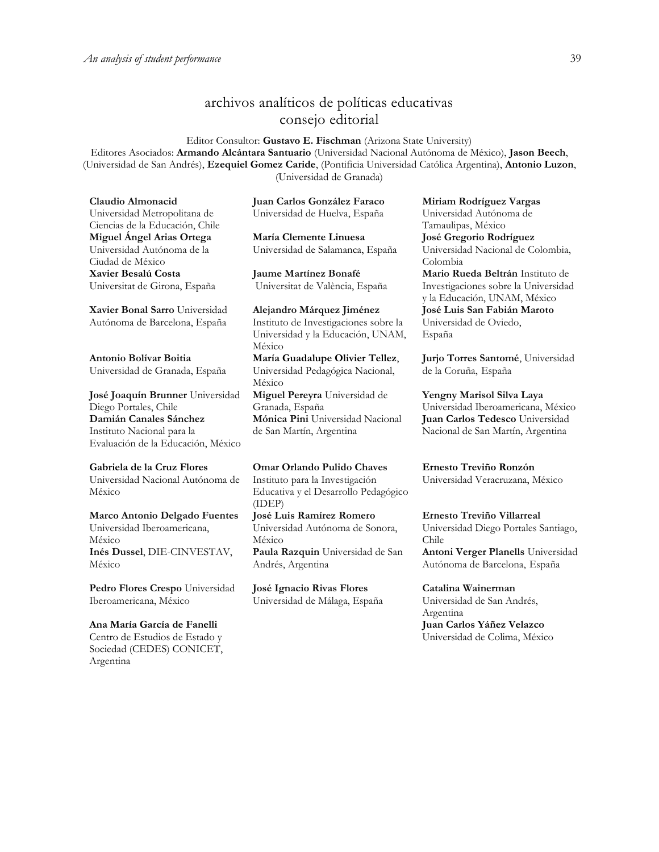### archivos analíticos de políticas educativas consejo editorial

Editor Consultor: **Gustavo E. Fischman** (Arizona State University) Editores Asociados: **Armando Alcántara Santuario** (Universidad Nacional Autónoma de México), **Jason Beech**, (Universidad de San Andrés), **Ezequiel Gomez Caride**, (Pontificia Universidad Católica Argentina), **Antonio Luzon**, (Universidad de Granada)

**Claudio Almonacid** Universidad Metropolitana de Ciencias de la Educación, Chile **Miguel Ángel Arias Ortega**  Universidad Autónoma de la Ciudad de México **Xavier Besalú Costa**  Universitat de Girona, España

**[Xavier Bonal](javascript:openRTWindow() Sarro** Universidad Autónoma de Barcelona, España

**[Antonio Bolívar](javascript:openRTWindow() Boitia** Universidad de Granada, España

**[José Joaquín Brunner](javascript:openRTWindow()** Universidad Diego Portales, Chile **[Damián Canales Sánchez](javascript:openRTWindow()** Instituto Nacional para la Evaluación de la Educación, México

### **Gabriela de la Cruz Flores** Universidad Nacional Autónoma de

México

**[Marco Antonio Delgado Fuentes](javascript:openRTWindow()** Universidad Iberoamericana, México **[Inés Dussel](javascript:openRTWindow()**, DIE-CINVESTAV, México

**[Pedro Flores Crespo](javascript:openRTWindow()** Universidad Iberoamericana, México

**Ana María García de Fanelli**  Centro de Estudios de Estado y Sociedad (CEDES) CONICET, Argentina

**Juan Carlos González Faraco**  Universidad de Huelva, España

**María Clemente Linuesa**  Universidad de Salamanca, España

**Jaume Martínez Bonafé** Universitat de València, España

**Alejandro Márquez Jiménez**  Instituto de Investigaciones sobre la Universidad y la Educación, UNAM, México **María Guadalupe Olivier Tellez**, Universidad Pedagógica Nacional, México **[Miguel Pereyra](javascript:openRTWindow()** Universidad de Granada, España **[Mónica Pini](javascript:openRTWindow()** Universidad Nacional de San Martín, Argentina

**Omar Orlando Pulido Chaves** Instituto para la Investigación Educativa y el Desarrollo Pedagógico (IDEP)

**[José Luis Ramírez](javascript:openRTWindow() Romero** Universidad Autónoma de Sonora, México **[Paula Razquin](javascript:openRTWindow()** Universidad de San Andrés, Argentina

**José Ignacio Rivas Flores** Universidad de Málaga, España **[Miriam Rodríguez Vargas](javascript:openRTWindow()** Universidad Autónoma de Tamaulipas, México **José Gregorio Rodríguez**  Universidad Nacional de Colombia, Colombia

**[Mario Rueda Beltrán](javascript:openRTWindow()** Instituto de Investigaciones sobre la Universidad y la Educación, UNAM, México **José Luis San Fabián Maroto**  Universidad de Oviedo, España

**[Jurjo Torres Santomé](javascript:openRTWindow()**, Universidad de la Coruña, España

**[Yengny Marisol Silva Laya](javascript:openRTWindow()** Universidad Iberoamericana, México **Juan Carlos Tedesco** Universidad Nacional de San Martín, Argentina

**Ernesto Treviño Ronzón**

Universidad Veracruzana, México

**[Ernesto Treviño](javascript:openRTWindow() Villarreal** Universidad Diego Portales Santiago, Chile **[Antoni Verger Planells](javascript:openRTWindow()** Universidad Autónoma de Barcelona, España

**[Catalina Wainerman](javascript:openRTWindow()** Universidad de San Andrés, Argentina **Juan Carlos Yáñez Velazco** Universidad de Colima, México